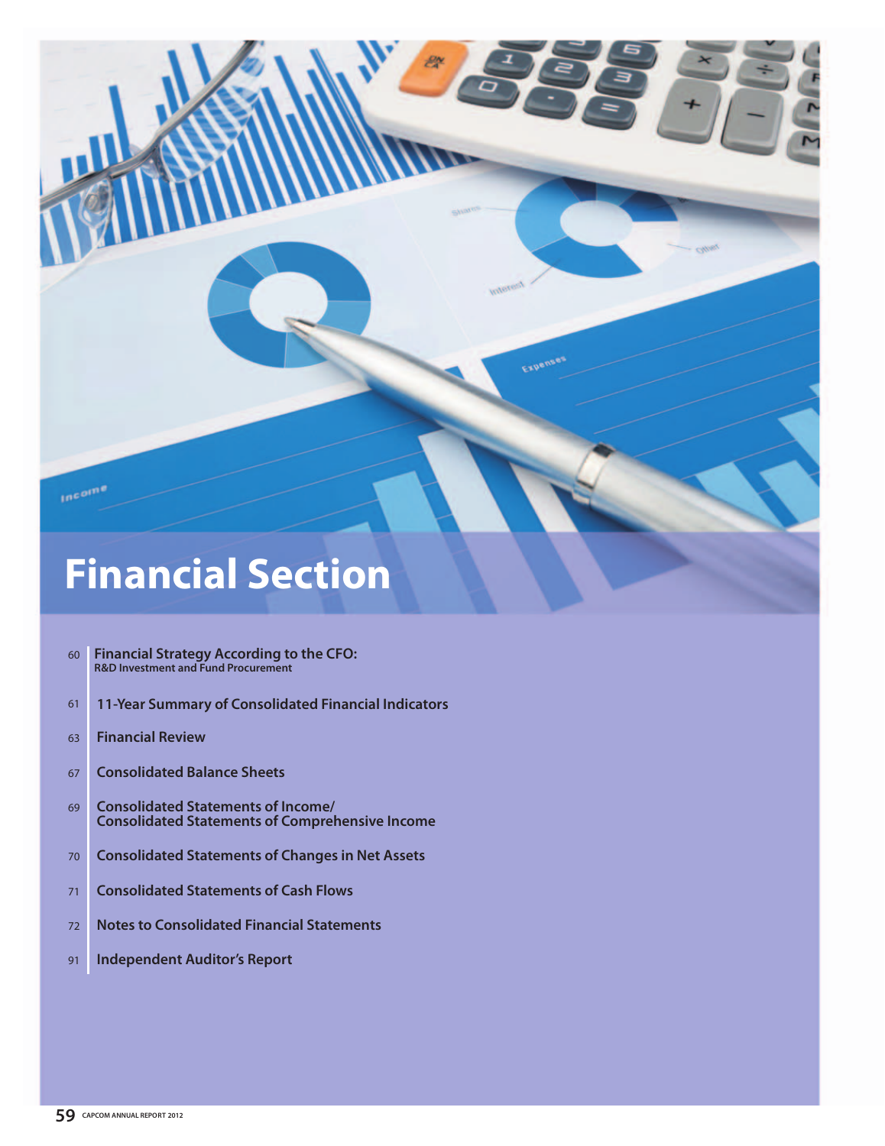

# **Financial Section**

- 60 **Financial Strategy According to the CFO: R&D Investment and Fund Procurement**
- 61 **11-Year Summary of Consolidated Financial Indicators**
- 63 **Financial Review**
- 67 **Consolidated Balance Sheets**
- 69 **Consolidated Statements of Income/ Consolidated Statements of Comprehensive Income**
- 70 **Consolidated Statements of Changes in Net Assets**
- 71 **Consolidated Statements of Cash Flows**
- 72 **Notes to Consolidated Financial Statements**
- 91 **Independent Auditor's Report**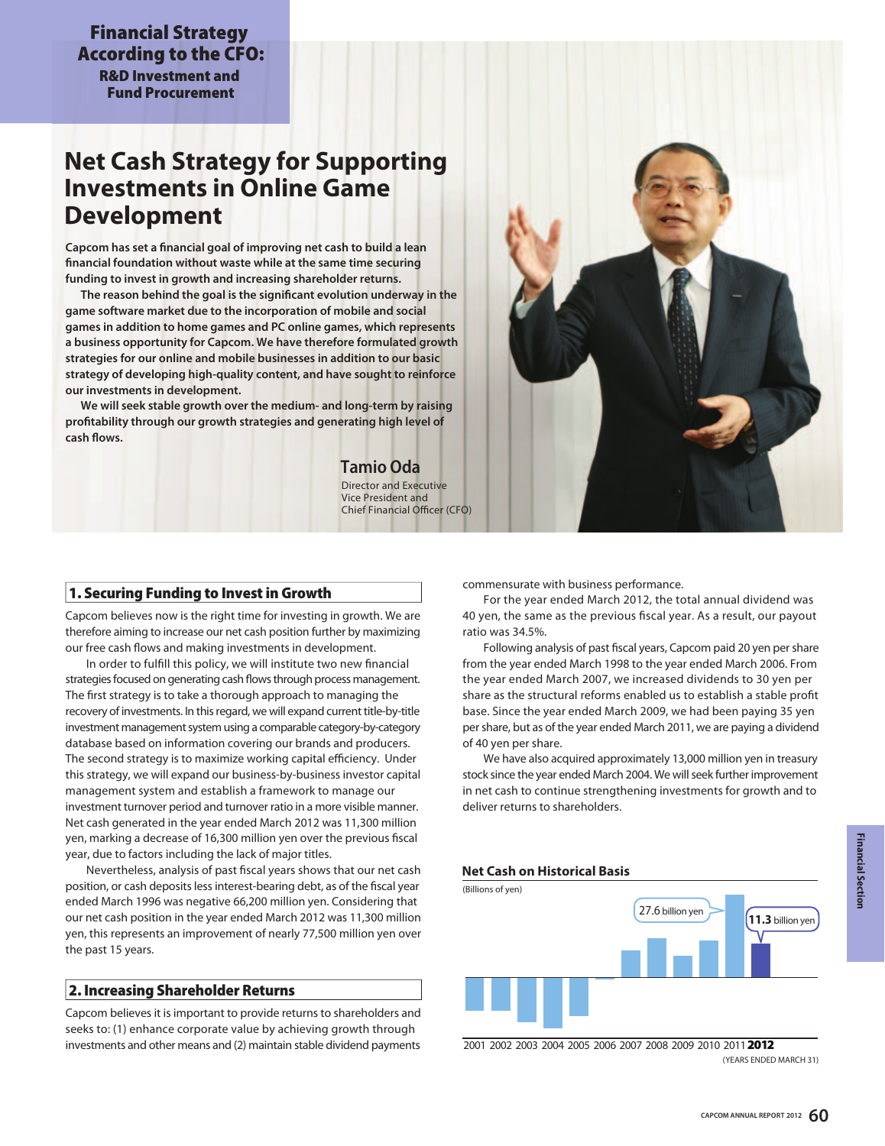**Financial Strategy According to the CFO: R&D Investment and** 

**Fund Procurement**

## **Net Cash Strategy for Supporting Investments in Online Game Development**

**Capcom has set a financial goal of improving net cash to build a lean financial foundation without waste while at the same time securing funding to invest in growth and increasing shareholder returns.**

 **The reason behind the goal is the significant evolution underway in the game software market due to the incorporation of mobile and social games in addition to home games and PC online games, which represents a business opportunity for Capcom. We have therefore formulated growth strategies for our online and mobile businesses in addition to our basic strategy of developing high-quality content, and have sought to reinforce our investments in development.**

 **We will seek stable growth over the medium- and long-term by raising profitability through our growth strategies and generating high level of cash flows.**

> Director and Executive Vice President and Chief Financial Officer (CFO) **Tamio Oda**

## **1. Securing Funding to Invest in Growth**

Capcom believes now is the right time for investing in growth. We are therefore aiming to increase our net cash position further by maximizing our free cash flows and making investments in development.

 In order to fulfill this policy, we will institute two new financial strategies focused on generating cash flows through process management. The first strategy is to take a thorough approach to managing the recovery of investments. In this regard, we will expand current title-by-title investment management system using a comparable category-by-category database based on information covering our brands and producers. The second strategy is to maximize working capital efficiency. Under this strategy, we will expand our business-by-business investor capital management system and establish a framework to manage our investment turnover period and turnover ratio in a more visible manner. Net cash generated in the year ended March 2012 was 11,300 million yen, marking a decrease of 16,300 million yen over the previous fiscal year, due to factors including the lack of major titles.

 Nevertheless, analysis of past fiscal years shows that our net cash position, or cash deposits less interest-bearing debt, as of the fiscal year ended March 1996 was negative 66,200 million yen. Considering that our net cash position in the year ended March 2012 was 11,300 million yen, this represents an improvement of nearly 77,500 million yen over the past 15 years.

## **2. Increasing Shareholder Returns**

Capcom believes it is important to provide returns to shareholders and seeks to: (1) enhance corporate value by achieving growth through investments and other means and (2) maintain stable dividend payments commensurate with business performance.

 For the year ended March 2012, the total annual dividend was 40 yen, the same as the previous fiscal year. As a result, our payout ratio was 34.5%.

 Following analysis of past fiscal years, Capcom paid 20 yen per share from the year ended March 1998 to the year ended March 2006. From the year ended March 2007, we increased dividends to 30 yen per share as the structural reforms enabled us to establish a stable profit base. Since the year ended March 2009, we had been paying 35 yen per share, but as of the year ended March 2011, we are paying a dividend of 40 yen per share.

 We have also acquired approximately 13,000 million yen in treasury stock since the year ended March 2004. We will seek further improvement in net cash to continue strengthening investments for growth and to deliver returns to shareholders.

## **Net Cash on Historical Basis**



(YEARS ENDED MARCH 31) 2001 2006 2002 2003 2007 2008 2009 2010 2011 2004 2005 **2012**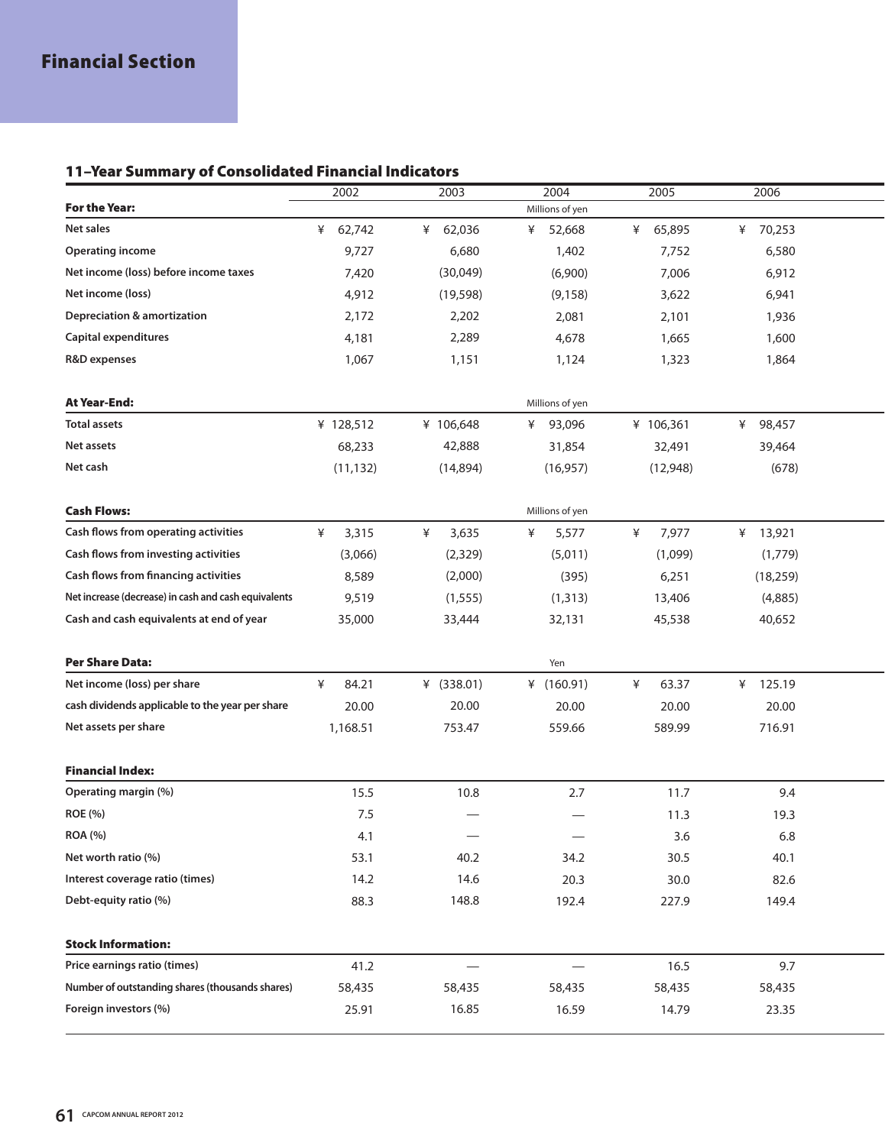## **11–Year Summary of Consolidated Financial Indicators**

|                                                      | 2002        | 2003        | 2004                           | 2005        | 2006        |  |
|------------------------------------------------------|-------------|-------------|--------------------------------|-------------|-------------|--|
| <b>For the Year:</b>                                 |             |             | Millions of yen                |             |             |  |
| Net sales                                            | 62,742<br>¥ | 62,036<br>¥ | ¥<br>52,668                    | 65,895<br>¥ | 70,253<br>¥ |  |
| <b>Operating income</b>                              | 9,727       | 6,680       | 1,402                          | 7,752       | 6,580       |  |
| Net income (loss) before income taxes                | 7,420       | (30,049)    | (6,900)                        | 7,006       | 6,912       |  |
| Net income (loss)                                    | 4,912       | (19, 598)   | (9, 158)                       | 3,622       | 6,941       |  |
| <b>Depreciation &amp; amortization</b>               | 2,172       | 2,202       | 2,081                          | 2,101       | 1,936       |  |
| Capital expenditures                                 | 4,181       | 2,289       | 4,678                          | 1,665       | 1,600       |  |
| R&D expenses                                         | 1,067       | 1,151       | 1,124                          | 1,323       | 1,864       |  |
|                                                      |             |             |                                |             |             |  |
| <b>At Year-End:</b>                                  |             |             | Millions of yen                |             |             |  |
| <b>Total assets</b>                                  | ¥ 128,512   | ¥ 106,648   | 93,096<br>¥                    | ¥ 106,361   | ¥<br>98,457 |  |
| Net assets                                           | 68,233      | 42,888      | 31,854                         | 32,491      | 39,464      |  |
| Net cash                                             | (11, 132)   | (14,894)    | (16, 957)                      | (12,948)    | (678)       |  |
|                                                      |             |             |                                |             |             |  |
| <b>Cash Flows:</b>                                   |             |             | Millions of yen                |             |             |  |
| Cash flows from operating activities                 | ¥<br>3,315  | ¥<br>3,635  | ¥<br>5,577                     | ¥<br>7,977  | ¥ 13,921    |  |
| Cash flows from investing activities                 | (3,066)     | (2,329)     | (5,011)                        | (1,099)     | (1,779)     |  |
| Cash flows from financing activities                 | 8,589       | (2,000)     | (395)                          | 6,251       | (18, 259)   |  |
| Net increase (decrease) in cash and cash equivalents | 9,519       | (1, 555)    | (1, 313)                       | 13,406      | (4,885)     |  |
| Cash and cash equivalents at end of year             | 35,000      | 33,444      | 32,131                         | 45,538      | 40,652      |  |
|                                                      |             |             |                                |             |             |  |
| <b>Per Share Data:</b>                               |             |             | Yen                            |             |             |  |
| Net income (loss) per share                          | ¥<br>84.21  | ¥ (338.01)  | ¥ $(160.91)$                   | ¥<br>63.37  | 125.19<br>¥ |  |
| cash dividends applicable to the year per share      | 20.00       | 20.00       | 20.00                          | 20.00       | 20.00       |  |
| Net assets per share                                 | 1,168.51    | 753.47      | 559.66                         | 589.99      | 716.91      |  |
|                                                      |             |             |                                |             |             |  |
| <b>Financial Index:</b>                              |             |             |                                |             |             |  |
| Operating margin (%)                                 | 15.5        | 10.8        | 2.7                            | 11.7        | 9.4         |  |
| <b>ROE</b> (%)                                       | 7.5         |             |                                | 11.3        | 19.3        |  |
| <b>ROA (%)</b>                                       | 4.1         |             | $\qquad \qquad \longleftarrow$ | 3.6         | 6.8         |  |
| Net worth ratio (%)                                  | 53.1        | 40.2        | 34.2                           | 30.5        | 40.1        |  |
| Interest coverage ratio (times)                      | 14.2        | 14.6        | 20.3                           | 30.0        | 82.6        |  |
| Debt-equity ratio (%)                                | 88.3        | 148.8       | 192.4                          | 227.9       | 149.4       |  |
|                                                      |             |             |                                |             |             |  |
| <b>Stock Information:</b>                            |             |             |                                |             |             |  |
| Price earnings ratio (times)                         | 41.2        |             |                                | 16.5        | 9.7         |  |
| Number of outstanding shares (thousands shares)      | 58,435      | 58,435      | 58,435                         | 58,435      | 58,435      |  |
| Foreign investors (%)                                | 25.91       | 16.85       | 16.59                          | 14.79       | 23.35       |  |
|                                                      |             |             |                                |             |             |  |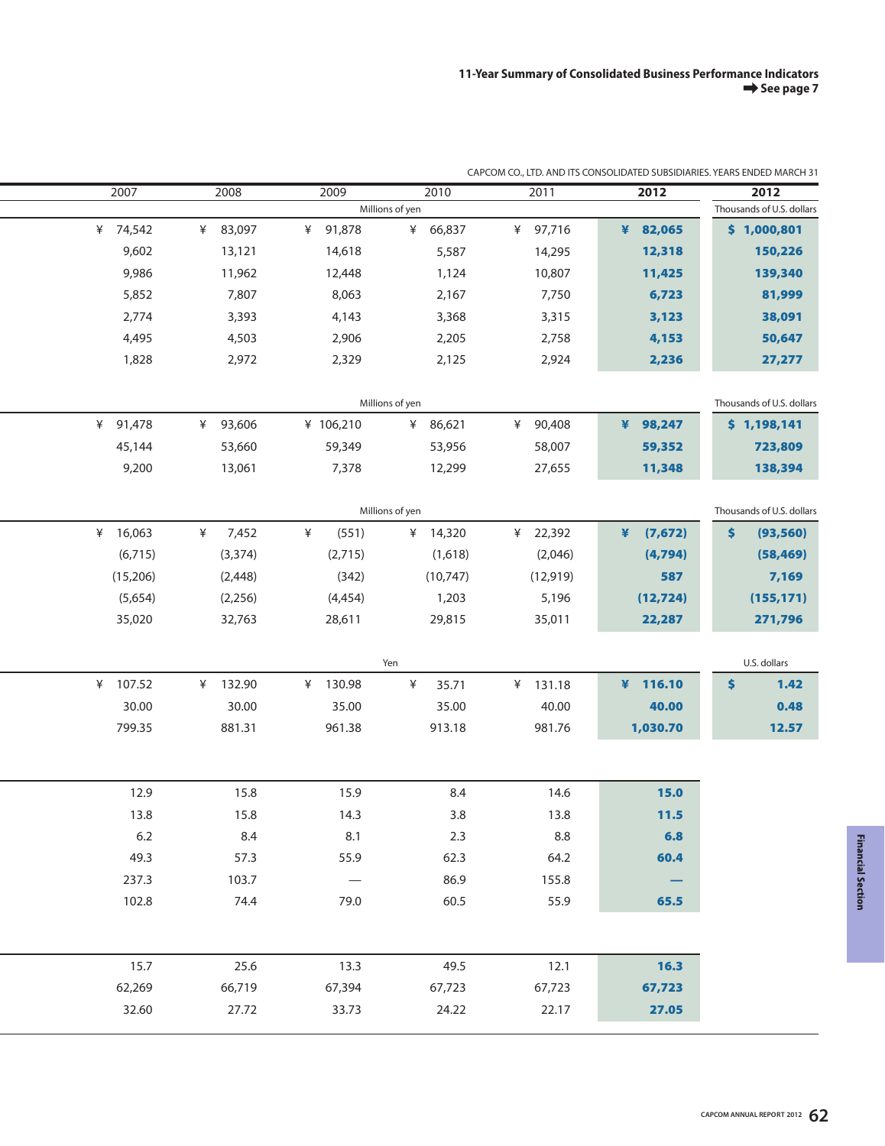| 2007        | 2008        | 2009                     | 2010            | 2011        | 2012         | 2012                      |
|-------------|-------------|--------------------------|-----------------|-------------|--------------|---------------------------|
|             |             |                          | Millions of yen |             |              | Thousands of U.S. dollars |
| ¥ 74,542    | 83,097<br>¥ | 91,878<br>¥              | 66,837<br>¥     | ¥<br>97,716 | 82,065<br>¥  | \$1,000,801               |
| 9,602       | 13,121      | 14,618                   | 5,587           | 14,295      | 12,318       | 150,226                   |
| 9,986       | 11,962      | 12,448                   | 1,124           | 10,807      | 11,425       | 139,340                   |
| 5,852       | 7,807       | 8,063                    | 2,167           | 7,750       | 6,723        | 81,999                    |
| 2,774       | 3,393       | 4,143                    | 3,368           | 3,315       | 3,123        | 38,091                    |
| 4,495       | 4,503       | 2,906                    | 2,205           | 2,758       | 4,153        | 50,647                    |
| 1,828       | 2,972       | 2,329                    | 2,125           | 2,924       | 2,236        | 27,277                    |
|             |             |                          |                 |             |              |                           |
|             |             |                          | Millions of yen |             |              | Thousands of U.S. dollars |
| 91,478<br>¥ | 93,606<br>¥ | ¥ 106,210                | 86,621<br>¥     | 90,408<br>¥ | ¥<br>98,247  | \$1,198,141               |
| 45,144      | 53,660      | 59,349                   | 53,956          | 58,007      | 59,352       | 723,809                   |
| 9,200       | 13,061      | 7,378                    | 12,299          | 27,655      | 11,348       | 138,394                   |
|             |             |                          |                 |             |              |                           |
|             |             |                          | Millions of yen |             |              | Thousands of U.S. dollars |
| 16,063<br>¥ | ¥<br>7,452  | ¥<br>(551)               | ¥ 14,320        | 22,392<br>¥ | ¥<br>(7,672) | \$<br>(93, 560)           |
| (6,715)     | (3, 374)    | (2,715)                  | (1,618)         | (2,046)     | (4,794)      | (58, 469)                 |
| (15,206)    | (2, 448)    | (342)                    | (10, 747)       | (12, 919)   | 587          | 7,169                     |
| (5,654)     | (2, 256)    | (4, 454)                 | 1,203           | 5,196       | (12, 724)    | (155, 171)                |
| 35,020      | 32,763      | 28,611                   | 29,815          | 35,011      | 22,287       | 271,796                   |
|             |             |                          |                 |             |              |                           |
|             |             |                          | Yen             |             |              | U.S. dollars              |
| 107.52<br>¥ | ¥ 132.90    | 130.98<br>¥              | ¥<br>35.71      | ¥ 131.18    | ¥ $116.10$   | \$<br>1.42                |
| 30.00       | 30.00       | 35.00                    | 35.00           | 40.00       | 40.00        | 0.48                      |
| 799.35      | 881.31      | 961.38                   | 913.18          | 981.76      | 1,030.70     | 12.57                     |
|             |             |                          |                 |             |              |                           |
|             |             |                          |                 |             |              |                           |
| 12.9        | 15.8        | 15.9                     | 8.4             | 14.6        | 15.0         |                           |
| 13.8        | 15.8        | 14.3                     | 3.8             | 13.8        | $11.5$       |                           |
| 6.2         | 8.4         | 8.1                      | 2.3             | 8.8         | 6.8          |                           |
| 49.3        | 57.3        | 55.9                     | 62.3            | 64.2        | 60.4         |                           |
| 237.3       | 103.7       | $\overline{\phantom{m}}$ | 86.9            | 155.8       |              |                           |
| 102.8       | 74.4        | 79.0                     | 60.5            | 55.9        | 65.5         |                           |
|             |             |                          |                 |             |              |                           |
|             |             |                          |                 |             |              |                           |
| 15.7        | 25.6        | 13.3                     | 49.5            | 12.1        | 16.3         |                           |
| 62,269      | 66,719      | 67,394                   | 67,723          | 67,723      | 67,723       |                           |
| 32.60       | 27.72       | 33.73                    | 24.22           | 22.17       | 27.05        |                           |
|             |             |                          |                 |             |              |                           |

## CAPCOM CO., LTD. AND ITS CONSOLIDATED SUBSIDIARIES. YEARS ENDED MARCH 31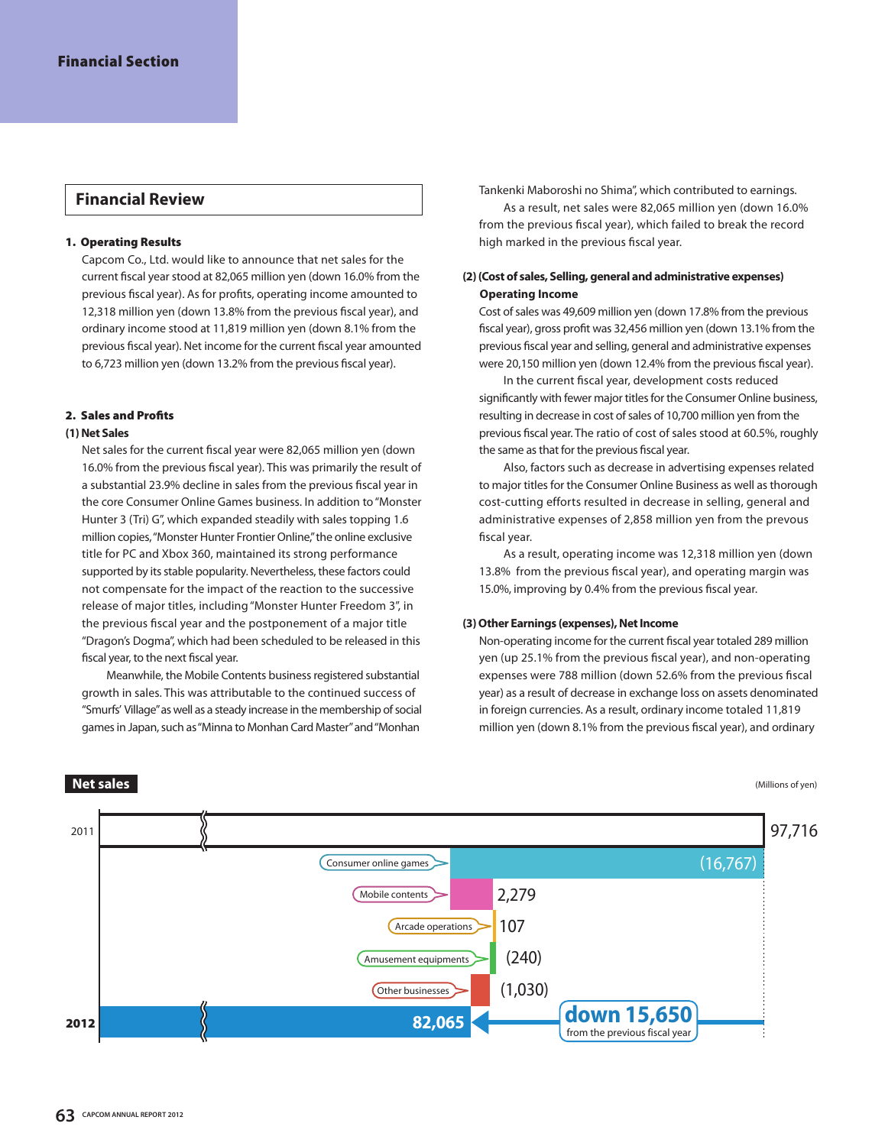## **1. Operating Results**

Capcom Co., Ltd. would like to announce that net sales for the current fiscal year stood at 82,065 million yen (down 16.0% from the previous fiscal year). As for profits, operating income amounted to 12,318 million yen (down 13.8% from the previous fiscal year), and ordinary income stood at 11,819 million yen (down 8.1% from the previous fiscal year). Net income for the current fiscal year amounted to 6,723 million yen (down 13.2% from the previous fiscal year).

## **2. Sales and Profits**

## **(1) Net Sales**

Net sales for the current fiscal year were 82,065 million yen (down 16.0% from the previous fiscal year). This was primarily the result of a substantial 23.9% decline in sales from the previous fiscal year in the core Consumer Online Games business. In addition to "Monster Hunter 3 (Tri) G", which expanded steadily with sales topping 1.6 million copies, "Monster Hunter Frontier Online," the online exclusive title for PC and Xbox 360, maintained its strong performance supported by its stable popularity. Nevertheless, these factors could not compensate for the impact of the reaction to the successive release of major titles, including "Monster Hunter Freedom 3", in the previous fiscal year and the postponement of a major title "Dragon's Dogma", which had been scheduled to be released in this fiscal year, to the next fiscal year.

Meanwhile, the Mobile Contents business registered substantial growth in sales. This was attributable to the continued success of "Smurfs' Village" as well as a steady increase in the membership of social games in Japan, such as "Minna to Monhan Card Master" and "Monhan

**Financial Review** Tankenki Maboroshi no Shima", which contributed to earnings. As a result, net sales were 82,065 million yen (down 16.0% from the previous fiscal year), which failed to break the record high marked in the previous fiscal year.

## **(2) (Cost of sales, Selling, general and administrative expenses) Operating Income**

Cost of sales was 49,609 million yen (down 17.8% from the previous fiscal year), gross profit was 32,456 million yen (down 13.1% from the previous fiscal year and selling, general and administrative expenses were 20,150 million yen (down 12.4% from the previous fiscal year).

In the current fiscal year, development costs reduced significantly with fewer major titles for the Consumer Online business, resulting in decrease in cost of sales of 10,700 million yen from the previous fiscal year. The ratio of cost of sales stood at 60.5%, roughly the same as that for the previous fiscal year.

Also, factors such as decrease in advertising expenses related to major titles for the Consumer Online Business as well as thorough cost-cutting efforts resulted in decrease in selling, general and administrative expenses of 2,858 million yen from the prevous fiscal year.

As a result, operating income was 12,318 million yen (down 13.8% from the previous fiscal year), and operating margin was 15.0%, improving by 0.4% from the previous fiscal year.

## **(3) Other Earnings (expenses), Net Income**

Non-operating income for the current fiscal year totaled 289 million yen (up 25.1% from the previous fiscal year), and non-operating expenses were 788 million (down 52.6% from the previous fiscal year) as a result of decrease in exchange loss on assets denominated in foreign currencies. As a result, ordinary income totaled 11,819 million yen (down 8.1% from the previous fiscal year), and ordinary

(Millions of yen)



## **Net sales**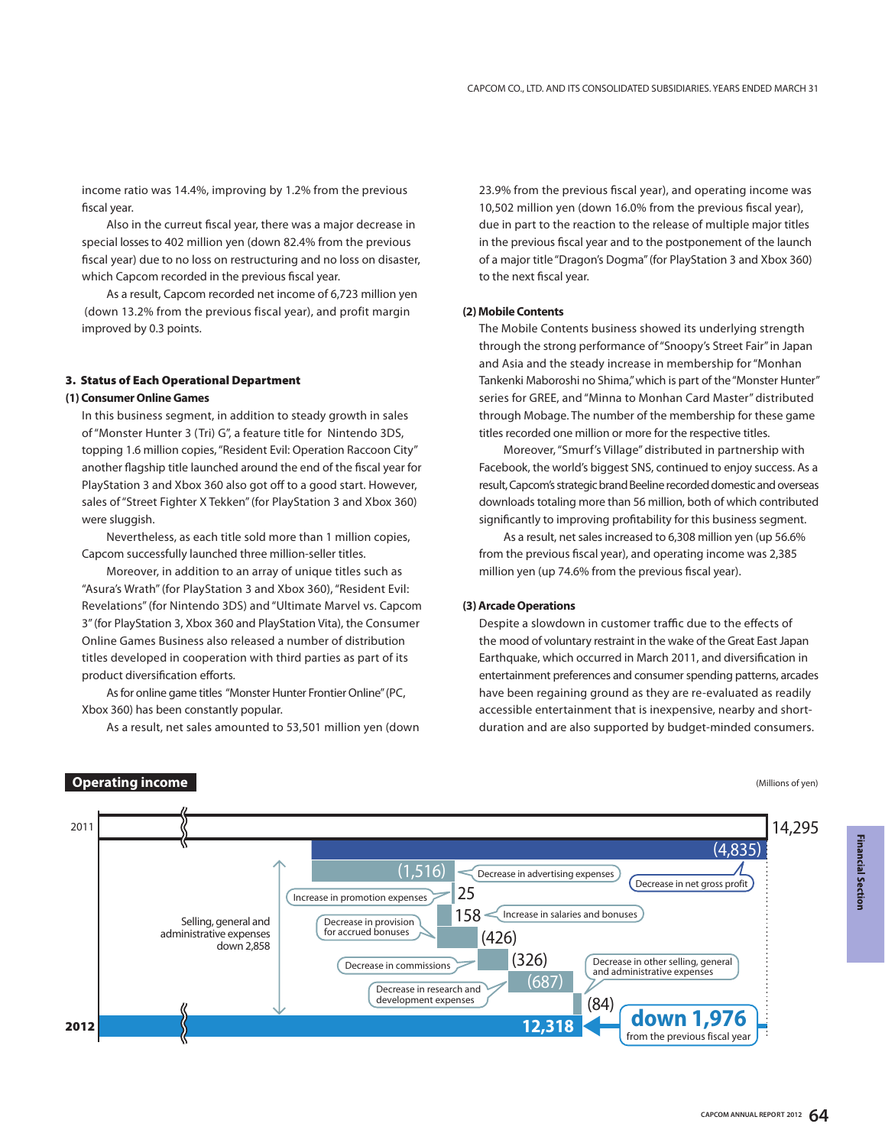income ratio was 14.4%, improving by 1.2% from the previous fiscal year.

Also in the curreut fiscal year, there was a major decrease in special losses to 402 million yen (down 82.4% from the previous fiscal year) due to no loss on restructuring and no loss on disaster, which Capcom recorded in the previous fiscal year.

As a result, Capcom recorded net income of 6,723 million yen (down 13.2% from the previous fiscal year), and profit margin improved by 0.3 points.

#### **3. Status of Each Operational Department**

## **(1) Consumer Online Games**

**Operating income**

In this business segment, in addition to steady growth in sales of "Monster Hunter 3 (Tri) G", a feature title for Nintendo 3DS, topping 1.6 million copies, "Resident Evil: Operation Raccoon City" another flagship title launched around the end of the fiscal year for PlayStation 3 and Xbox 360 also got off to a good start. However, sales of "Street Fighter X Tekken" (for PlayStation 3 and Xbox 360) were sluggish.

Nevertheless, as each title sold more than 1 million copies, Capcom successfully launched three million-seller titles.

Moreover, in addition to an array of unique titles such as "Asura's Wrath" (for PlayStation 3 and Xbox 360), "Resident Evil: Revelations" (for Nintendo 3DS) and "Ultimate Marvel vs. Capcom 3" (for PlayStation 3, Xbox 360 and PlayStation Vita), the Consumer Online Games Business also released a number of distribution titles developed in cooperation with third parties as part of its product diversification efforts.

As for online game titles "Monster Hunter Frontier Online" (PC, Xbox 360) has been constantly popular.

As a result, net sales amounted to 53,501 million yen (down

23.9% from the previous fiscal year), and operating income was 10,502 million yen (down 16.0% from the previous fiscal year), due in part to the reaction to the release of multiple major titles in the previous fiscal year and to the postponement of the launch of a major title "Dragon's Dogma" (for PlayStation 3 and Xbox 360) to the next fiscal year.

#### **(2) Mobile Contents**

The Mobile Contents business showed its underlying strength through the strong performance of "Snoopy's Street Fair" in Japan and Asia and the steady increase in membership for "Monhan Tankenki Maboroshi no Shima," which is part of the "Monster Hunter" series for GREE, and "Minna to Monhan Card Master" distributed through Mobage. The number of the membership for these game titles recorded one million or more for the respective titles.

Moreover, "Smurf's Village" distributed in partnership with Facebook, the world's biggest SNS, continued to enjoy success. As a result, Capcom's strategic brand Beeline recorded domestic and overseas downloads totaling more than 56 million, both of which contributed significantly to improving profitability for this business segment.

As a result, net sales increased to 6,308 million yen (up 56.6% from the previous fiscal year), and operating income was 2,385 million yen (up 74.6% from the previous fiscal year).

#### **(3) Arcade Operations**

Despite a slowdown in customer traffic due to the effects of the mood of voluntary restraint in the wake of the Great East Japan Earthquake, which occurred in March 2011, and diversification in entertainment preferences and consumer spending patterns, arcades have been regaining ground as they are re-evaluated as readily accessible entertainment that is inexpensive, nearby and shortduration and are also supported by budget-minded consumers.

(Millions of yen)

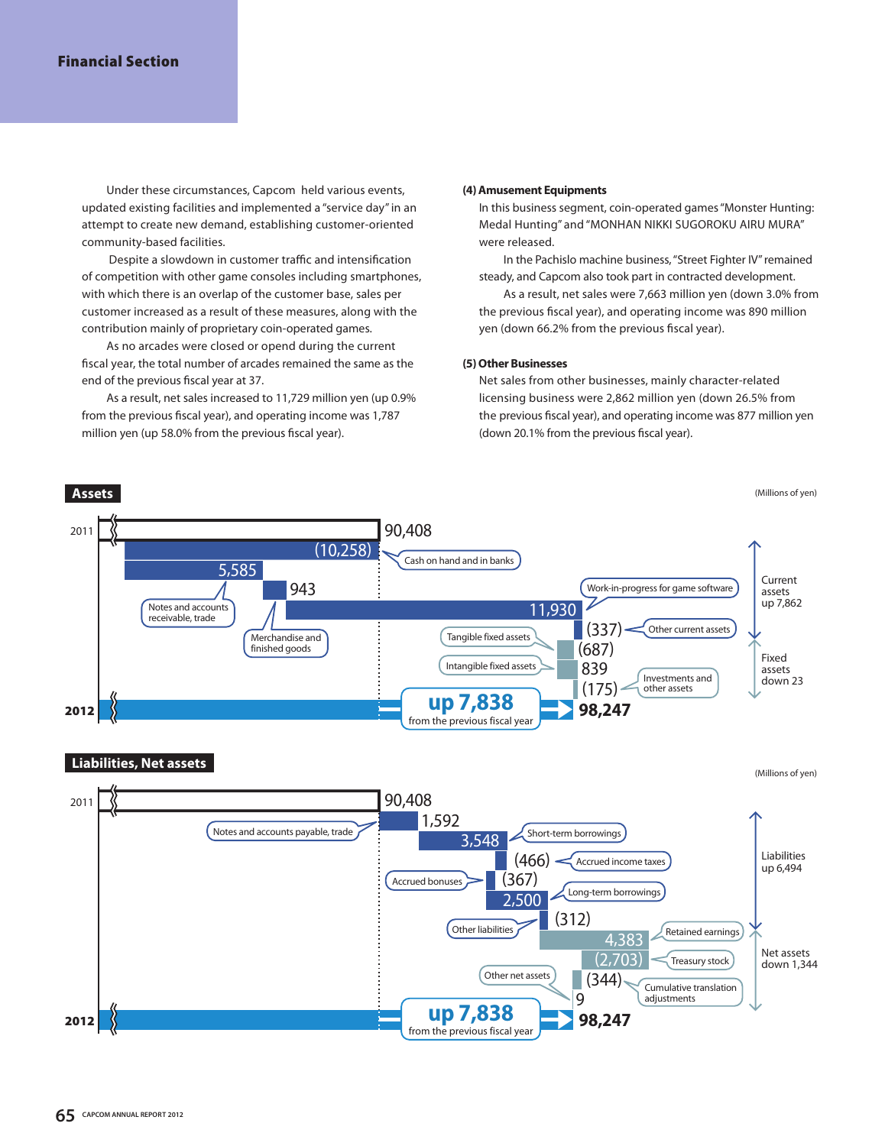## **Financial Section**

Under these circumstances, Capcom held various events, updated existing facilities and implemented a "service day" in an attempt to create new demand, establishing customer-oriented community-based facilities.

 Despite a slowdown in customer traffic and intensification of competition with other game consoles including smartphones, with which there is an overlap of the customer base, sales per customer increased as a result of these measures, along with the contribution mainly of proprietary coin-operated games.

As no arcades were closed or opend during the current fiscal year, the total number of arcades remained the same as the end of the previous fiscal year at 37.

As a result, net sales increased to 11,729 million yen (up 0.9% from the previous fiscal year), and operating income was 1,787 million yen (up 58.0% from the previous fiscal year).

#### **(4) Amusement Equipments**

In this business segment, coin-operated games "Monster Hunting: Medal Hunting" and "MONHAN NIKKI SUGOROKU AIRU MURA" were released.

In the Pachislo machine business, "Street Fighter IV" remained steady, and Capcom also took part in contracted development.

As a result, net sales were 7,663 million yen (down 3.0% from the previous fiscal year), and operating income was 890 million yen (down 66.2% from the previous fiscal year).

## **(5) Other Businesses**

Net sales from other businesses, mainly character-related licensing business were 2,862 million yen (down 26.5% from the previous fiscal year), and operating income was 877 million yen (down 20.1% from the previous fiscal year).

(Millions of yen) 90,408  $(10.258)$ (687) (175) 839 (337) 2011 <sup>2012</sup> **98,247 up 7,838** 943 5,585 Cash on hand and in banks Other current assets Tangible fixed assets Intangible fixed assets Work-in-progress for game software 11,930 **Assets** Current assets up 7,862 Fixed assets down 23 Merchandise and finished goods Notes and accounts receivable, trade Investments and other assets from the previous fiscal year

## **Liabilities, Net assets**

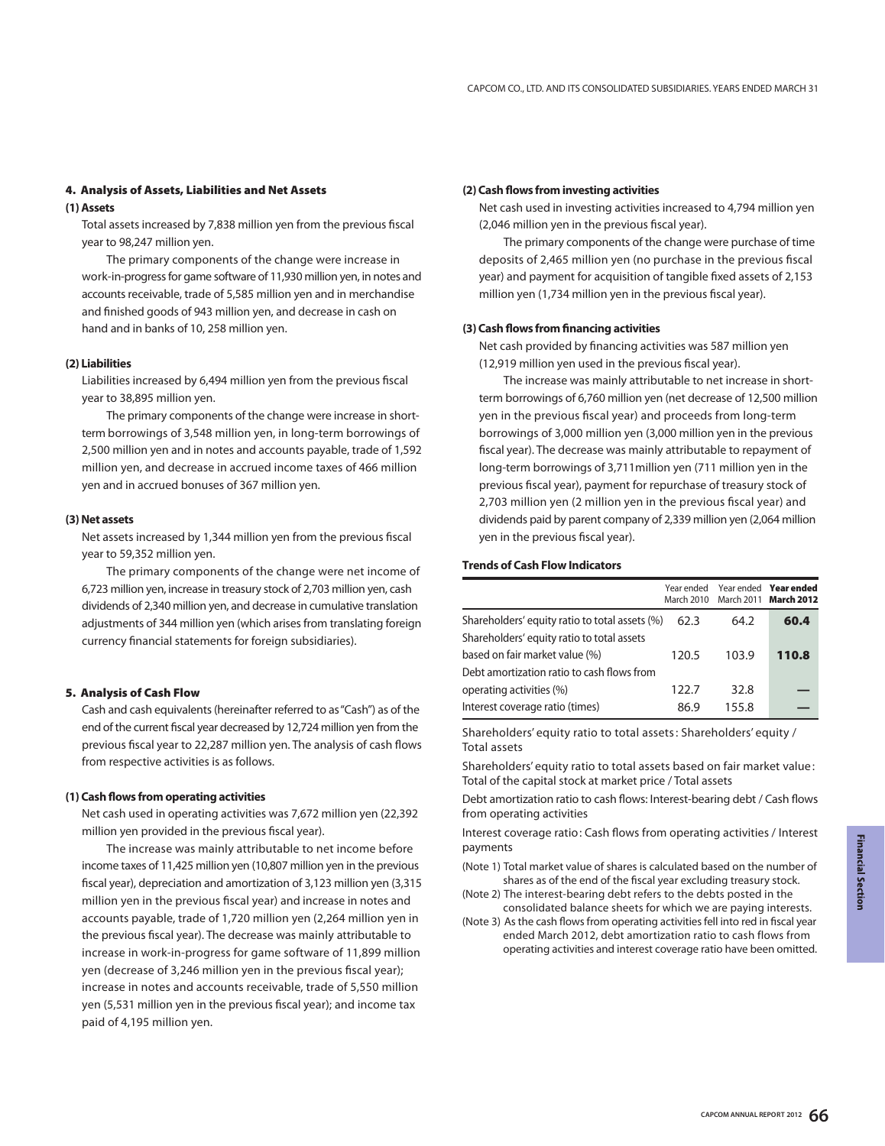## **4. Analysis of Assets, Liabilities and Net Assets**

## **(1) Assets**

Total assets increased by 7,838 million yen from the previous fiscal year to 98,247 million yen.

The primary components of the change were increase in work-in-progress for game software of 11,930 million yen, in notes and accounts receivable, trade of 5,585 million yen and in merchandise and finished goods of 943 million yen, and decrease in cash on hand and in banks of 10, 258 million yen.

## **(2) Liabilities**

Liabilities increased by 6,494 million yen from the previous fiscal year to 38,895 million yen.

The primary components of the change were increase in shortterm borrowings of 3,548 million yen, in long-term borrowings of 2,500 million yen and in notes and accounts payable, trade of 1,592 million yen, and decrease in accrued income taxes of 466 million yen and in accrued bonuses of 367 million yen.

#### **(3) Net assets**

Net assets increased by 1,344 million yen from the previous fiscal year to 59,352 million yen.

The primary components of the change were net income of 6,723 million yen, increase in treasury stock of 2,703 million yen, cash dividends of 2,340 million yen, and decrease in cumulative translation adjustments of 344 million yen (which arises from translating foreign currency financial statements for foreign subsidiaries).

## **5. Analysis of Cash Flow**

Cash and cash equivalents (hereinafter referred to as "Cash") as of the end of the current fiscal year decreased by 12,724 million yen from the previous fiscal year to 22,287 million yen. The analysis of cash flows from respective activities is as follows.

### **(1) Cash flows from operating activities**

Net cash used in operating activities was 7,672 million yen (22,392 million yen provided in the previous fiscal year).

The increase was mainly attributable to net income before income taxes of 11,425 million yen (10,807 million yen in the previous fiscal year), depreciation and amortization of 3,123 million yen (3,315 million yen in the previous fiscal year) and increase in notes and accounts payable, trade of 1,720 million yen (2,264 million yen in the previous fiscal year). The decrease was mainly attributable to increase in work-in-progress for game software of 11,899 million yen (decrease of 3,246 million yen in the previous fiscal year); increase in notes and accounts receivable, trade of 5,550 million yen (5,531 million yen in the previous fiscal year); and income tax paid of 4,195 million yen.

### **(2) Cash flows from investing activities**

Net cash used in investing activities increased to 4,794 million yen (2,046 million yen in the previous fiscal year).

The primary components of the change were purchase of time deposits of 2,465 million yen (no purchase in the previous fiscal year) and payment for acquisition of tangible fixed assets of 2,153 million yen (1,734 million yen in the previous fiscal year).

#### **(3) Cash flows from financing activities**

Net cash provided by financing activities was 587 million yen (12,919 million yen used in the previous fiscal year).

The increase was mainly attributable to net increase in shortterm borrowings of 6,760 million yen (net decrease of 12,500 million yen in the previous fiscal year) and proceeds from long-term borrowings of 3,000 million yen (3,000 million yen in the previous fiscal year). The decrease was mainly attributable to repayment of long-term borrowings of 3,711million yen (711 million yen in the previous fiscal year), payment for repurchase of treasury stock of 2,703 million yen (2 million yen in the previous fiscal year) and dividends paid by parent company of 2,339 million yen (2,064 million yen in the previous fiscal year).

#### **Trends of Cash Flow Indicators**

|                                                |       |       | Year ended Year ended Year ended<br>March 2010 March 2011 March 2012 |
|------------------------------------------------|-------|-------|----------------------------------------------------------------------|
| Shareholders' equity ratio to total assets (%) | 62.3  | 64.2  | 60.4                                                                 |
| Shareholders' equity ratio to total assets     |       |       |                                                                      |
| based on fair market value (%)                 | 120.5 | 103.9 | 110.8                                                                |
| Debt amortization ratio to cash flows from     |       |       |                                                                      |
| operating activities (%)                       | 122.7 | 32.8  |                                                                      |
| Interest coverage ratio (times)                | 86.9  | 155.8 |                                                                      |

Shareholders' equity ratio to total assets : Shareholders' equity / Total assets

Shareholders' equity ratio to total assets based on fair market value : Total of the capital stock at market price / Total assets

Debt amortization ratio to cash flows: Interest-bearing debt / Cash flows from operating activities

Interest coverage ratio: Cash flows from operating activities / Interest payments

- (Note 1) Total market value of shares is calculated based on the number of shares as of the end of the fiscal year excluding treasury stock.
- (Note 2) The interest-bearing debt refers to the debts posted in the consolidated balance sheets for which we are paying interests.
- (Note 3) As the cash flows from operating activities fell into red in fiscal year ended March 2012, debt amortization ratio to cash flows from operating activities and interest coverage ratio have been omitted.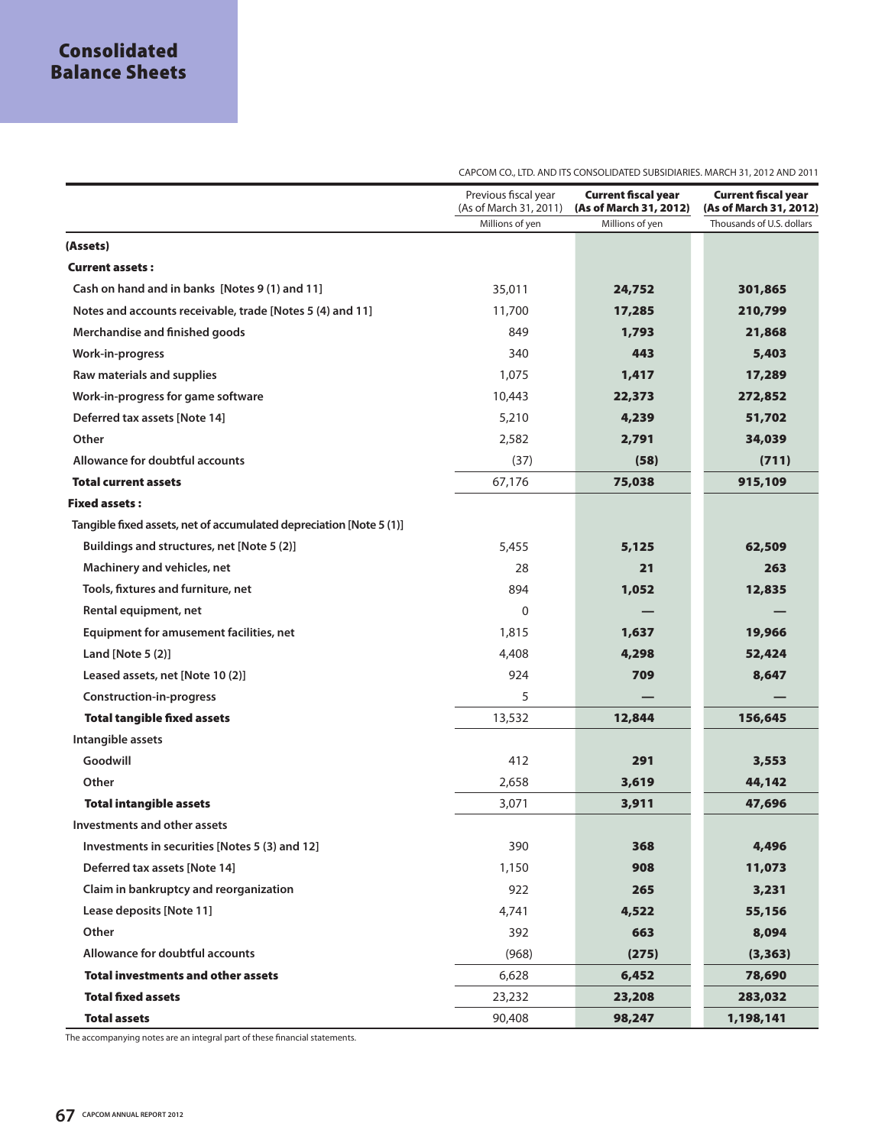35,011 11,700 849 340 1,075 10,443 5,210 2,582 (37) 67,176 5,455 28 894 0 1,815 4,408 924 5 13,532 412 2,658 3,071 390 1,150 922 4,741 392 (968) 6,628 23,232 90,408  **24,752 17,285 1,793 443 1,417 22,373 4,239 2,791 (58) 75,038 5,125 21 1,052 — 1,637 4,298 709 — 12,844 291 3,619 3,911 368 908 265 4,522 663 (275) 6,452 23,208 98,247 301,865 210,799 21,868 5,403 17,289 272,852 51,702 34,039 (711) 915,109 62,509 263 12,835 — 19,966 52,424 8,647 — 156,645 3,553 44,142 47,696 4,496 11,073 3,231 55,156 8,094 (3,363) 78,690 283,032 1,198,141**  Millions of yen Millions of yen Thousands of U.S. dollars **Current fiscal year (As of March 31, 2012) Current fiscal year (As of March 31, 2012)** Previous fiscal year (As of March 31, 2011) **(Assets) Current assets : Cash on hand and in banks [Notes 9 (1) and 11] Notes and accounts receivable, trade [Notes 5 (4) and 11] Merchandise and finished goods Work-in-progress Raw materials and supplies Work-in-progress for game software Deferred tax assets [Note 14] Other Allowance for doubtful accounts Total current assets Fixed assets : Tangible fixed assets, net of accumulated depreciation [Note 5 (1)] Buildings and structures, net [Note 5 (2)] Machinery and vehicles, net Tools, fixtures and furniture, net Rental equipment, net Equipment for amusement facilities, net Land [Note 5 (2)] Leased assets, net [Note 10 (2)] Construction-in-progress Total tangible fixed assets Intangible assets Goodwill Other Total intangible assets Investments and other assets Investments in securities [Notes 5 (3) and 12] Deferred tax assets [Note 14] Claim in bankruptcy and reorganization Lease deposits [Note 11] Other Allowance for doubtful accounts Total investments and other assets Total fixed assets Total assets**

CAPCOM CO., LTD. AND ITS CONSOLIDATED SUBSIDIARIES. MARCH 31, 2012 AND 2011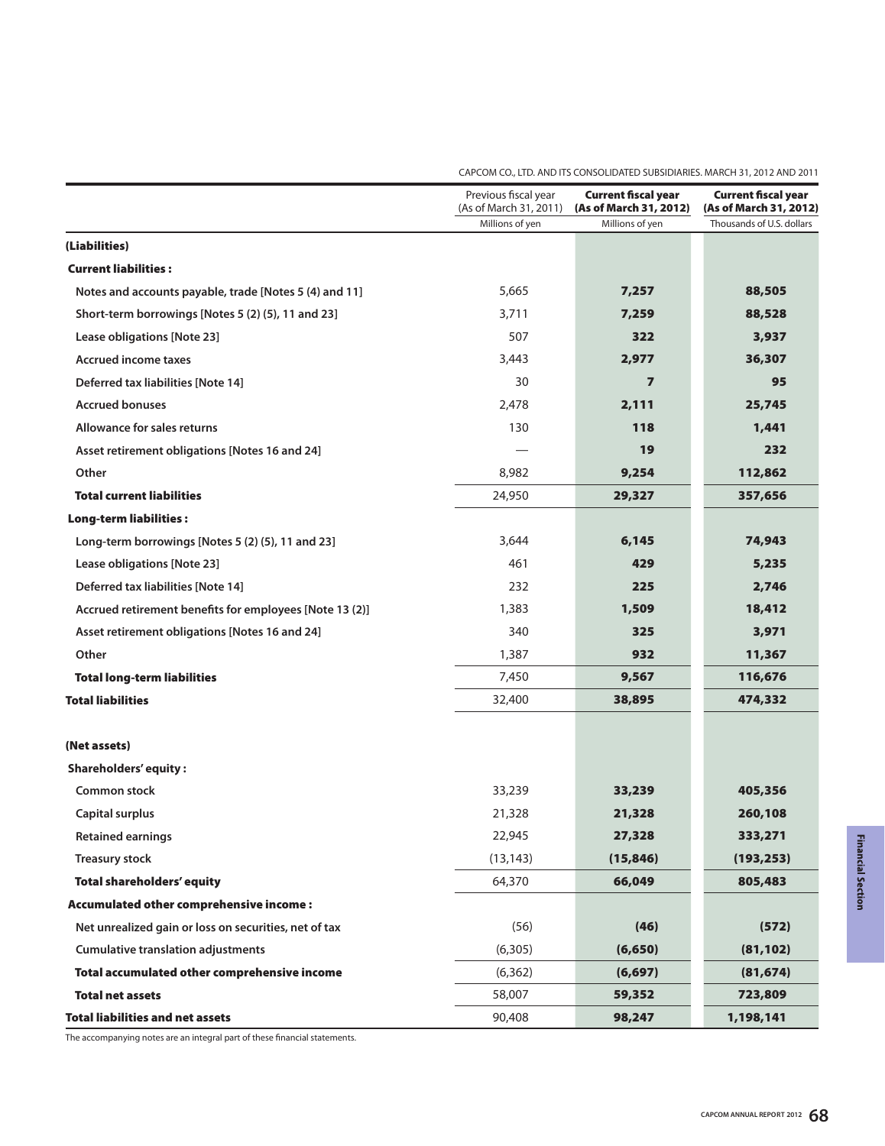|                                                         | Previous fiscal year<br>(As of March 31, 2011) | <b>Current fiscal year</b><br>(As of March 31, 2012) | <b>Current fiscal year</b><br>(As of March 31, 2012) |
|---------------------------------------------------------|------------------------------------------------|------------------------------------------------------|------------------------------------------------------|
|                                                         | Millions of yen                                | Millions of yen                                      | Thousands of U.S. dollars                            |
| (Liabilities)                                           |                                                |                                                      |                                                      |
| <b>Current liabilities:</b>                             |                                                |                                                      |                                                      |
| Notes and accounts payable, trade [Notes 5 (4) and 11]  | 5,665                                          | 7,257                                                | 88,505                                               |
| Short-term borrowings [Notes 5 (2) (5), 11 and 23]      | 3,711                                          | 7,259                                                | 88,528                                               |
| Lease obligations [Note 23]                             | 507                                            | 322                                                  | 3,937                                                |
| <b>Accrued income taxes</b>                             | 3,443                                          | 2,977                                                | 36,307                                               |
| Deferred tax liabilities [Note 14]                      | 30                                             | $\overline{\mathbf{z}}$                              | 95                                                   |
| <b>Accrued bonuses</b>                                  | 2,478                                          | 2,111                                                | 25,745                                               |
| Allowance for sales returns                             | 130                                            | 118                                                  | 1,441                                                |
| Asset retirement obligations [Notes 16 and 24]          |                                                | 19                                                   | 232                                                  |
| Other                                                   | 8,982                                          | 9,254                                                | 112,862                                              |
| <b>Total current liabilities</b>                        | 24,950                                         | 29,327                                               | 357,656                                              |
| <b>Long-term liabilities:</b>                           |                                                |                                                      |                                                      |
| Long-term borrowings [Notes 5 (2) (5), 11 and 23]       | 3,644                                          | 6,145                                                | 74,943                                               |
| Lease obligations [Note 23]                             | 461                                            | 429                                                  | 5,235                                                |
| Deferred tax liabilities [Note 14]                      | 232                                            | 225                                                  | 2,746                                                |
| Accrued retirement benefits for employees [Note 13 (2)] | 1,383                                          | 1,509                                                | 18,412                                               |
| Asset retirement obligations [Notes 16 and 24]          | 340                                            | 325                                                  | 3,971                                                |
| Other                                                   | 1,387                                          | 932                                                  | 11,367                                               |
| <b>Total long-term liabilities</b>                      | 7,450                                          | 9,567                                                | 116,676                                              |
| <b>Total liabilities</b>                                | 32,400                                         | 38,895                                               | 474,332                                              |
| (Net assets)                                            |                                                |                                                      |                                                      |
| <b>Shareholders' equity:</b>                            |                                                |                                                      |                                                      |
| Common stock                                            | 33,239                                         | 33,239                                               | 405,356                                              |
| <b>Capital surplus</b>                                  | 21,328                                         | 21,328                                               | 260,108                                              |
| <b>Retained earnings</b>                                | 22,945                                         | 27,328                                               | 333,271                                              |
| <b>Treasury stock</b>                                   | (13, 143)                                      | (15, 846)                                            | (193, 253)                                           |
| <b>Total shareholders' equity</b>                       | 64,370                                         | 66,049                                               | 805,483                                              |
| Accumulated other comprehensive income:                 |                                                |                                                      |                                                      |
| Net unrealized gain or loss on securities, net of tax   | (56)                                           | (46)                                                 | (572)                                                |
| <b>Cumulative translation adjustments</b>               | (6,305)                                        | (6, 650)                                             | (81, 102)                                            |
| Total accumulated other comprehensive income            | (6, 362)                                       | (6, 697)                                             | (81, 674)                                            |
| <b>Total net assets</b>                                 | 58,007                                         | 59,352                                               | 723,809                                              |
| <b>Total liabilities and net assets</b>                 | 90,408                                         | 98,247                                               | 1,198,141                                            |

CAPCOM CO., LTD. AND ITS CONSOLIDATED SUBSIDIARIES. MARCH 31, 2012 AND 2011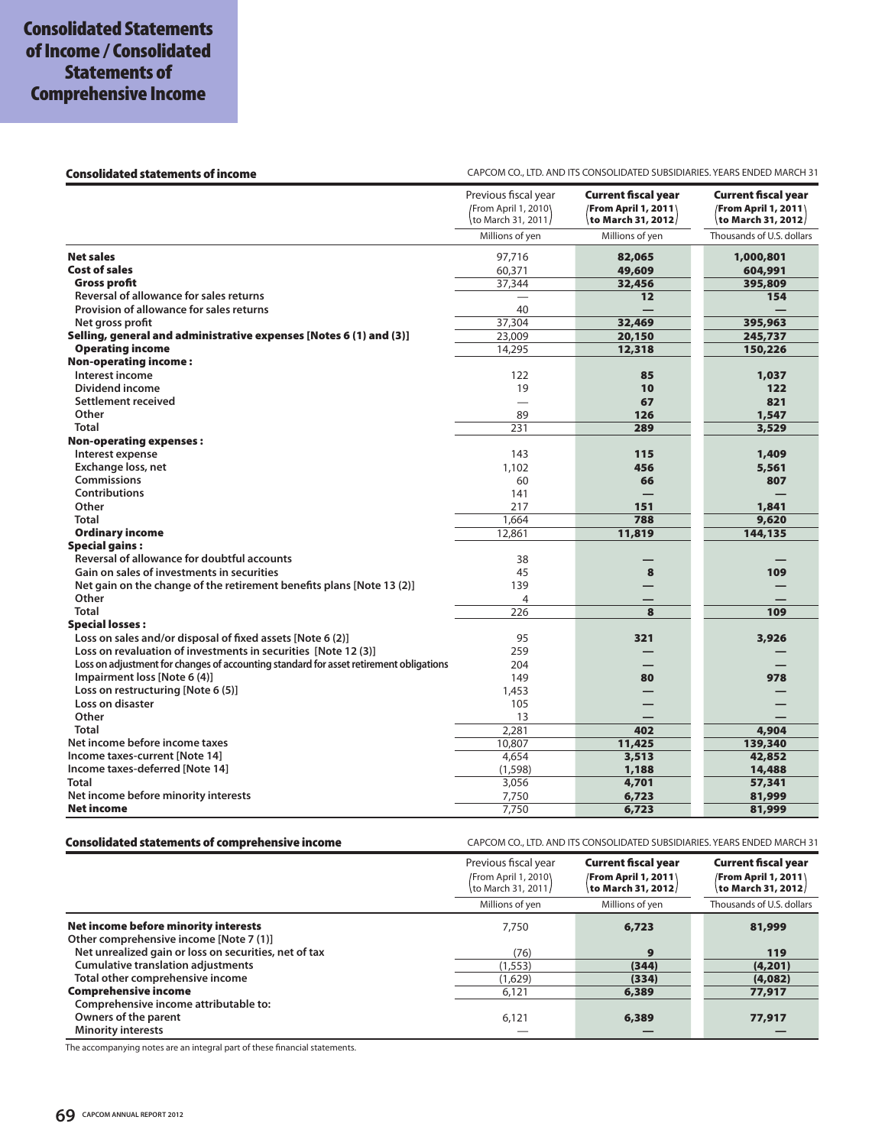#### Consolidated statements of income **CAPCOM CO., LTD. AND ITS CONSOLIDATED SUBSIDIARIES. YEARS ENDED MARCH 31**

|                                                                                        | Previous fiscal year<br><b>/From April 1, 2010</b><br>to March 31, 2011/ | <b>Current fiscal year</b><br><b>From April 1, 2011</b><br>to March 31, 2012/ | <b>Current fiscal year</b><br><b>/From April 1, 2011</b><br>to March 31, 2012/ |
|----------------------------------------------------------------------------------------|--------------------------------------------------------------------------|-------------------------------------------------------------------------------|--------------------------------------------------------------------------------|
|                                                                                        | Millions of yen                                                          | Millions of yen                                                               | Thousands of U.S. dollars                                                      |
| <b>Net sales</b>                                                                       | 97,716                                                                   | 82,065                                                                        | 1,000,801                                                                      |
| <b>Cost of sales</b>                                                                   | 60,371                                                                   | 49,609                                                                        | 604,991                                                                        |
| <b>Gross profit</b>                                                                    | 37,344                                                                   | 32,456                                                                        | 395,809                                                                        |
| Reversal of allowance for sales returns                                                |                                                                          | 12                                                                            | 154                                                                            |
| Provision of allowance for sales returns                                               | 40                                                                       |                                                                               |                                                                                |
| Net aross profit                                                                       | 37,304                                                                   | 32,469                                                                        | 395,963                                                                        |
| Selling, general and administrative expenses [Notes 6 (1) and (3)]                     | 23,009                                                                   | 20,150                                                                        | 245,737                                                                        |
| <b>Operating income</b>                                                                | 14,295                                                                   | 12,318                                                                        | 150,226                                                                        |
| <b>Non-operating income:</b>                                                           |                                                                          |                                                                               |                                                                                |
| Interest income                                                                        | 122                                                                      | 85                                                                            | 1,037                                                                          |
| Dividend income                                                                        | 19                                                                       | 10                                                                            | 122                                                                            |
| Settlement received                                                                    |                                                                          | 67                                                                            | 821                                                                            |
| Other                                                                                  | 89                                                                       | 126                                                                           | 1,547                                                                          |
| <b>Total</b>                                                                           | 231                                                                      | 289                                                                           | 3,529                                                                          |
| <b>Non-operating expenses:</b>                                                         |                                                                          |                                                                               |                                                                                |
| Interest expense                                                                       | 143                                                                      | 115                                                                           | 1,409                                                                          |
| Exchange loss, net                                                                     | 1,102                                                                    | 456                                                                           | 5,561                                                                          |
| <b>Commissions</b>                                                                     | 60                                                                       | 66                                                                            | 807                                                                            |
| <b>Contributions</b>                                                                   | 141                                                                      |                                                                               |                                                                                |
| Other                                                                                  | 217                                                                      | 151                                                                           | 1,841                                                                          |
| <b>Total</b>                                                                           | 1,664                                                                    | 788                                                                           | 9,620                                                                          |
| <b>Ordinary income</b>                                                                 | 12,861                                                                   | 11,819                                                                        | 144,135                                                                        |
| <b>Special gains:</b>                                                                  |                                                                          |                                                                               |                                                                                |
| Reversal of allowance for doubtful accounts                                            | 38                                                                       |                                                                               |                                                                                |
| Gain on sales of investments in securities                                             | 45                                                                       | 8                                                                             | 109                                                                            |
| Net gain on the change of the retirement benefits plans [Note 13 (2)]                  | 139                                                                      |                                                                               |                                                                                |
| Other                                                                                  | $\overline{4}$                                                           |                                                                               |                                                                                |
| Total                                                                                  | 226                                                                      | 8                                                                             | 109                                                                            |
| <b>Special losses:</b>                                                                 |                                                                          |                                                                               |                                                                                |
| Loss on sales and/or disposal of fixed assets [Note 6 (2)]                             | 95                                                                       | 321                                                                           | 3,926                                                                          |
| Loss on revaluation of investments in securities [Note 12 (3)]                         | 259                                                                      |                                                                               |                                                                                |
| Loss on adjustment for changes of accounting standard for asset retirement obligations | 204                                                                      |                                                                               |                                                                                |
| Impairment loss [Note 6 (4)]                                                           | 149                                                                      | 80                                                                            | 978                                                                            |
|                                                                                        |                                                                          |                                                                               |                                                                                |
| Loss on restructuring [Note 6 (5)]<br>Loss on disaster                                 | 1,453                                                                    |                                                                               |                                                                                |
|                                                                                        | 105                                                                      |                                                                               |                                                                                |
| Other                                                                                  | 13                                                                       |                                                                               |                                                                                |
| <b>Total</b>                                                                           | 2,281                                                                    | 402                                                                           | 4,904                                                                          |
| Net income before income taxes                                                         | 10,807                                                                   | 11,425                                                                        | 139,340                                                                        |
| Income taxes-current [Note 14]                                                         | 4,654                                                                    | 3,513                                                                         | 42,852                                                                         |
| Income taxes-deferred [Note 14]                                                        | (1, 598)                                                                 | 1,188                                                                         | 14,488                                                                         |
| <b>Total</b>                                                                           | 3,056                                                                    | 4,701                                                                         | 57,341                                                                         |
| Net income before minority interests                                                   | 7,750                                                                    | 6,723                                                                         | 81,999                                                                         |
| <b>Net income</b>                                                                      | 7,750                                                                    | 6,723                                                                         | 81,999                                                                         |

| Consolidated statements of comprehensive income | CAPCOM CO., LTD. AND ITS CONSOLIDATED SUBSIDIARIES. YEARS ENDED MARCH 31 |
|-------------------------------------------------|--------------------------------------------------------------------------|
|                                                 |                                                                          |

|                                                                                 | Previous fiscal year<br>/From April 1, 2010\<br>\to March 31, 2011/ | <b>Current fiscal year</b><br><b>/From April 1, 2011</b><br>to March 31, 2012/ | <b>Current fiscal year</b><br><b>/From April 1, 2011</b><br>to March 31, 2012/ |
|---------------------------------------------------------------------------------|---------------------------------------------------------------------|--------------------------------------------------------------------------------|--------------------------------------------------------------------------------|
|                                                                                 | Millions of yen                                                     | Millions of yen                                                                | Thousands of U.S. dollars                                                      |
| Net income before minority interests<br>Other comprehensive income [Note 7 (1)] | 7.750                                                               | 6,723                                                                          | 81,999                                                                         |
| Net unrealized gain or loss on securities, net of tax                           | (76)                                                                | 9                                                                              | 119                                                                            |
| <b>Cumulative translation adjustments</b>                                       | (1, 553)                                                            | (344)                                                                          | (4,201)                                                                        |
| Total other comprehensive income                                                | (1,629)                                                             | (334)                                                                          | (4,082)                                                                        |
| <b>Comprehensive income</b>                                                     | 6,121                                                               | 6,389                                                                          | 77,917                                                                         |
| Comprehensive income attributable to:                                           |                                                                     |                                                                                |                                                                                |
| Owners of the parent                                                            | 6,121                                                               | 6,389                                                                          | 77,917                                                                         |
| <b>Minority interests</b>                                                       |                                                                     |                                                                                |                                                                                |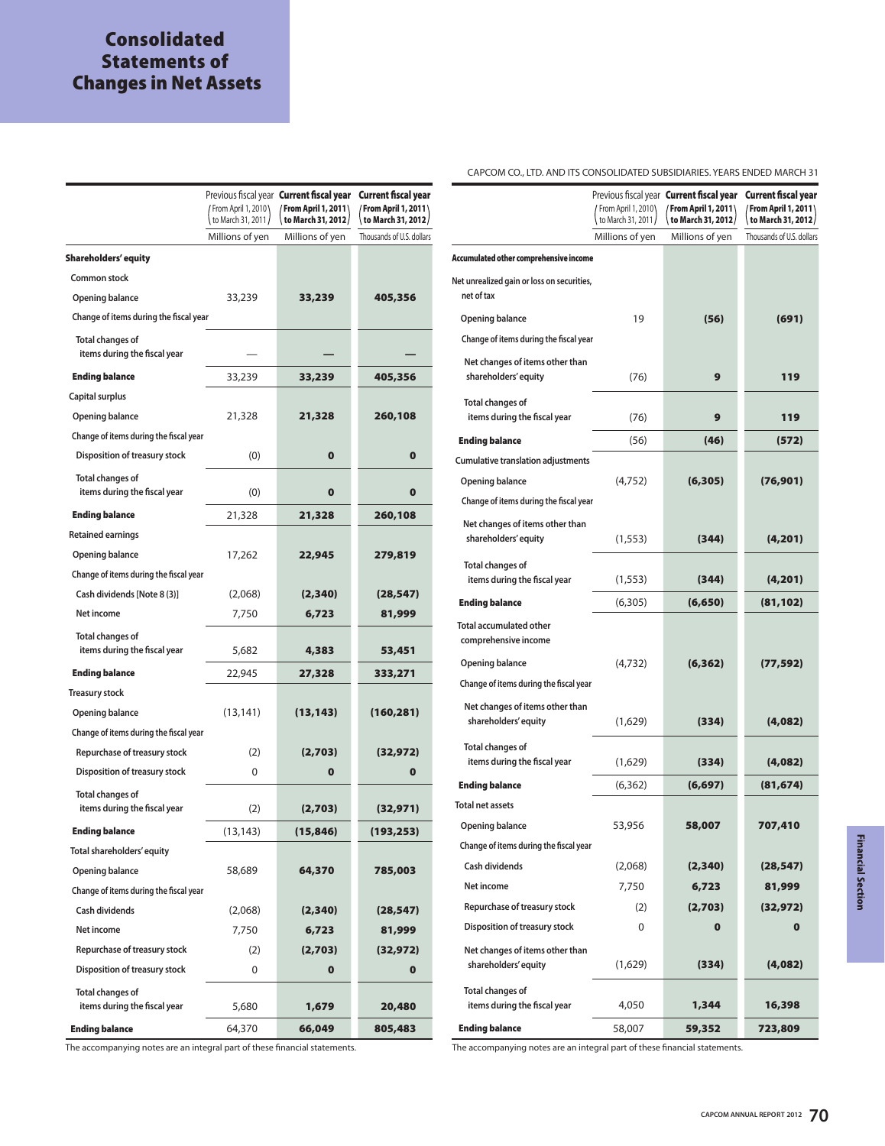## **Consolidated Statements of Changes in Net Assets**

|                                                         |                                       | Previous fiscal year <b>Current fiscal year</b> | Current fiscal year                             |
|---------------------------------------------------------|---------------------------------------|-------------------------------------------------|-------------------------------------------------|
|                                                         | From April 1, 2010                    | <b>From April 1, 2011</b>                       | From April 1, 2011                              |
|                                                         | to March 31, 2011,<br>Millions of yen | to March 31, 2012/<br>Millions of yen           | to March 31, 2012/<br>Thousands of U.S. dollars |
|                                                         |                                       |                                                 |                                                 |
| <b>Shareholders' equity</b>                             |                                       |                                                 |                                                 |
| Common stock                                            |                                       |                                                 |                                                 |
| Opening balance                                         | 33,239                                | 33,239                                          | 405,356                                         |
| Change of items during the fiscal year                  |                                       |                                                 |                                                 |
| <b>Total changes of</b><br>items during the fiscal year |                                       |                                                 |                                                 |
| <b>Ending balance</b>                                   | 33,239                                | 33,239                                          | 405,356                                         |
| Capital surplus                                         |                                       |                                                 |                                                 |
| Opening balance                                         | 21,328                                | 21,328                                          | 260,108                                         |
| Change of items during the fiscal year                  |                                       |                                                 |                                                 |
| Disposition of treasury stock                           | (0)                                   | $\bf{0}$                                        | 0                                               |
| <b>Total changes of</b><br>items during the fiscal year | (0)                                   | $\bf{0}$                                        | $\bf{0}$                                        |
| <b>Ending balance</b>                                   | 21,328                                | 21,328                                          | 260,108                                         |
| <b>Retained earnings</b>                                |                                       |                                                 |                                                 |
| Opening balance                                         | 17,262                                | 22,945                                          | 279,819                                         |
| Change of items during the fiscal year                  |                                       |                                                 |                                                 |
| Cash dividends [Note 8 (3)]                             | (2,068)                               | (2,340)                                         | (28, 547)                                       |
| Net income                                              | 7,750                                 | 6,723                                           | 81,999                                          |
| <b>Total changes of</b>                                 |                                       |                                                 |                                                 |
| items during the fiscal year                            | 5,682                                 | 4,383                                           | 53,451                                          |
| <b>Ending balance</b>                                   | 22,945                                | 27,328                                          | 333,271                                         |
| <b>Treasury stock</b>                                   |                                       |                                                 |                                                 |
| Opening balance                                         | (13, 141)                             | (13, 143)                                       | (160, 281)                                      |
| Change of items during the fiscal year                  |                                       |                                                 |                                                 |
| Repurchase of treasury stock                            | (2)                                   | (2,703)                                         | (32, 972)                                       |
| Disposition of treasury stock                           | $\Omega$                              | $\mathbf o$                                     | $\mathbf 0$                                     |
| <b>Total changes of</b><br>items during the fiscal year | (2)                                   |                                                 |                                                 |
|                                                         |                                       | (2,703)                                         | (32, 971)                                       |
| <b>Ending balance</b>                                   | (13, 143)                             | (15,846)                                        | (193, 253)                                      |
| Total shareholders' equity                              |                                       |                                                 |                                                 |
| Opening balance                                         | 58,689                                | 64,370                                          | 785,003                                         |
| Change of items during the fiscal year                  |                                       |                                                 |                                                 |
| Cash dividends                                          | (2,068)                               | (2,340)                                         | (28, 547)                                       |
| Net income                                              | 7,750                                 | 6,723                                           | 81,999                                          |
| Repurchase of treasury stock                            | (2)                                   | (2,703)                                         | (32, 972)                                       |
| Disposition of treasury stock                           | 0                                     | $\mathbf 0$                                     | $\mathbf{o}$                                    |
| Total changes of<br>items during the fiscal year        | 5,680                                 | 1,679                                           | 20,480                                          |
| <b>Ending balance</b>                                   | 64,370                                | 66,049                                          | 805,483                                         |

CAPCOM CO., LTD. AND ITS CONSOLIDATED SUBSIDIARIES. YEARS ENDED MARCH 31

|                                                          | From April 1, 2010\ | Previous fiscal year <b>Current fiscal year</b><br>From April 1, 2011 | Current fiscal year<br>From April 1, 2011 |
|----------------------------------------------------------|---------------------|-----------------------------------------------------------------------|-------------------------------------------|
|                                                          | to March 31, 2011/  | to March 31, 2012/                                                    | to March 31, 2012/                        |
|                                                          | Millions of yen     | Millions of yen                                                       | Thousands of U.S. dollars                 |
| Accumulated other comprehensive income                   |                     |                                                                       |                                           |
| Net unrealized gain or loss on securities,<br>net of tax |                     |                                                                       |                                           |
| <b>Opening balance</b>                                   | 19                  | (56)                                                                  | (691)                                     |
| Change of items during the fiscal year                   |                     |                                                                       |                                           |
| Net changes of items other than<br>shareholders' equity  | (76)                | 9                                                                     | 119                                       |
| <b>Total changes of</b><br>items during the fiscal year  | (76)                | 9                                                                     | 119                                       |
| <b>Ending balance</b>                                    | (56)                | (46)                                                                  | (572)                                     |
| <b>Cumulative translation adjustments</b>                |                     |                                                                       |                                           |
| <b>Opening balance</b>                                   | (4,752)             | (6,305)                                                               | (76, 901)                                 |
| Change of items during the fiscal year                   |                     |                                                                       |                                           |
| Net changes of items other than<br>shareholders' equity  | (1, 553)            | (344)                                                                 | (4, 201)                                  |
| <b>Total changes of</b><br>items during the fiscal year  | (1, 553)            | (344)                                                                 | (4, 201)                                  |
| <b>Ending balance</b>                                    | (6,305)             | (6,650)                                                               | (81, 102)                                 |
| <b>Total accumulated other</b><br>comprehensive income   |                     |                                                                       |                                           |
| <b>Opening balance</b>                                   | (4,732)             | (6, 362)                                                              | (77, 592)                                 |
| Change of items during the fiscal year                   |                     |                                                                       |                                           |
| Net changes of items other than<br>shareholders' equity  | (1,629)             | (334)                                                                 | (4,082)                                   |
| <b>Total changes of</b><br>items during the fiscal year  | (1,629)             | (334)                                                                 | (4,082)                                   |
| <b>Ending balance</b>                                    | (6, 362)            | (6, 697)                                                              | (81, 674)                                 |
| <b>Total net assets</b>                                  |                     |                                                                       |                                           |
| <b>Opening balance</b>                                   | 53,956              | 58,007                                                                | 707,410                                   |
| Change of items during the fiscal year                   |                     |                                                                       |                                           |
| Cash dividends                                           | (2,068)             | (2,340)                                                               | (28,547)                                  |
| Net income                                               | 7,750               | 6,723                                                                 | 81,999                                    |
| Repurchase of treasury stock                             | (2)                 | (2,703)                                                               | (32, 972)                                 |
| <b>Disposition of treasury stock</b>                     | 0                   | $\mathbf 0$                                                           | $\mathbf 0$                               |
| Net changes of items other than<br>shareholders' equity  | (1,629)             | (334)                                                                 | (4,082)                                   |
| <b>Total changes of</b><br>items during the fiscal year  | 4,050               | 1,344                                                                 | 16,398                                    |
| <b>Ending balance</b>                                    | 58,007              | 59,352                                                                | 723,809                                   |

The accompanying notes are an integral part of these financial statements. The accompanying notes are an integral part of these financial statements.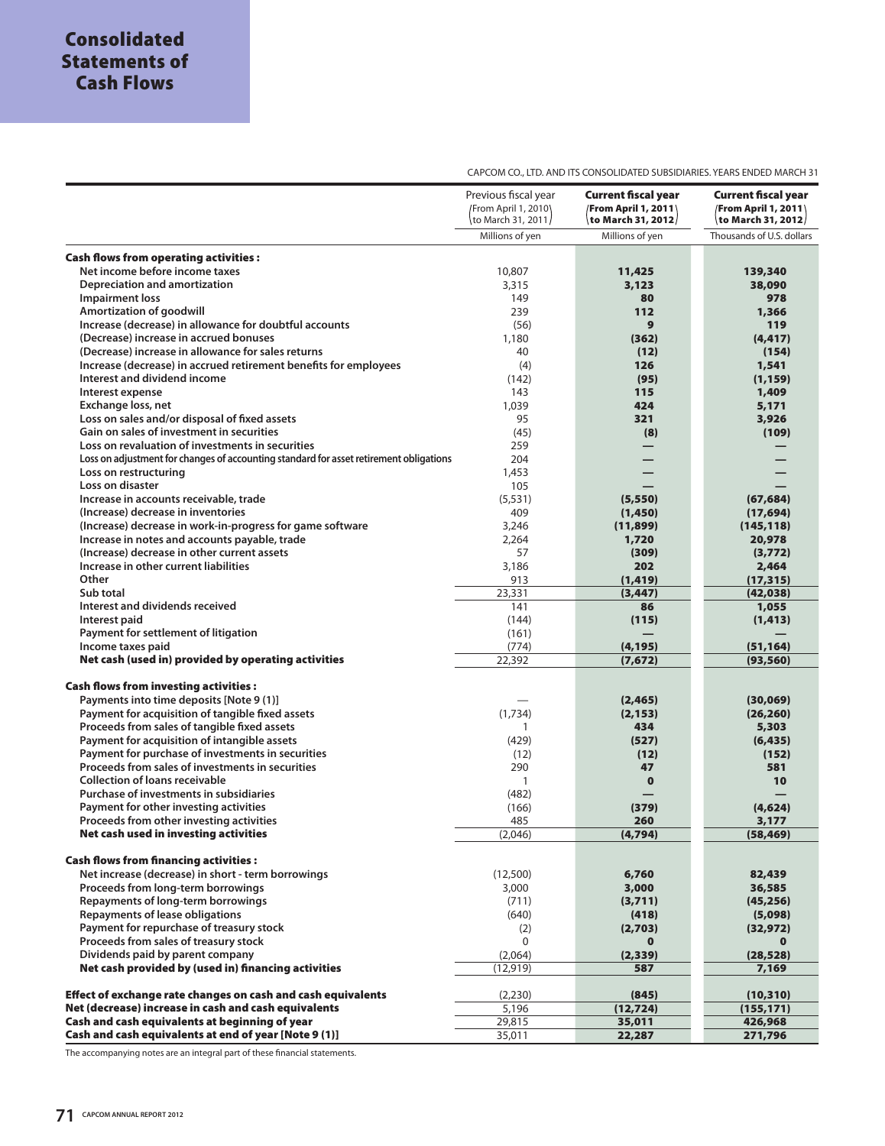CAPCOM CO., LTD. AND ITS CONSOLIDATED SUBSIDIARIES. YEARS ENDED MARCH 31

|                                                                                        | Previous fiscal year<br>From April 1, 2010\<br>to March 31, 2011/ | <b>Current fiscal year</b><br><b>From April 1, 2011</b><br>to March 31, 2012/ | <b>Current fiscal year</b><br><b>/From April 1, 2011/</b><br>to March 31, 2012/ |
|----------------------------------------------------------------------------------------|-------------------------------------------------------------------|-------------------------------------------------------------------------------|---------------------------------------------------------------------------------|
|                                                                                        | Millions of yen                                                   | Millions of yen                                                               | Thousands of U.S. dollars                                                       |
|                                                                                        |                                                                   |                                                                               |                                                                                 |
| <b>Cash flows from operating activities:</b><br>Net income before income taxes         |                                                                   |                                                                               |                                                                                 |
|                                                                                        | 10,807                                                            | 11,425                                                                        | 139,340                                                                         |
| Depreciation and amortization                                                          | 3,315                                                             | 3,123                                                                         | 38,090                                                                          |
| <b>Impairment loss</b>                                                                 | 149                                                               | 80                                                                            | 978                                                                             |
| Amortization of goodwill                                                               | 239                                                               | 112                                                                           | 1,366                                                                           |
| Increase (decrease) in allowance for doubtful accounts                                 | (56)                                                              | 9                                                                             | 119                                                                             |
| (Decrease) increase in accrued bonuses                                                 | 1,180                                                             | (362)                                                                         | (4, 417)                                                                        |
| (Decrease) increase in allowance for sales returns                                     | 40                                                                | (12)                                                                          | (154)                                                                           |
| Increase (decrease) in accrued retirement benefits for employees                       | (4)                                                               | 126                                                                           | 1,541                                                                           |
| Interest and dividend income                                                           | (142)                                                             | (95)                                                                          | (1, 159)                                                                        |
| Interest expense                                                                       | 143                                                               | 115                                                                           | 1,409                                                                           |
| Exchange loss, net                                                                     | 1,039                                                             | 424                                                                           | 5,171                                                                           |
| Loss on sales and/or disposal of fixed assets                                          | 95                                                                | 321                                                                           | 3,926                                                                           |
| Gain on sales of investment in securities                                              | (45)                                                              | (8)                                                                           | (109)                                                                           |
| Loss on revaluation of investments in securities                                       | 259                                                               |                                                                               |                                                                                 |
| Loss on adjustment for changes of accounting standard for asset retirement obligations | 204                                                               |                                                                               |                                                                                 |
| Loss on restructuring                                                                  | 1,453                                                             |                                                                               |                                                                                 |
| Loss on disaster                                                                       | 105                                                               |                                                                               |                                                                                 |
| Increase in accounts receivable, trade                                                 | (5, 531)                                                          | (5, 550)                                                                      | (67, 684)                                                                       |
| (Increase) decrease in inventories                                                     | 409                                                               | (1,450)                                                                       | (17, 694)                                                                       |
| (Increase) decrease in work-in-progress for game software                              | 3,246                                                             | (11, 899)                                                                     | (145, 118)                                                                      |
| Increase in notes and accounts payable, trade                                          | 2,264                                                             | 1,720                                                                         | 20,978                                                                          |
| (Increase) decrease in other current assets                                            | 57                                                                | (309)                                                                         | (3,772)                                                                         |
| Increase in other current liabilities                                                  | 3,186                                                             | 202                                                                           | 2,464                                                                           |
| Other                                                                                  | 913                                                               | (1, 419)                                                                      | (17, 315)                                                                       |
| Sub total                                                                              | 23,331                                                            | (3, 447)                                                                      | (42, 038)                                                                       |
| Interest and dividends received                                                        | 141                                                               | 86                                                                            | 1,055                                                                           |
| Interest paid                                                                          | (144)                                                             | (115)                                                                         | (1, 413)                                                                        |
| Payment for settlement of litigation                                                   | (161)                                                             |                                                                               |                                                                                 |
| Income taxes paid                                                                      | (774)                                                             | (4, 195)                                                                      | (51, 164)                                                                       |
| Net cash (used in) provided by operating activities                                    | 22,392                                                            | (7, 672)                                                                      | (93, 560)                                                                       |
|                                                                                        |                                                                   |                                                                               |                                                                                 |
| <b>Cash flows from investing activities:</b>                                           |                                                                   |                                                                               |                                                                                 |
| Payments into time deposits [Note 9 (1)]                                               |                                                                   | (2, 465)                                                                      | (30,069)                                                                        |
| Payment for acquisition of tangible fixed assets                                       | (1,734)                                                           | (2, 153)                                                                      | (26, 260)                                                                       |
| Proceeds from sales of tangible fixed assets                                           | 1                                                                 | 434                                                                           | 5,303                                                                           |
| Payment for acquisition of intangible assets                                           | (429)                                                             | (527)                                                                         | (6, 435)                                                                        |
| Payment for purchase of investments in securities                                      | (12)                                                              | (12)                                                                          | (152)                                                                           |
| Proceeds from sales of investments in securities                                       | 290                                                               | 47                                                                            | 581                                                                             |
| <b>Collection of loans receivable</b>                                                  | $\mathbf{1}$                                                      | $\mathbf 0$                                                                   | 10                                                                              |
| Purchase of investments in subsidiaries                                                | (482)                                                             |                                                                               |                                                                                 |
| Payment for other investing activities                                                 | (166)                                                             | (379)                                                                         | (4,624)                                                                         |
| Proceeds from other investing activities                                               | 485                                                               | 260                                                                           | 3,177                                                                           |
| Net cash used in investing activities                                                  | (2,046)                                                           | (4,794)                                                                       | (58,469)                                                                        |
| <b>Cash flows from financing activities:</b>                                           |                                                                   |                                                                               |                                                                                 |
| Net increase (decrease) in short - term borrowings                                     | (12,500)                                                          | 6,760                                                                         | 82,439                                                                          |
| Proceeds from long-term borrowings                                                     | 3,000                                                             | 3,000                                                                         | 36,585                                                                          |
| Repayments of long-term borrowings                                                     | (711)                                                             | (3,711)                                                                       | (45, 256)                                                                       |
| Repayments of lease obligations                                                        | (640)                                                             | (418)                                                                         | (5,098)                                                                         |
| Payment for repurchase of treasury stock                                               | (2)                                                               | (2,703)                                                                       | (32,972)                                                                        |
| Proceeds from sales of treasury stock                                                  | 0                                                                 | 0                                                                             | 0                                                                               |
| Dividends paid by parent company                                                       | (2,064)                                                           | (2, 339)                                                                      | (28, 528)                                                                       |
| Net cash provided by (used in) financing activities                                    | (12, 919)                                                         | 587                                                                           | 7,169                                                                           |
|                                                                                        |                                                                   |                                                                               |                                                                                 |
| Effect of exchange rate changes on cash and cash equivalents                           | (2, 230)                                                          | (845)                                                                         | (10, 310)                                                                       |
| Net (decrease) increase in cash and cash equivalents                                   | 5,196                                                             | (12, 724)                                                                     | (155, 171)                                                                      |
| Cash and cash equivalents at beginning of year                                         | 29,815                                                            | 35,011                                                                        | 426,968                                                                         |
| Cash and cash equivalents at end of year [Note 9 (1)]                                  | 35,011                                                            | 22,287                                                                        | 271,796                                                                         |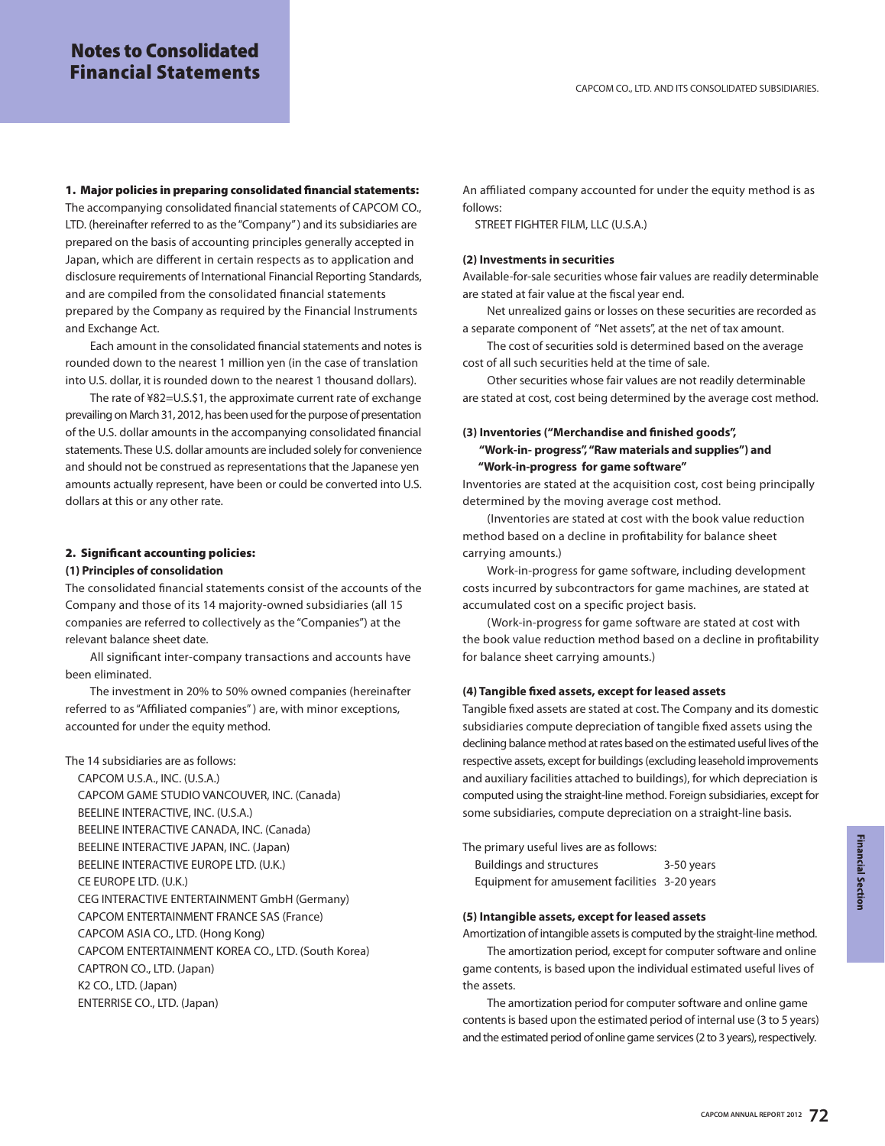**1. Major policies in preparing consolidated financial statements:** The accompanying consolidated financial statements of CAPCOM CO., LTD. (hereinafter referred to as the "Company" ) and its subsidiaries are prepared on the basis of accounting principles generally accepted in Japan, which are different in certain respects as to application and disclosure requirements of International Financial Reporting Standards, and are compiled from the consolidated financial statements prepared by the Company as required by the Financial Instruments and Exchange Act.

Each amount in the consolidated financial statements and notes is rounded down to the nearest 1 million yen (in the case of translation into U.S. dollar, it is rounded down to the nearest 1 thousand dollars).

The rate of ¥82=U.S.\$1, the approximate current rate of exchange prevailing on March 31, 2012, has been used for the purpose of presentation of the U.S. dollar amounts in the accompanying consolidated financial statements. These U.S. dollar amounts are included solely for convenience and should not be construed as representations that the Japanese yen amounts actually represent, have been or could be converted into U.S. dollars at this or any other rate.

## **2. Significant accounting policies:**

## **(1) Principles of consolidation**

The consolidated financial statements consist of the accounts of the Company and those of its 14 majority-owned subsidiaries (all 15 companies are referred to collectively as the "Companies") at the relevant balance sheet date.

All significant inter-company transactions and accounts have been eliminated.

The investment in 20% to 50% owned companies (hereinafter referred to as "Affiliated companies" ) are, with minor exceptions, accounted for under the equity method.

The 14 subsidiaries are as follows:

CAPCOM U.S.A., INC. (U.S.A.) CAPCOM GAME STUDIO VANCOUVER, INC. (Canada) BEELINE INTERACTIVE, INC. (U.S.A.) BEELINE INTERACTIVE CANADA, INC. (Canada) BEELINE INTERACTIVE JAPAN, INC. (Japan) BEELINE INTERACTIVE EUROPE LTD. (U.K.) CE EUROPE LTD. (U.K.) CEG INTERACTIVE ENTERTAINMENT GmbH (Germany) CAPCOM ENTERTAINMENT FRANCE SAS (France) CAPCOM ASIA CO., LTD. (Hong Kong) CAPCOM ENTERTAINMENT KOREA CO., LTD. (South Korea) CAPTRON CO., LTD. (Japan) K2 CO., LTD. (Japan) ENTERRISE CO., LTD. (Japan)

An affiliated company accounted for under the equity method is as follows:

STREET FIGHTER FILM, LLC (U.S.A.)

## **(2) Investments in securities**

Available-for-sale securities whose fair values are readily determinable are stated at fair value at the fiscal year end.

Net unrealized gains or losses on these securities are recorded as a separate component of "Net assets", at the net of tax amount.

The cost of securities sold is determined based on the average cost of all such securities held at the time of sale.

Other securities whose fair values are not readily determinable are stated at cost, cost being determined by the average cost method.

## **(3) Inventories ("Merchandise and finished goods", "Work-in- progress", "Raw materials and supplies") and "Work-in-progress for game software"**

Inventories are stated at the acquisition cost, cost being principally determined by the moving average cost method.

(Inventories are stated at cost with the book value reduction method based on a decline in profitability for balance sheet carrying amounts.)

Work-in-progress for game software, including development costs incurred by subcontractors for game machines, are stated at accumulated cost on a specific project basis.

(Work-in-progress for game software are stated at cost with the book value reduction method based on a decline in profitability for balance sheet carrying amounts.)

#### **(4) Tangible fixed assets, except for leased assets**

Tangible fixed assets are stated at cost. The Company and its domestic subsidiaries compute depreciation of tangible fixed assets using the declining balance method at rates based on the estimated useful lives of the respective assets, except for buildings (excluding leasehold improvements and auxiliary facilities attached to buildings), for which depreciation is computed using the straight-line method. Foreign subsidiaries, except for some subsidiaries, compute depreciation on a straight-line basis.

The primary useful lives are as follows:

| <b>Buildings and structures</b>               | 3-50 years |
|-----------------------------------------------|------------|
| Equipment for amusement facilities 3-20 years |            |

## **(5) Intangible assets, except for leased assets**

Amortization of intangible assets is computed by the straight-line method. The amortization period, except for computer software and online game contents, is based upon the individual estimated useful lives of the assets.

The amortization period for computer software and online game contents is based upon the estimated period of internal use (3 to 5 years) and the estimated period of online game services (2 to 3 years), respectively.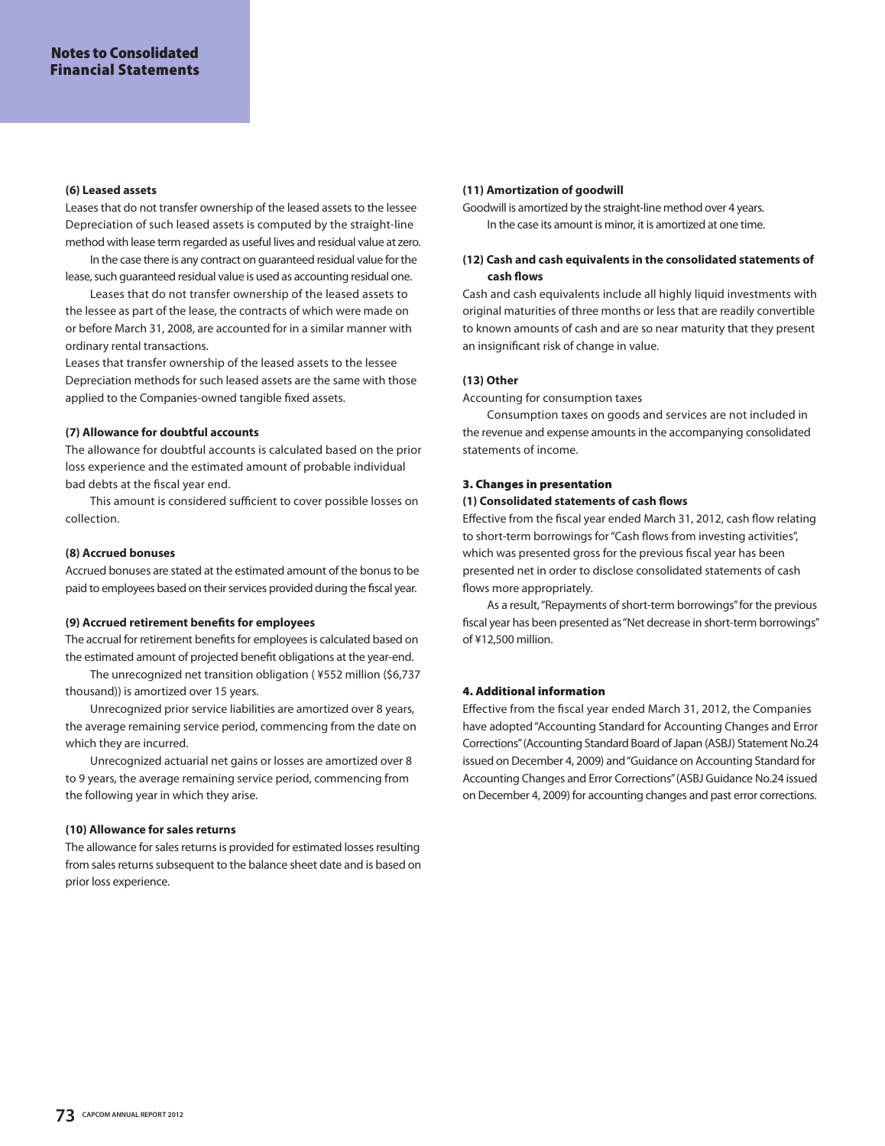#### **(6) Leased assets**

Leases that do not transfer ownership of the leased assets to the lessee Depreciation of such leased assets is computed by the straight-line method with lease term regarded as useful lives and residual value at zero.

In the case there is any contract on guaranteed residual value for the lease, such guaranteed residual value is used as accounting residual one.

Leases that do not transfer ownership of the leased assets to the lessee as part of the lease, the contracts of which were made on or before March 31, 2008, are accounted for in a similar manner with ordinary rental transactions.

Leases that transfer ownership of the leased assets to the lessee Depreciation methods for such leased assets are the same with those applied to the Companies-owned tangible fixed assets.

## **(7) Allowance for doubtful accounts**

The allowance for doubtful accounts is calculated based on the prior loss experience and the estimated amount of probable individual bad debts at the fiscal year end.

This amount is considered sufficient to cover possible losses on collection.

## **(8) Accrued bonuses**

Accrued bonuses are stated at the estimated amount of the bonus to be paid to employees based on their services provided during the fiscal year.

## **(9) Accrued retirement benefits for employees**

The accrual for retirement benefits for employees is calculated based on the estimated amount of projected benefit obligations at the year-end.

The unrecognized net transition obligation ( ¥552 million (\$6,737 thousand)) is amortized over 15 years.

Unrecognized prior service liabilities are amortized over 8 years, the average remaining service period, commencing from the date on which they are incurred.

Unrecognized actuarial net gains or losses are amortized over 8 to 9 years, the average remaining service period, commencing from the following year in which they arise.

## **(10) Allowance for sales returns**

The allowance for sales returns is provided for estimated losses resulting from sales returns subsequent to the balance sheet date and is based on prior loss experience.

## **(11) Amortization of goodwill**

Goodwill is amortized by the straight-line method over 4 years. In the case its amount is minor, it is amortized at one time.

## **(12) Cash and cash equivalents in the consolidated statements of cash flows**

Cash and cash equivalents include all highly liquid investments with original maturities of three months or less that are readily convertible to known amounts of cash and are so near maturity that they present an insignificant risk of change in value.

## **(13) Other**

Accounting for consumption taxes

Consumption taxes on goods and services are not included in the revenue and expense amounts in the accompanying consolidated statements of income.

## **3. Changes in presentation**

## **(1) Consolidated statements of cash flows**

Effective from the fiscal year ended March 31, 2012, cash flow relating to short-term borrowings for "Cash flows from investing activities", which was presented gross for the previous fiscal year has been presented net in order to disclose consolidated statements of cash flows more appropriately.

As a result, "Repayments of short-term borrowings" for the previous fiscal year has been presented as "Net decrease in short-term borrowings" of ¥12,500 million.

## **4. Additional information**

Effective from the fiscal year ended March 31, 2012, the Companies have adopted "Accounting Standard for Accounting Changes and Error Corrections" (Accounting Standard Board of Japan (ASBJ) Statement No.24 issued on December 4, 2009) and "Guidance on Accounting Standard for Accounting Changes and Error Corrections" (ASBJ Guidance No.24 issued on December 4, 2009) for accounting changes and past error corrections.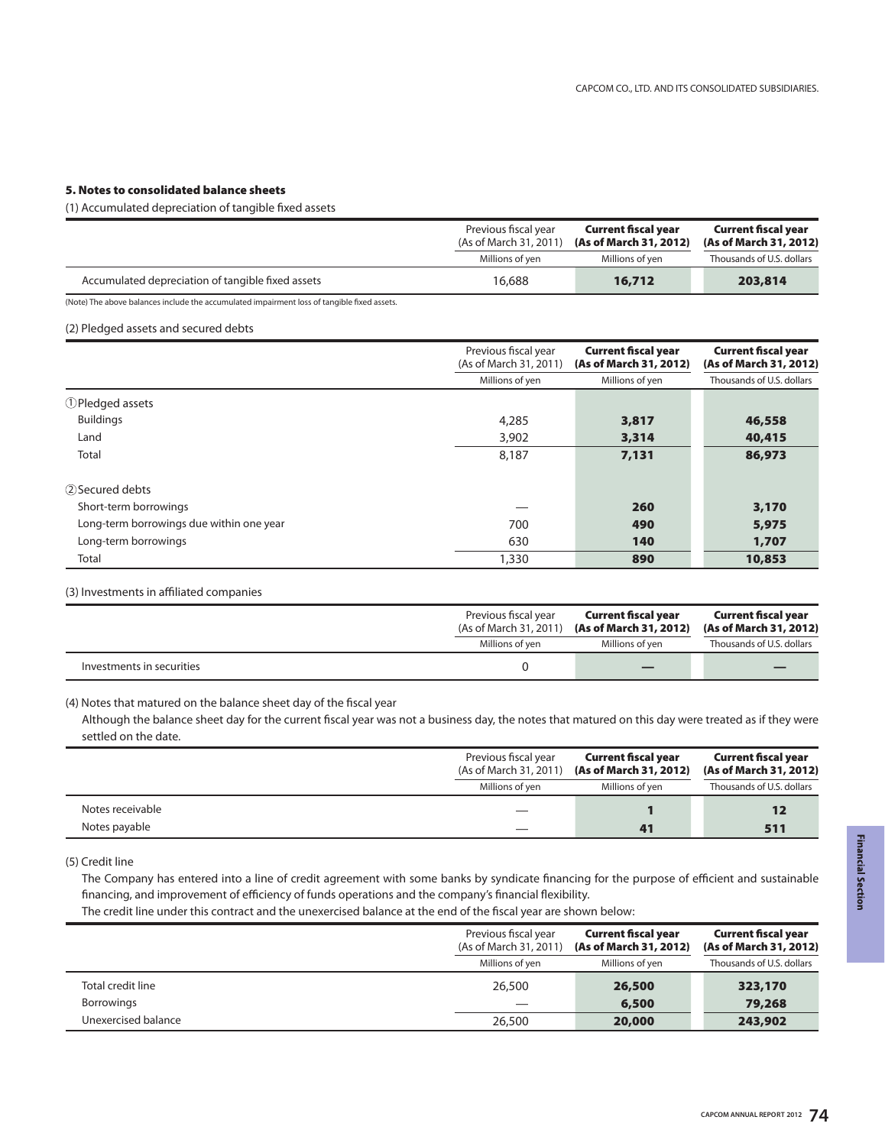## **5. Notes to consolidated balance sheets**

(1) Accumulated depreciation of tangible fixed assets

|                                                                                             | Previous fiscal year<br>(As of March 31, 2011) | <b>Current fiscal year</b><br>(As of March 31, 2012) | <b>Current fiscal year</b><br>(As of March 31, 2012) |
|---------------------------------------------------------------------------------------------|------------------------------------------------|------------------------------------------------------|------------------------------------------------------|
|                                                                                             | Millions of yen                                | Millions of yen                                      | Thousands of U.S. dollars                            |
| Accumulated depreciation of tangible fixed assets                                           | 16.688                                         | 16,712                                               | 203,814                                              |
| (Note) The above balances include the accumulated impairment loss of tangible fixed assets. |                                                |                                                      |                                                      |

(2) Pledged assets and secured debts

|                                          | Previous fiscal year<br>(As of March 31, 2011) | <b>Current fiscal year</b><br>(As of March 31, 2012) | <b>Current fiscal year</b><br>(As of March 31, 2012) |
|------------------------------------------|------------------------------------------------|------------------------------------------------------|------------------------------------------------------|
|                                          | Millions of yen                                | Millions of yen                                      | Thousands of U.S. dollars                            |
| 1) Pledged assets                        |                                                |                                                      |                                                      |
| <b>Buildings</b>                         | 4,285                                          | 3,817                                                | 46,558                                               |
| Land                                     | 3,902                                          | 3,314                                                | 40,415                                               |
| Total                                    | 8,187                                          | 7,131                                                | 86,973                                               |
| 2) Secured debts                         |                                                |                                                      |                                                      |
| Short-term borrowings                    |                                                | 260                                                  | 3,170                                                |
| Long-term borrowings due within one year | 700                                            | 490                                                  | 5,975                                                |
| Long-term borrowings                     | 630                                            | 140                                                  | 1,707                                                |
| Total                                    | 1,330                                          | 890                                                  | 10,853                                               |

(3) Investments in affiliated companies

|                           | Previous fiscal year<br>(As of March 31, 2011) (As of March 31, 2012) |                 | <b>Current fiscal year</b><br>(As of March 31, 2012) |
|---------------------------|-----------------------------------------------------------------------|-----------------|------------------------------------------------------|
|                           | Millions of ven                                                       | Millions of ven | Thousands of U.S. dollars                            |
| Investments in securities |                                                                       |                 |                                                      |

(4) Notes that matured on the balance sheet day of the fiscal year

Although the balance sheet day for the current fiscal year was not a business day, the notes that matured on this day were treated as if they were settled on the date.

|                  | Previous fiscal year<br>(As of March 31, 2011) |                 | <b>Current fiscal year</b><br>(As of March 31, 2012) |
|------------------|------------------------------------------------|-----------------|------------------------------------------------------|
|                  | Millions of yen                                | Millions of yen | Thousands of U.S. dollars                            |
| Notes receivable |                                                |                 |                                                      |
| Notes payable    |                                                |                 | 511                                                  |

(5) Credit line

The Company has entered into a line of credit agreement with some banks by syndicate financing for the purpose of efficient and sustainable financing, and improvement of efficiency of funds operations and the company's financial flexibility.

The credit line under this contract and the unexercised balance at the end of the fiscal year are shown below:

|                     | Previous fiscal year<br>(As of March 31, 2011) | <b>Current fiscal year</b><br>(As of March 31, 2012) | <b>Current fiscal year</b><br>(As of March 31, 2012) |
|---------------------|------------------------------------------------|------------------------------------------------------|------------------------------------------------------|
|                     | Millions of yen                                | Millions of yen                                      | Thousands of U.S. dollars                            |
| Total credit line   | 26,500                                         | 26,500                                               | 323,170                                              |
| Borrowings          |                                                | 6,500                                                | 79,268                                               |
| Unexercised balance | 26,500                                         | 20,000                                               | 243,902                                              |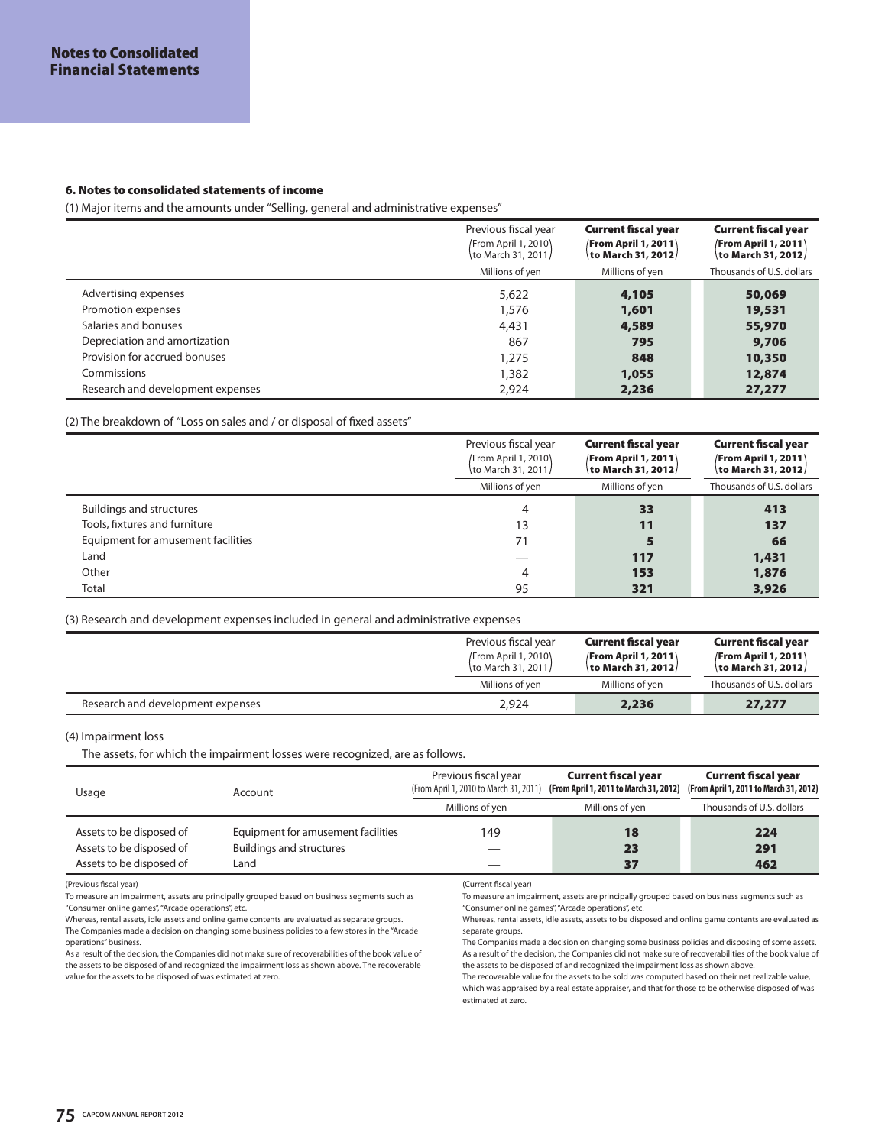#### **6. Notes to consolidated statements of income**

(1) Major items and the amounts under "Selling, general and administrative expenses"

|                                   | Previous fiscal year<br>/From April 1, 2010)<br>\to March 31, 2011/ | <b>Current fiscal year</b><br><b>/From April 1, 2011</b><br>to March 31, 2012/ | <b>Current fiscal year</b><br><b>/From April 1, 2011</b><br>to March 31, 2012/ |
|-----------------------------------|---------------------------------------------------------------------|--------------------------------------------------------------------------------|--------------------------------------------------------------------------------|
|                                   | Millions of yen                                                     | Millions of yen                                                                | Thousands of U.S. dollars                                                      |
| Advertising expenses              | 5,622                                                               | 4,105                                                                          | 50,069                                                                         |
| Promotion expenses                | 1,576                                                               | 1,601                                                                          | 19,531                                                                         |
| Salaries and bonuses              | 4,431                                                               | 4,589                                                                          | 55,970                                                                         |
| Depreciation and amortization     | 867                                                                 | 795                                                                            | 9,706                                                                          |
| Provision for accrued bonuses     | 1,275                                                               | 848                                                                            | 10,350                                                                         |
| Commissions                       | 1,382                                                               | 1,055                                                                          | 12,874                                                                         |
| Research and development expenses | 2.924                                                               | 2,236                                                                          | 27,277                                                                         |

## (2) The breakdown of "Loss on sales and / or disposal of fixed assets"

|                                    | Previous fiscal year<br><b>/From April 1, 2010</b><br>to March 31, 2011/ | <b>Current fiscal year</b><br><b>/From April 1, 2011</b><br>to March 31, 2012/ | <b>Current fiscal year</b><br><b>/From April 1, 2011</b><br>\to March 31, 2012/ |
|------------------------------------|--------------------------------------------------------------------------|--------------------------------------------------------------------------------|---------------------------------------------------------------------------------|
|                                    | Millions of yen                                                          | Millions of yen                                                                | Thousands of U.S. dollars                                                       |
| <b>Buildings and structures</b>    |                                                                          | 33                                                                             | 413                                                                             |
| Tools, fixtures and furniture      | 13                                                                       | 11                                                                             | 137                                                                             |
| Equipment for amusement facilities | 71                                                                       |                                                                                | 66                                                                              |
| Land                               |                                                                          | 117                                                                            | 1,431                                                                           |
| Other                              | 4                                                                        | 153                                                                            | 1,876                                                                           |
| Total                              | 95                                                                       | 321                                                                            | 3,926                                                                           |

## (3) Research and development expenses included in general and administrative expenses

|                                   | Previous fiscal year<br>/From April 1, 2010\<br>\to March 31, 2011/ | <b>Current fiscal year</b><br><b>/From April 1, 2011</b><br>\to March 31, 2012/ | <b>Current fiscal year</b><br><b>/From April 1, 2011</b><br>to March 31, 2012/ |
|-----------------------------------|---------------------------------------------------------------------|---------------------------------------------------------------------------------|--------------------------------------------------------------------------------|
|                                   | Millions of yen                                                     | Millions of yen                                                                 | Thousands of U.S. dollars                                                      |
| Research and development expenses | 2.924                                                               | 2,236                                                                           | 27,277                                                                         |

#### (4) Impairment loss

The assets, for which the impairment losses were recognized, are as follows.

| Usage                                                                            | Account                                                                       | Previous fiscal year | <b>Current fiscal year</b><br>(From April 1, 2010 to March 31, 2011) (From April 1, 2011 to March 31, 2012) | <b>Current fiscal year</b><br>(From April 1, 2011 to March 31, 2012) |
|----------------------------------------------------------------------------------|-------------------------------------------------------------------------------|----------------------|-------------------------------------------------------------------------------------------------------------|----------------------------------------------------------------------|
|                                                                                  |                                                                               | Millions of ven      | Millions of yen                                                                                             | Thousands of U.S. dollars                                            |
| Assets to be disposed of<br>Assets to be disposed of<br>Assets to be disposed of | Equipment for amusement facilities<br><b>Buildings and structures</b><br>Land | 149                  | 18<br>2 <sub>3</sub><br>37                                                                                  | 224<br>291<br>462                                                    |

(Previous fiscal year)

To measure an impairment, assets are principally grouped based on business segments such as "Consumer online games", "Arcade operations", etc.

Whereas, rental assets, idle assets and online game contents are evaluated as separate groups. The Companies made a decision on changing some business policies to a few stores in the "Arcade operations" business.

As a result of the decision, the Companies did not make sure of recoverabilities of the book value of the assets to be disposed of and recognized the impairment loss as shown above. The recoverable value for the assets to be disposed of was estimated at zero.

(Current fiscal year)

To measure an impairment, assets are principally grouped based on business segments such as "Consumer online games", "Arcade operations", etc.

Whereas, rental assets, idle assets, assets to be disposed and online game contents are evaluated as separate groups.

The Companies made a decision on changing some business policies and disposing of some assets. As a result of the decision, the Companies did not make sure of recoverabilities of the book value of the assets to be disposed of and recognized the impairment loss as shown above.

The recoverable value for the assets to be sold was computed based on their net realizable value, which was appraised by a real estate appraiser, and that for those to be otherwise disposed of was estimated at zero.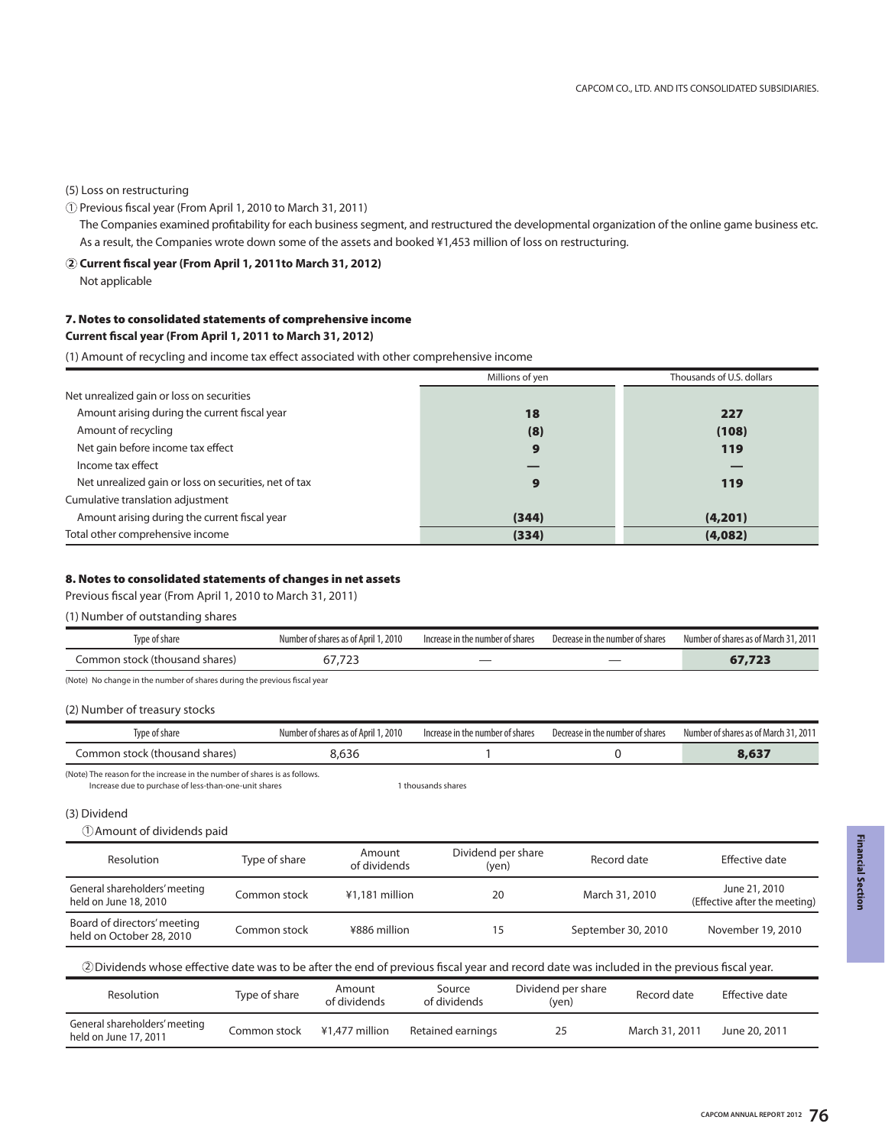## (5) Loss on restructuring

 $\overline{1}$  Previous fiscal year (From April 1, 2010 to March 31, 2011)

The Companies examined profitability for each business segment, and restructured the developmental organization of the online game business etc. As a result, the Companies wrote down some of the assets and booked ¥1,453 million of loss on restructuring.

## **Current fiscal year (From April 1, 2011to March 31, 2012) 2**

Not applicable

## **7. Notes to consolidated statements of comprehensive income**

## **Current fiscal year (From April 1, 2011 to March 31, 2012)**

(1) Amount of recycling and income tax effect associated with other comprehensive income

|                                                       | Millions of yen | Thousands of U.S. dollars |
|-------------------------------------------------------|-----------------|---------------------------|
| Net unrealized gain or loss on securities             |                 |                           |
| Amount arising during the current fiscal year         | 18              | 227                       |
| Amount of recycling                                   | (8)             | (108)                     |
| Net gain before income tax effect                     | 9               | 119                       |
| Income tax effect                                     |                 |                           |
| Net unrealized gain or loss on securities, net of tax | 9               | 119                       |
| Cumulative translation adjustment                     |                 |                           |
| Amount arising during the current fiscal year         | (344)           | (4,201)                   |
| Total other comprehensive income                      | (334)           | (4,082)                   |

## **8. Notes to consolidated statements of changes in net assets**

Previous fiscal year (From April 1, 2010 to March 31, 2011)

(1) Number of outstanding shares

| Type of share                  | Number of shares as of April 1, 2010 | Increase in the number of shares | Decrease in the number of shares | Number of shares as of March 31, 2011 |
|--------------------------------|--------------------------------------|----------------------------------|----------------------------------|---------------------------------------|
| Common stock (thousand shares) | $\overline{\phantom{a}}$<br>7.723    |                                  | __                               | 07.7ZJ                                |

(Note) No change in the number of shares during the previous fiscal year

#### (2) Number of treasury stocks

| Type of share                                                                                                                      | Number of shares as of April 1, 2010 | Decrease in the number of shares<br>Increase in the number of shares |  | Number of shares as of March 31, 2011 |
|------------------------------------------------------------------------------------------------------------------------------------|--------------------------------------|----------------------------------------------------------------------|--|---------------------------------------|
| Common stock (thousand shares)                                                                                                     | 8.636                                |                                                                      |  | 8,637                                 |
| (Note) The reason for the increase in the number of shares is as follows.<br>Increase due to purchase of less-than-one-unit shares |                                      | 1 thousands shares                                                   |  |                                       |

Increase due to purchase of less-than-one-unit shares

### (3) Dividend

#### $\mathbb O$  Amount of dividends paid

| Resolution                                                                                                                                 | Type of share | Amount<br>of dividends | Dividend per share<br>(yen) |                             | Record date        | Effective date                                 |
|--------------------------------------------------------------------------------------------------------------------------------------------|---------------|------------------------|-----------------------------|-----------------------------|--------------------|------------------------------------------------|
| General shareholders' meeting<br>held on June 18, 2010                                                                                     | Common stock  | ¥1,181 million         | 20                          | March 31, 2010              |                    | June 21, 2010<br>(Effective after the meeting) |
| Board of directors' meeting<br>held on October 28, 2010                                                                                    | Common stock  | ¥886 million           | 15                          |                             | September 30, 2010 | November 19, 2010                              |
| 2 Dividends whose effective date was to be after the end of previous fiscal year and record date was included in the previous fiscal year. |               |                        |                             |                             |                    |                                                |
| Resolution                                                                                                                                 | Type of share | Amount<br>of dividends | Source<br>of dividends      | Dividend per share<br>(yen) | Record date        | Effective date                                 |
| General shareholders' meeting<br>held on June 17, 2011                                                                                     | Common stock  | ¥1,477 million         | Retained earnings           | 25                          | March 31, 2011     | June 20, 2011                                  |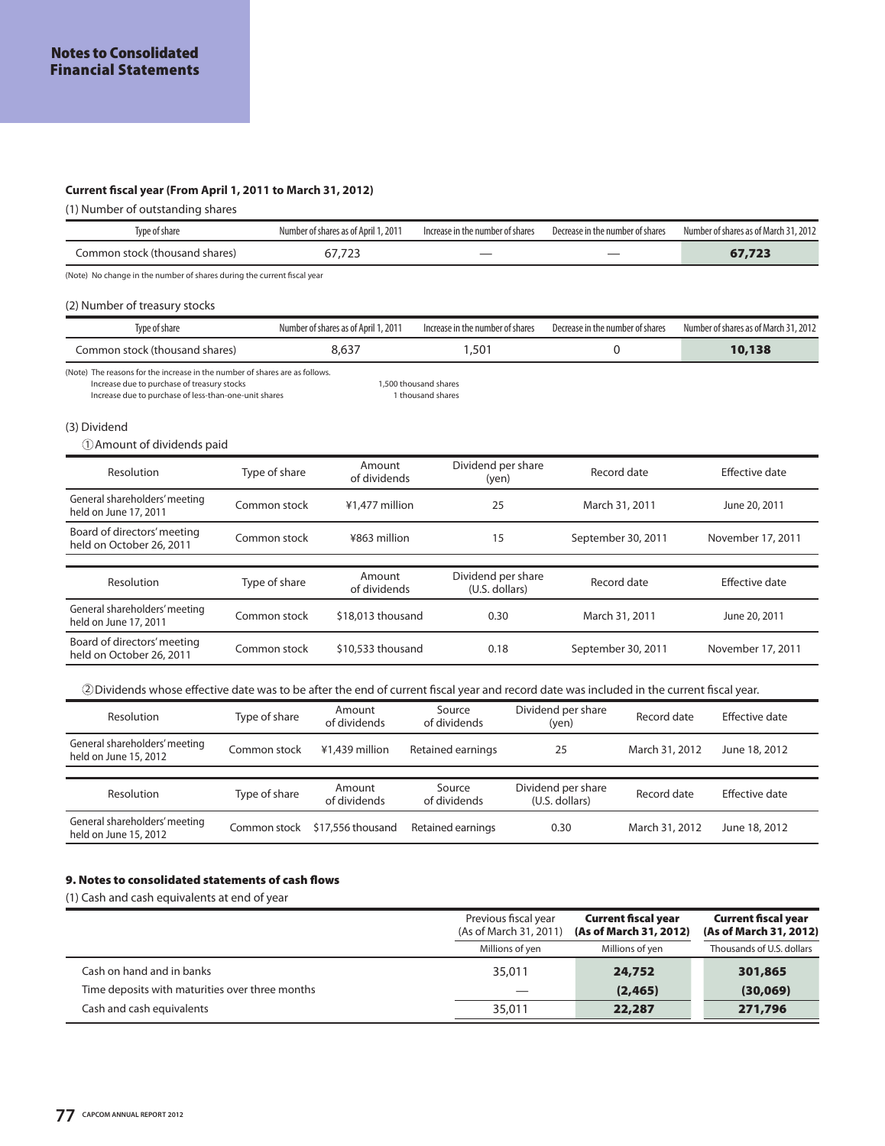## **Current fiscal year (From April 1, 2011 to March 31, 2012)**

(1) Number of outstanding shares

| Type of share                                                                                                                                                                                                                     |               | Number of shares as of April 1, 2011 | Increase in the number of shares     |  | Decrease in the number of shares     |                    | Number of shares as of March 31, 2012 |
|-----------------------------------------------------------------------------------------------------------------------------------------------------------------------------------------------------------------------------------|---------------|--------------------------------------|--------------------------------------|--|--------------------------------------|--------------------|---------------------------------------|
| Common stock (thousand shares)                                                                                                                                                                                                    |               | 67,723                               |                                      |  |                                      |                    | 67,723                                |
| (Note) No change in the number of shares during the current fiscal year                                                                                                                                                           |               |                                      |                                      |  |                                      |                    |                                       |
| (2) Number of treasury stocks                                                                                                                                                                                                     |               |                                      |                                      |  |                                      |                    |                                       |
| Type of share                                                                                                                                                                                                                     |               | Number of shares as of April 1, 2011 | Increase in the number of shares     |  | Decrease in the number of shares     |                    | Number of shares as of March 31, 2012 |
| Common stock (thousand shares)                                                                                                                                                                                                    |               | 8,637                                | 1,501                                |  |                                      | 0                  | 10,138                                |
| (Note) The reasons for the increase in the number of shares are as follows.<br>Increase due to purchase of treasury stocks<br>1,500 thousand shares<br>Increase due to purchase of less-than-one-unit shares<br>1 thousand shares |               |                                      |                                      |  |                                      |                    |                                       |
| (3) Dividend<br>(1) Amount of dividends paid                                                                                                                                                                                      |               |                                      |                                      |  |                                      |                    |                                       |
| Resolution                                                                                                                                                                                                                        | Type of share | Amount<br>of dividends               | Dividend per share<br>(yen)          |  |                                      | Record date        | <b>Effective date</b>                 |
| General shareholders' meeting<br>held on June 17, 2011                                                                                                                                                                            | Common stock  | ¥1,477 million                       | 25                                   |  |                                      | March 31, 2011     | June 20, 2011                         |
| Board of directors' meeting<br>held on October 26, 2011                                                                                                                                                                           | Common stock  | ¥863 million                         | 15                                   |  |                                      | September 30, 2011 | November 17, 2011                     |
| Resolution                                                                                                                                                                                                                        | Type of share | Amount<br>of dividends               | Dividend per share<br>(U.S. dollars) |  |                                      | Record date        | <b>Effective date</b>                 |
| General shareholders' meeting<br>held on June 17, 2011                                                                                                                                                                            | Common stock  | \$18,013 thousand                    | 0.30                                 |  |                                      | March 31, 2011     | June 20, 2011                         |
| Board of directors' meeting<br>held on October 26, 2011                                                                                                                                                                           | Common stock  | \$10,533 thousand                    | 0.18                                 |  |                                      | September 30, 2011 | November 17, 2011                     |
| 2 Dividends whose effective date was to be after the end of current fiscal year and record date was included in the current fiscal year.                                                                                          |               |                                      |                                      |  |                                      |                    |                                       |
| Resolution                                                                                                                                                                                                                        | Type of share | Amount<br>of dividends               | Source<br>of dividends               |  | Dividend per share<br>(yen)          | Record date        | <b>Effective date</b>                 |
| General shareholders' meeting<br>held on June 15, 2012                                                                                                                                                                            | Common stock  | ¥1,439 million                       | Retained earnings                    |  | 25                                   | March 31, 2012     | June 18, 2012                         |
| Resolution                                                                                                                                                                                                                        | Type of share | Amount<br>of dividends               | Source<br>of dividends               |  | Dividend per share<br>(U.S. dollars) | Record date        | <b>Effective date</b>                 |
| General shareholders' meeting<br>held on June 15, 2012                                                                                                                                                                            | Common stock  | \$17,556 thousand                    | Retained earnings                    |  | 0.30                                 | March 31, 2012     | June 18, 2012                         |

## **9. Notes to consolidated statements of cash flows**

(1) Cash and cash equivalents at end of year

|                                                 | Previous fiscal year<br>(As of March 31, 2011) | <b>Current fiscal year</b><br>(As of March 31, 2012) | <b>Current fiscal year</b><br>(As of March 31, 2012) |
|-------------------------------------------------|------------------------------------------------|------------------------------------------------------|------------------------------------------------------|
|                                                 | Millions of yen                                | Millions of yen                                      | Thousands of U.S. dollars                            |
| Cash on hand and in banks                       | 35,011                                         | 24,752                                               | 301,865                                              |
| Time deposits with maturities over three months | $\overline{\phantom{a}}$                       | (2, 465)                                             | (30,069)                                             |
| Cash and cash equivalents                       | 35,011                                         | 22,287                                               | 271,796                                              |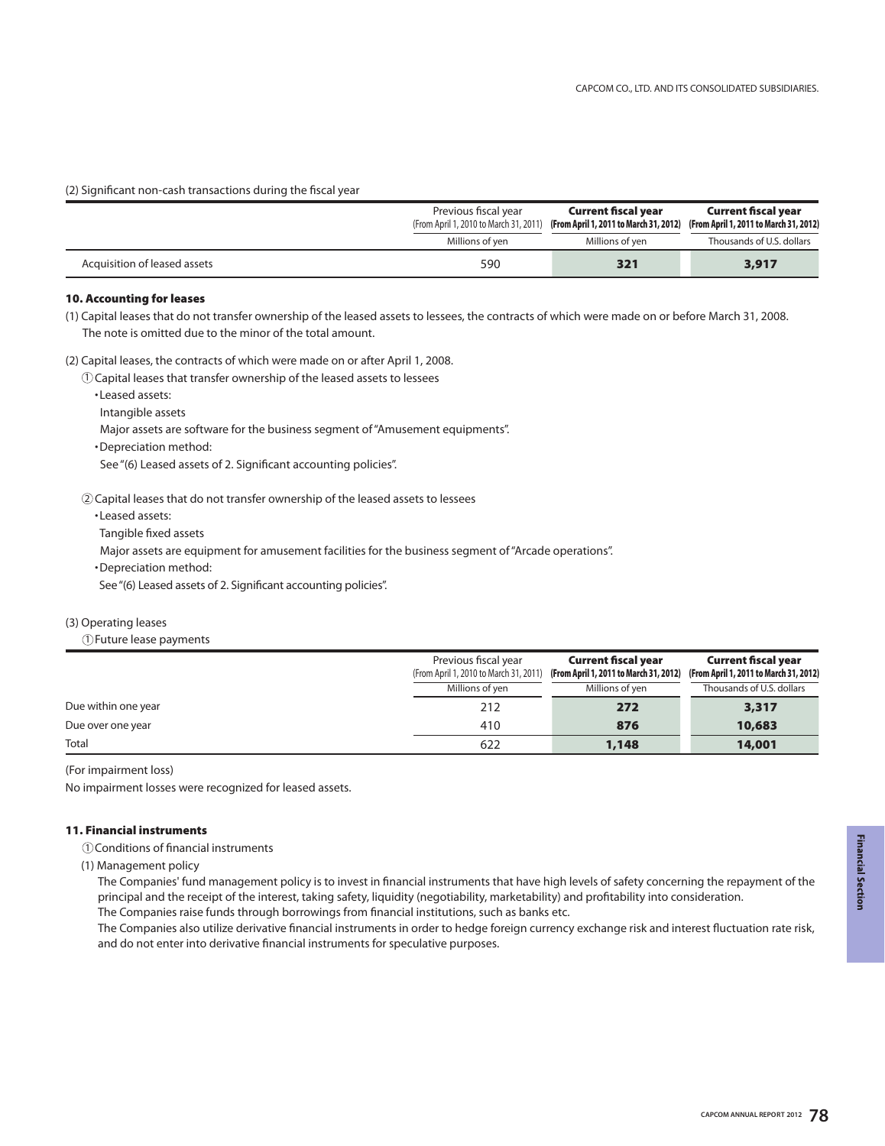(2) Significant non-cash transactions during the fiscal year

|                              | Previous fiscal year               | <b>Current fiscal year</b><br>(From April 1, 2010 to March 31, 2011) (From April 1, 2011 to March 31, 2012) (From April 1, 2011 to March 31, 2012) | <b>Current fiscal year</b> |
|------------------------------|------------------------------------|----------------------------------------------------------------------------------------------------------------------------------------------------|----------------------------|
|                              | Millions of yen<br>Millions of yen |                                                                                                                                                    | Thousands of U.S. dollars  |
| Acquisition of leased assets | 590                                | 321                                                                                                                                                | 3,917                      |

## **10. Accounting for leases**

(1) Capital leases that do not transfer ownership of the leased assets to lessees, the contracts of which were made on or before March 31, 2008. The note is omitted due to the minor of the total amount.

(2) Capital leases, the contracts of which were made on or after April 1, 2008.

 $\mathbb O$  Capital leases that transfer ownership of the leased assets to lessees

•Leased assets:

Intangible assets

Major assets are software for the business segment of "Amusement equipments".

•Depreciation method:

See "(6) Leased assets of 2. Significant accounting policies".

 $\mathcal Q$  Capital leases that do not transfer ownership of the leased assets to lessees

•Leased assets:

Tangible fixed assets

Major assets are equipment for amusement facilities for the business segment of "Arcade operations".

•Depreciation method:

See "(6) Leased assets of 2. Significant accounting policies".

## (3) Operating leases

Future lease payments 1

|                     | Previous fiscal year                   | <b>Current fiscal year</b>             | <b>Current fiscal year</b>             |
|---------------------|----------------------------------------|----------------------------------------|----------------------------------------|
|                     | (From April 1, 2010 to March 31, 2011) | (From April 1, 2011 to March 31, 2012) | (From April 1, 2011 to March 31, 2012) |
|                     | Millions of yen<br>Millions of yen     |                                        | Thousands of U.S. dollars              |
| Due within one year | 212                                    | 272                                    | 3,317                                  |
| Due over one year   | 410                                    | 876                                    | 10,683                                 |
| Total               | 622                                    | 1,148                                  | 14,001                                 |

(For impairment loss)

No impairment losses were recognized for leased assets.

## **11. Financial instruments**

Conditions of financial instruments 1

(1) Management policy

The Companies' fund management policy is to invest in financial instruments that have high levels of safety concerning the repayment of the principal and the receipt of the interest, taking safety, liquidity (negotiability, marketability) and profitability into consideration.

The Companies raise funds through borrowings from financial institutions, such as banks etc.

The Companies also utilize derivative financial instruments in order to hedge foreign currency exchange risk and interest fluctuation rate risk, and do not enter into derivative financial instruments for speculative purposes.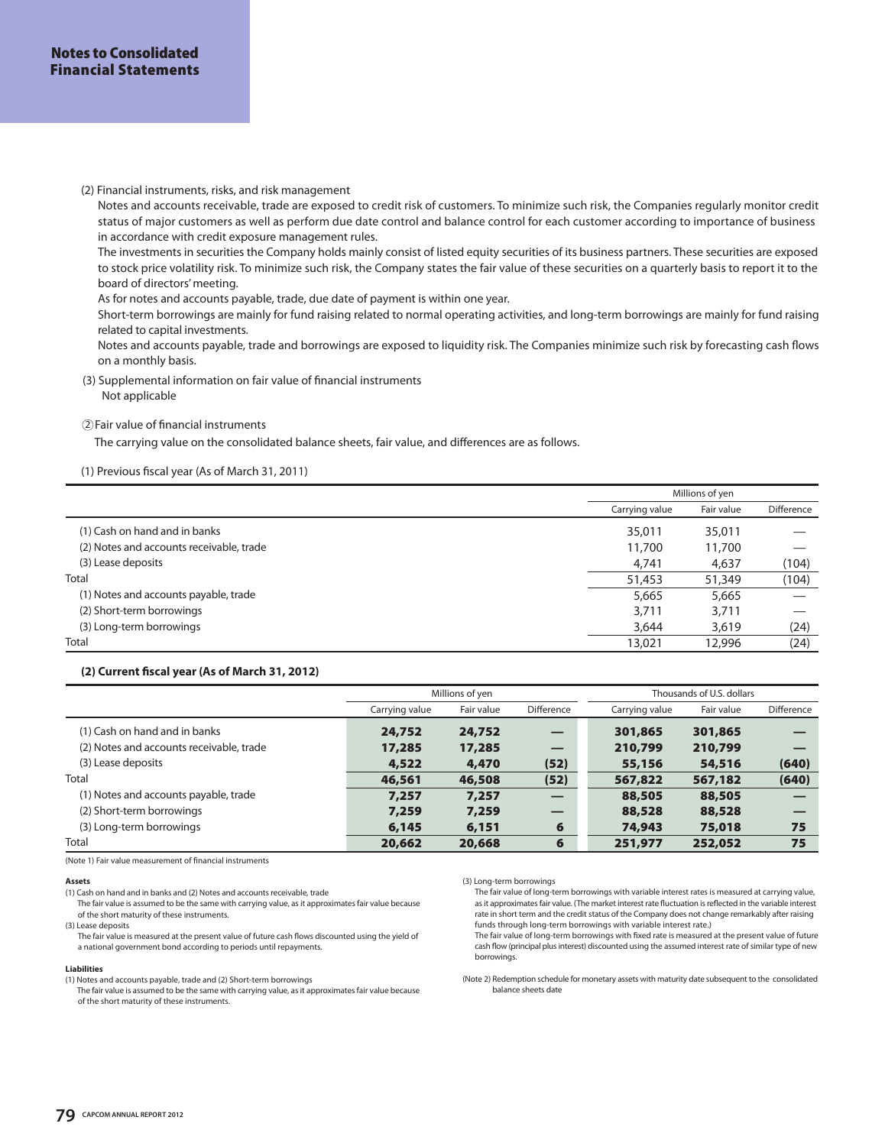(2) Financial instruments, risks, and risk management

Notes and accounts receivable, trade are exposed to credit risk of customers. To minimize such risk, the Companies regularly monitor credit status of major customers as well as perform due date control and balance control for each customer according to importance of business in accordance with credit exposure management rules.

The investments in securities the Company holds mainly consist of listed equity securities of its business partners. These securities are exposed to stock price volatility risk. To minimize such risk, the Company states the fair value of these securities on a quarterly basis to report it to the board of directors' meeting.

As for notes and accounts payable, trade, due date of payment is within one year.

Short-term borrowings are mainly for fund raising related to normal operating activities, and long-term borrowings are mainly for fund raising related to capital investments.

Notes and accounts payable, trade and borrowings are exposed to liquidity risk. The Companies minimize such risk by forecasting cash flows on a monthly basis.

 (3) Supplemental information on fair value of financial instruments Not applicable

## Fair value of financial instruments 2

The carrying value on the consolidated balance sheets, fair value, and differences are as follows.

## (1) Previous fiscal year (As of March 31, 2011)

|                                          | Millions of yen |            |            |
|------------------------------------------|-----------------|------------|------------|
|                                          | Carrving value  | Fair value | Difference |
| (1) Cash on hand and in banks            | 35,011          | 35,011     |            |
| (2) Notes and accounts receivable, trade | 11,700          | 11,700     |            |
| (3) Lease deposits                       | 4,741           | 4,637      | (104)      |
| <b>Total</b>                             | 51,453          | 51,349     | (104)      |
| (1) Notes and accounts payable, trade    | 5,665           | 5,665      |            |
| (2) Short-term borrowings                | 3,711           | 3,711      |            |
| (3) Long-term borrowings                 | 3,644           | 3,619      | (24)       |
| Total                                    | 13,021          | 12,996     | (24)       |

#### **(2) Current fiscal year (As of March 31, 2012)**

|                                          |                | Millions of yen |                   |                | Thousands of U.S. dollars |            |
|------------------------------------------|----------------|-----------------|-------------------|----------------|---------------------------|------------|
|                                          | Carrying value | Fair value      | <b>Difference</b> | Carrying value | Fair value                | Difference |
| (1) Cash on hand and in banks            | 24,752         | 24,752          |                   | 301,865        | 301,865                   |            |
| (2) Notes and accounts receivable, trade | 17,285         | 17,285          |                   | 210,799        | 210,799                   |            |
| (3) Lease deposits                       | 4,522          | 4,470           | (52)              | 55,156         | 54,516                    | (640)      |
| <b>Total</b>                             | 46,561         | 46,508          | (52)              | 567,822        | 567,182                   | (640)      |
| (1) Notes and accounts payable, trade    | 7,257          | 7,257           | _                 | 88,505         | 88,505                    |            |
| (2) Short-term borrowings                | 7,259          | 7,259           |                   | 88,528         | 88,528                    |            |
| (3) Long-term borrowings                 | 6,145          | 6,151           | 6                 | 74,943         | 75,018                    | 75         |
| Total                                    | 20,662         | 20,668          | 6                 | 251,977        | 252,052                   | 75         |

(Note 1) Fair value measurement of financial instruments

#### **Assets**

(1) Cash on hand and in banks and (2) Notes and accounts receivable, trade

 The fair value is assumed to be the same with carrying value, as it approximates fair value because of the short maturity of these instruments.

(3) Lease deposits

The fair value is measured at the present value of future cash flows discounted using the yield of a national government bond according to periods until repayments.

#### **Liabilities**

(1) Notes and accounts payable, trade and (2) Short-term borrowings

 The fair value is assumed to be the same with carrying value, as it approximates fair value because of the short maturity of these instruments.

(3) Long-term borrowings

The fair value of long-term borrowings with variable interest rates is measured at carrying value, as it approximates fair value. (The market interest rate fluctuation is reflected in the variable interest rate in short term and the credit status of the Company does not change remarkably after raising funds through long-term borrowings with variable interest rate.)

The fair value of long-term borrowings with fixed rate is measured at the present value of future cash flow (principal plus interest) discounted using the assumed interest rate of similar type of new borrowings.

(Note 2) Redemption schedule for monetary assets with maturity date subsequent to the consolidated balance sheets date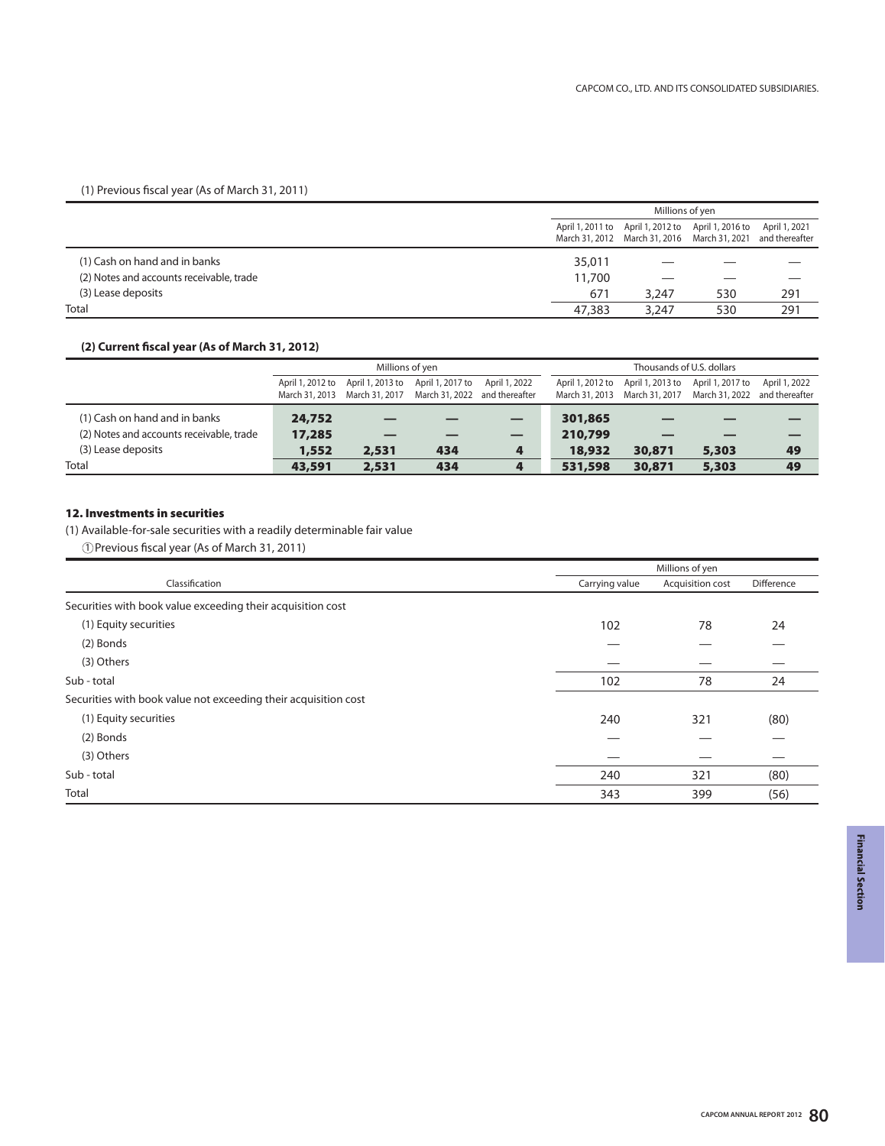## (1) Previous fiscal year (As of March 31, 2011)

|                                          | Millions of yen |                                                                                                                   |     |               |
|------------------------------------------|-----------------|-------------------------------------------------------------------------------------------------------------------|-----|---------------|
|                                          |                 | April 1, 2011 to April 1, 2012 to April 1, 2016 to<br>March 31, 2012 March 31, 2016 March 31, 2021 and thereafter |     | April 1, 2021 |
| (1) Cash on hand and in banks            | 35,011          |                                                                                                                   |     |               |
| (2) Notes and accounts receivable, trade | 11,700          |                                                                                                                   |     |               |
| (3) Lease deposits                       | 671             | 3.247                                                                                                             | 530 | 291           |
| Total                                    | 47,383          | 3.247                                                                                                             | 530 | 291           |

## **(2) Current fiscal year (As of March 31, 2012)**

|                                          | Millions of yen                    |                                    |                                                   |               |                  | Thousands of U.S. dollars                                   |                                   |               |
|------------------------------------------|------------------------------------|------------------------------------|---------------------------------------------------|---------------|------------------|-------------------------------------------------------------|-----------------------------------|---------------|
|                                          | April 1, 2012 to<br>March 31, 2013 | April 1, 2013 to<br>March 31, 2017 | April 1, 2017 to<br>March 31, 2022 and thereafter | April 1, 2022 | April 1, 2012 to | March 31, 2013 March 31, 2017 March 31, 2022 and thereafter | April 1, 2013 to April 1, 2017 to | April 1, 2022 |
| (1) Cash on hand and in banks            | 24,752                             |                                    |                                                   |               | 301,865          |                                                             |                                   |               |
| (2) Notes and accounts receivable, trade | 17,285                             |                                    |                                                   |               | 210,799          |                                                             |                                   |               |
| (3) Lease deposits                       | 1,552                              | 2,531                              | 434                                               |               | 18,932           | 30,871                                                      | 5,303                             | 49            |
| Total                                    | 43,591                             | 2,531                              | 434                                               |               | 531,598          | 30,871                                                      | 5,303                             | 49            |

## **12. Investments in securities**

(1) Available-for-sale securities with a readily determinable fair value

Previous fiscal year (As of March 31, 2011) 1

|                                                                 |                | Millions of yen  |            |  |
|-----------------------------------------------------------------|----------------|------------------|------------|--|
| Classification                                                  | Carrying value | Acquisition cost | Difference |  |
| Securities with book value exceeding their acquisition cost     |                |                  |            |  |
| (1) Equity securities                                           | 102            | 78               | 24         |  |
| (2) Bonds                                                       |                |                  |            |  |
| (3) Others                                                      |                |                  |            |  |
| Sub - total                                                     | 102            | 78               | 24         |  |
| Securities with book value not exceeding their acquisition cost |                |                  |            |  |
| (1) Equity securities                                           | 240            | 321              | (80)       |  |
| (2) Bonds                                                       |                |                  |            |  |
| (3) Others                                                      |                |                  |            |  |
| Sub - total                                                     | 240            | 321              | (80)       |  |
| Total                                                           | 343            | 399              | (56)       |  |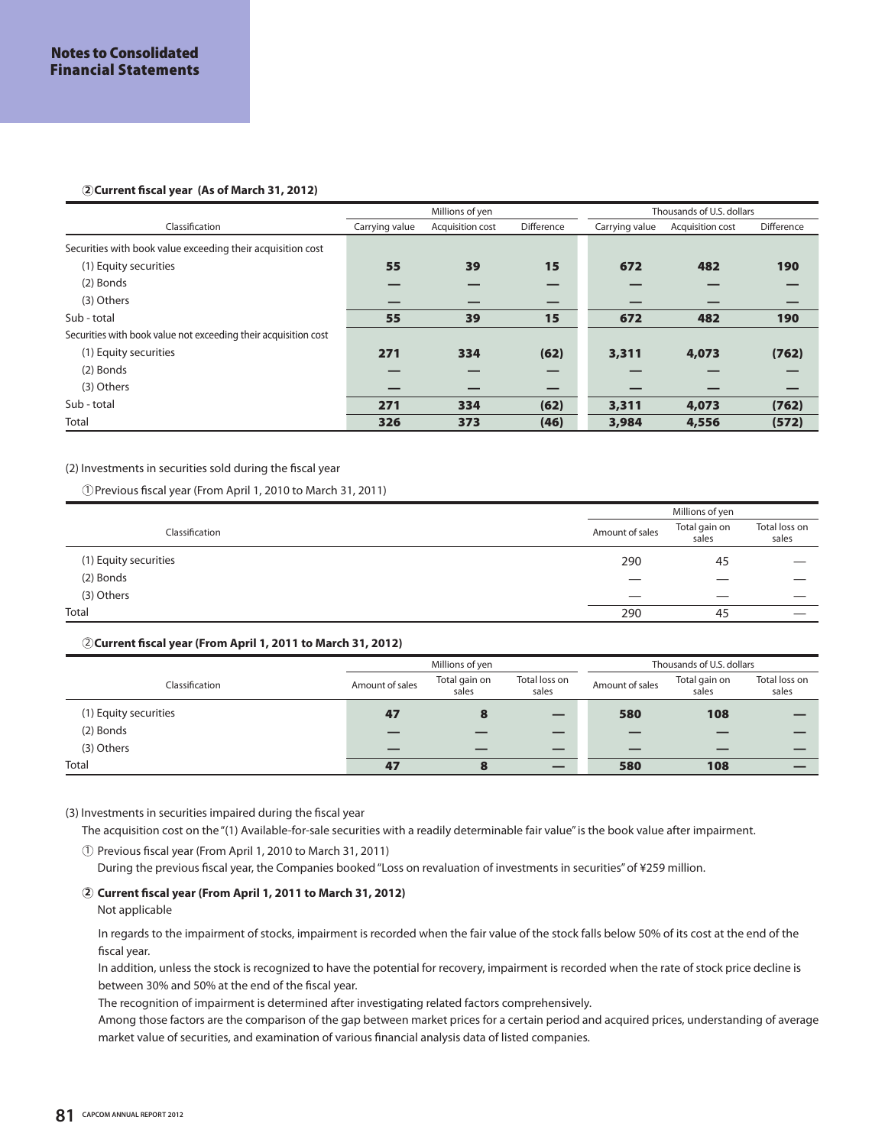## **Current fiscal year (As of March 31, 2012) 2**

|                                                                 |                | Millions of yen  |            |                | Thousands of U.S. dollars |            |
|-----------------------------------------------------------------|----------------|------------------|------------|----------------|---------------------------|------------|
| Classification                                                  | Carrying value | Acquisition cost | Difference | Carrying value | Acquisition cost          | Difference |
| Securities with book value exceeding their acquisition cost     |                |                  |            |                |                           |            |
| (1) Equity securities                                           | 55             | 39               | 15         | 672            | 482                       | 190        |
| (2) Bonds                                                       |                |                  |            |                |                           |            |
| (3) Others                                                      |                |                  |            |                |                           |            |
| Sub - total                                                     | 55             | 39               | 15         | 672            | 482                       | 190        |
| Securities with book value not exceeding their acquisition cost |                |                  |            |                |                           |            |
| (1) Equity securities                                           | 271            | 334              | (62)       | 3,311          | 4,073                     | (762)      |
| (2) Bonds                                                       |                |                  |            |                |                           |            |
| (3) Others                                                      |                |                  |            |                |                           |            |
| Sub - total                                                     | 271            | 334              | (62)       | 3,311          | 4,073                     | (762)      |
| Total                                                           | 326            | 373              | (46)       | 3,984          | 4,556                     | (572)      |

(2) Investments in securities sold during the fiscal year

Previous fiscal year (From April 1, 2010 to March 31, 2011) 1

|                       | Millions of yen |                        |                        |  |
|-----------------------|-----------------|------------------------|------------------------|--|
| Classification        | Amount of sales | Total gain on<br>sales | Total loss on<br>sales |  |
| (1) Equity securities | 290             | 45                     |                        |  |
| (2) Bonds             | _               | ___                    |                        |  |
| (3) Others            | ___             | ___                    |                        |  |
| Total                 | 290             | 45                     |                        |  |

## **Current fiscal year (From April 1, 2011 to March 31, 2012)** 2

|                       | Millions of yen |                        |                        |                 | Thousands of U.S. dollars |                        |
|-----------------------|-----------------|------------------------|------------------------|-----------------|---------------------------|------------------------|
| Classification        | Amount of sales | Total gain on<br>sales | Total loss on<br>sales | Amount of sales | Total gain on<br>sales    | Total loss on<br>sales |
| (1) Equity securities | 47              | 8                      |                        | 580             | 108                       |                        |
| (2) Bonds             |                 |                        |                        |                 |                           |                        |
| (3) Others            |                 |                        |                        |                 |                           |                        |
| Total                 | 47              | 8                      |                        | 580             | 108                       |                        |

(3) Investments in securities impaired during the fiscal year

The acquisition cost on the "(1) Available-for-sale securities with a readily determinable fair value" is the book value after impairment.

 $\textcircled{\scriptsize{1}}$  Previous fiscal year (From April 1, 2010 to March 31, 2011)

During the previous fiscal year, the Companies booked "Loss on revaluation of investments in securities" of ¥259 million.

## **Current fiscal year (From April 1, 2011 to March 31, 2012) 2**

Not applicable

In regards to the impairment of stocks, impairment is recorded when the fair value of the stock falls below 50% of its cost at the end of the fiscal year.

In addition, unless the stock is recognized to have the potential for recovery, impairment is recorded when the rate of stock price decline is between 30% and 50% at the end of the fiscal year.

The recognition of impairment is determined after investigating related factors comprehensively.

Among those factors are the comparison of the gap between market prices for a certain period and acquired prices, understanding of average market value of securities, and examination of various financial analysis data of listed companies.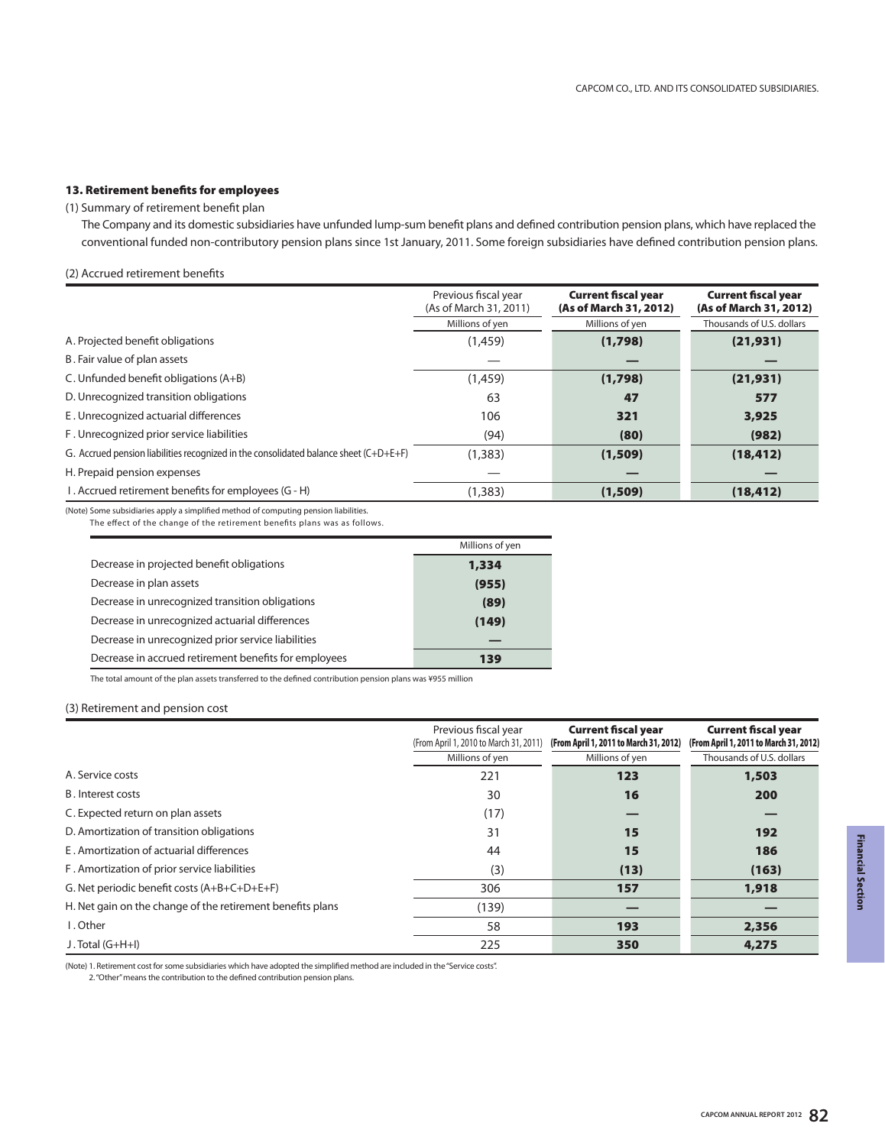## **13. Retirement benefits for employees**

#### (1) Summary of retirement benefit plan

 The Company and its domestic subsidiaries have unfunded lump-sum benefit plans and defined contribution pension plans, which have replaced the conventional funded non-contributory pension plans since 1st January, 2011. Some foreign subsidiaries have defined contribution pension plans.

## (2) Accrued retirement benefits

|                                                                                         | Previous fiscal year<br>(As of March 31, 2011) | <b>Current fiscal year</b><br>(As of March 31, 2012) | <b>Current fiscal year</b><br>(As of March 31, 2012) |
|-----------------------------------------------------------------------------------------|------------------------------------------------|------------------------------------------------------|------------------------------------------------------|
|                                                                                         | Millions of yen                                | Millions of yen                                      | Thousands of U.S. dollars                            |
| A. Projected benefit obligations                                                        | (1,459)                                        | (1,798)                                              | (21, 931)                                            |
| B. Fair value of plan assets                                                            |                                                |                                                      |                                                      |
| C. Unfunded benefit obligations (A+B)                                                   | (1,459)                                        | (1,798)                                              | (21, 931)                                            |
| D. Unrecognized transition obligations                                                  | 63                                             | 47                                                   | 577                                                  |
| E. Unrecognized actuarial differences                                                   | 106                                            | 321                                                  | 3,925                                                |
| F. Unrecognized prior service liabilities                                               | (94)                                           | (80)                                                 | (982)                                                |
| G. Accrued pension liabilities recognized in the consolidated balance sheet $(C+D+E+F)$ | (1.383)                                        | (1,509)                                              | (18, 412)                                            |
| H. Prepaid pension expenses                                                             |                                                |                                                      |                                                      |
| I. Accrued retirement benefits for employees (G - H)                                    | (1, 383)                                       | (1,509)                                              | (18, 412)                                            |

(Note) Some subsidiaries apply a simplified method of computing pension liabilities. The effect of the change of the retirement benefits plans was as follows.

|                                                       | Millions of yen |
|-------------------------------------------------------|-----------------|
| Decrease in projected benefit obligations             | 1,334           |
| Decrease in plan assets                               | (955)           |
| Decrease in unrecognized transition obligations       | (89)            |
| Decrease in unrecognized actuarial differences        | (149)           |
| Decrease in unrecognized prior service liabilities    |                 |
| Decrease in accrued retirement benefits for employees | 139             |
|                                                       |                 |

The total amount of the plan assets transferred to the defined contribution pension plans was ¥955 million

## (3) Retirement and pension cost

|                                                            | Previous fiscal year<br>(From April 1, 2010 to March 31, 2011) | <b>Current fiscal year</b><br>(From April 1, 2011 to March 31, 2012) | <b>Current fiscal year</b><br>(From April 1, 2011 to March 31, 2012) |
|------------------------------------------------------------|----------------------------------------------------------------|----------------------------------------------------------------------|----------------------------------------------------------------------|
|                                                            | Millions of yen                                                | Millions of yen                                                      | Thousands of U.S. dollars                                            |
| A. Service costs                                           | 221                                                            | 123                                                                  | 1,503                                                                |
| B. Interest costs                                          | 30                                                             | 16                                                                   | 200                                                                  |
| C. Expected return on plan assets                          | (17)                                                           |                                                                      |                                                                      |
| D. Amortization of transition obligations                  | 31                                                             | 15                                                                   | 192                                                                  |
| E. Amortization of actuarial differences                   | 44                                                             | 15                                                                   | 186                                                                  |
| F. Amortization of prior service liabilities               | (3)                                                            | (13)                                                                 | (163)                                                                |
| G. Net periodic benefit costs (A+B+C+D+E+F)                | 306                                                            | 157                                                                  | 1,918                                                                |
| H. Net gain on the change of the retirement benefits plans | (139)                                                          |                                                                      |                                                                      |
| I. Other                                                   | 58                                                             | 193                                                                  | 2,356                                                                |
| $J. Total (G+H+I)$                                         | 225                                                            | 350                                                                  | 4,275                                                                |

(Note) 1. Retirement cost for some subsidiaries which have adopted the simplified method are included in the "Service costs".

2. "Other" means the contribution to the defined contribution pension plans.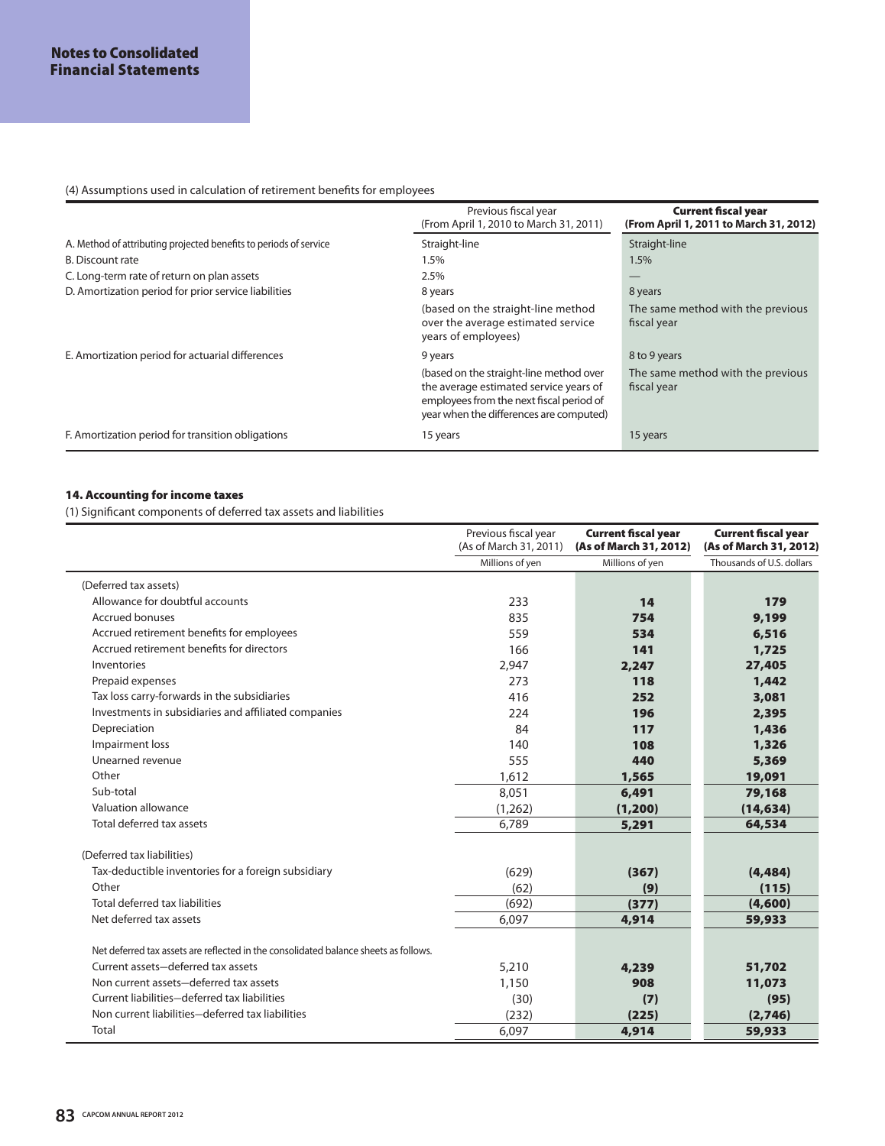## (4) Assumptions used in calculation of retirement benefits for employees

|                                                                   | Previous fiscal year<br>(From April 1, 2010 to March 31, 2011)                                                                                                           | <b>Current fiscal year</b><br>(From April 1, 2011 to March 31, 2012) |
|-------------------------------------------------------------------|--------------------------------------------------------------------------------------------------------------------------------------------------------------------------|----------------------------------------------------------------------|
| A. Method of attributing projected benefits to periods of service | Straight-line                                                                                                                                                            | Straight-line                                                        |
| <b>B.</b> Discount rate                                           | 1.5%                                                                                                                                                                     | 1.5%                                                                 |
| C. Long-term rate of return on plan assets                        | 2.5%                                                                                                                                                                     |                                                                      |
| D. Amortization period for prior service liabilities              | 8 years                                                                                                                                                                  | 8 years                                                              |
|                                                                   | (based on the straight-line method<br>over the average estimated service<br>years of employees)                                                                          | The same method with the previous<br>fiscal year                     |
| E. Amortization period for actuarial differences                  | 9 years                                                                                                                                                                  | 8 to 9 years                                                         |
|                                                                   | (based on the straight-line method over<br>the average estimated service years of<br>employees from the next fiscal period of<br>year when the differences are computed) | The same method with the previous<br>fiscal year                     |
| F. Amortization period for transition obligations                 | 15 years                                                                                                                                                                 | 15 years                                                             |

## **14. Accounting for income taxes**

(1) Significant components of deferred tax assets and liabilities

|                                                                                      | Previous fiscal year<br>(As of March 31, 2011) | <b>Current fiscal year</b><br>(As of March 31, 2012) | <b>Current fiscal year</b><br>(As of March 31, 2012) |
|--------------------------------------------------------------------------------------|------------------------------------------------|------------------------------------------------------|------------------------------------------------------|
|                                                                                      | Millions of yen                                | Millions of yen                                      | Thousands of U.S. dollars                            |
| (Deferred tax assets)                                                                |                                                |                                                      |                                                      |
| Allowance for doubtful accounts                                                      | 233                                            | 14                                                   | 179                                                  |
| <b>Accrued bonuses</b>                                                               | 835                                            | 754                                                  | 9,199                                                |
| Accrued retirement benefits for employees                                            | 559                                            | 534                                                  | 6,516                                                |
| Accrued retirement benefits for directors                                            | 166                                            | 141                                                  | 1,725                                                |
| Inventories                                                                          | 2,947                                          | 2,247                                                | 27,405                                               |
| Prepaid expenses                                                                     | 273                                            | 118                                                  | 1,442                                                |
| Tax loss carry-forwards in the subsidiaries                                          | 416                                            | 252                                                  | 3,081                                                |
| Investments in subsidiaries and affiliated companies                                 | 224                                            | 196                                                  | 2,395                                                |
| Depreciation                                                                         | 84                                             | 117                                                  | 1,436                                                |
| Impairment loss                                                                      | 140                                            | 108                                                  | 1,326                                                |
| Unearned revenue                                                                     | 555                                            | 440                                                  | 5,369                                                |
| Other                                                                                | 1,612                                          | 1,565                                                | 19,091                                               |
| Sub-total                                                                            | 8,051                                          | 6,491                                                | 79,168                                               |
| Valuation allowance                                                                  | (1,262)                                        | (1,200)                                              | (14, 634)                                            |
| Total deferred tax assets                                                            | 6.789                                          | 5,291                                                | 64,534                                               |
| (Deferred tax liabilities)                                                           |                                                |                                                      |                                                      |
| Tax-deductible inventories for a foreign subsidiary                                  | (629)                                          | (367)                                                | (4, 484)                                             |
| Other                                                                                | (62)                                           | (9)                                                  | (115)                                                |
| Total deferred tax liabilities                                                       | (692)                                          | (377)                                                | (4,600)                                              |
| Net deferred tax assets                                                              | 6,097                                          | 4,914                                                | 59,933                                               |
| Net deferred tax assets are reflected in the consolidated balance sheets as follows. |                                                |                                                      |                                                      |
| Current assets-deferred tax assets                                                   | 5,210                                          | 4,239                                                | 51,702                                               |
| Non current assets-deferred tax assets                                               | 1,150                                          | 908                                                  | 11,073                                               |
| Current liabilities-deferred tax liabilities                                         | (30)                                           | (7)                                                  | (95)                                                 |
| Non current liabilities-deferred tax liabilities                                     | (232)                                          | (225)                                                | (2,746)                                              |
| Total                                                                                | 6,097                                          | 4,914                                                | 59,933                                               |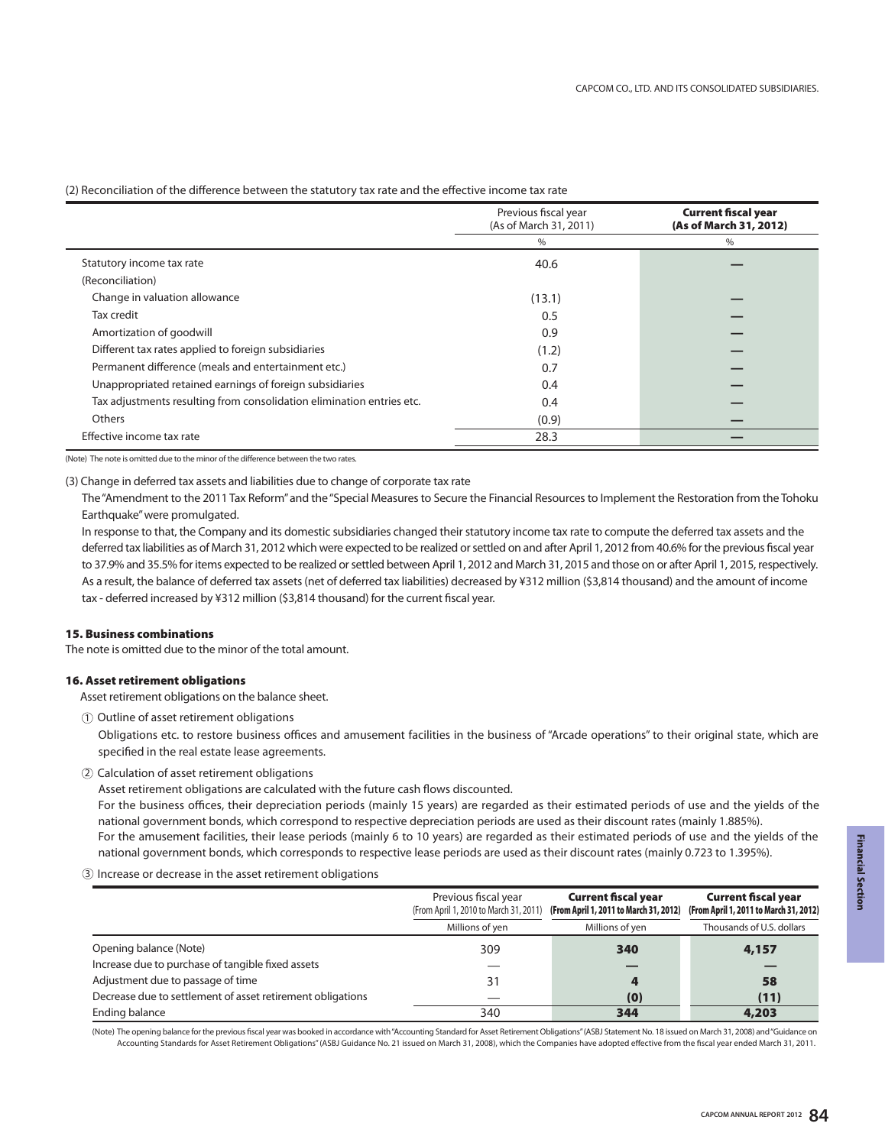## (2) Reconciliation of the difference between the statutory tax rate and the effective income tax rate

|                                                                       | Previous fiscal year<br>(As of March 31, 2011) | <b>Current fiscal year</b><br>(As of March 31, 2012) |
|-----------------------------------------------------------------------|------------------------------------------------|------------------------------------------------------|
|                                                                       | %                                              | %                                                    |
| Statutory income tax rate                                             | 40.6                                           |                                                      |
| (Reconciliation)                                                      |                                                |                                                      |
| Change in valuation allowance                                         | (13.1)                                         |                                                      |
| Tax credit                                                            | 0.5                                            |                                                      |
| Amortization of goodwill                                              | 0.9                                            |                                                      |
| Different tax rates applied to foreign subsidiaries                   | (1.2)                                          |                                                      |
| Permanent difference (meals and entertainment etc.)                   | 0.7                                            |                                                      |
| Unappropriated retained earnings of foreign subsidiaries              | 0.4                                            |                                                      |
| Tax adjustments resulting from consolidation elimination entries etc. | 0.4                                            |                                                      |
| Others                                                                | (0.9)                                          |                                                      |
| Effective income tax rate                                             | 28.3                                           |                                                      |

(Note) The note is omitted due to the minor of the difference between the two rates.

(3) Change in deferred tax assets and liabilities due to change of corporate tax rate

The "Amendment to the 2011 Tax Reform" and the "Special Measures to Secure the Financial Resources to Implement the Restoration from the Tohoku Earthquake" were promulgated.

In response to that, the Company and its domestic subsidiaries changed their statutory income tax rate to compute the deferred tax assets and the deferred tax liabilities as of March 31, 2012 which were expected to be realized or settled on and after April 1, 2012 from 40.6% for the previous fiscal year to 37.9% and 35.5% for items expected to be realized or settled between April 1, 2012 and March 31, 2015 and those on or after April 1, 2015, respectively. As a result, the balance of deferred tax assets (net of deferred tax liabilities) decreased by ¥312 million (\$3,814 thousand) and the amount of income tax - deferred increased by ¥312 million (\$3,814 thousand) for the current fiscal year.

## **15. Business combinations**

The note is omitted due to the minor of the total amount.

## **16. Asset retirement obligations**

Asset retirement obligations on the balance sheet.

 $\textcircled{\small{1}}$  Outline of asset retirement obligations

Obligations etc. to restore business offices and amusement facilities in the business of "Arcade operations" to their original state, which are specified in the real estate lease agreements.

Calculation of asset retirement obligations 2

Asset retirement obligations are calculated with the future cash flows discounted.

For the business offices, their depreciation periods (mainly 15 years) are regarded as their estimated periods of use and the yields of the national government bonds, which correspond to respective depreciation periods are used as their discount rates (mainly 1.885%). For the amusement facilities, their lease periods (mainly 6 to 10 years) are regarded as their estimated periods of use and the yields of the national government bonds, which corresponds to respective lease periods are used as their discount rates (mainly 0.723 to 1.395%).

Increase or decrease in the asset retirement obligations 3

|                                                            | Previous fiscal year<br>(From April 1, 2010 to March 31, 2011) | <b>Current fiscal year</b><br>(From April 1, 2011 to March 31, 2012) | <b>Current fiscal year</b><br>(From April 1, 2011 to March 31, 2012) |
|------------------------------------------------------------|----------------------------------------------------------------|----------------------------------------------------------------------|----------------------------------------------------------------------|
|                                                            | Millions of yen                                                | Millions of yen                                                      | Thousands of U.S. dollars                                            |
| Opening balance (Note)                                     | 309                                                            | 340                                                                  | 4,157                                                                |
| Increase due to purchase of tangible fixed assets          |                                                                |                                                                      |                                                                      |
| Adjustment due to passage of time                          | 31                                                             |                                                                      | 58                                                                   |
| Decrease due to settlement of asset retirement obligations |                                                                | (0)                                                                  | (11)                                                                 |
| Ending balance                                             | 340                                                            | 344                                                                  | 4,203                                                                |

(Note) The opening balance for the previous fiscal year was booked in accordance with "Accounting Standard for Asset Retirement Obligations" (ASBJ Statement No. 18 issued on March 31, 2008) and "Guidance on Accounting Standards for Asset Retirement Obligations" (ASBJ Guidance No. 21 issued on March 31, 2008), which the Companies have adopted effective from the fiscal year ended March 31, 2011.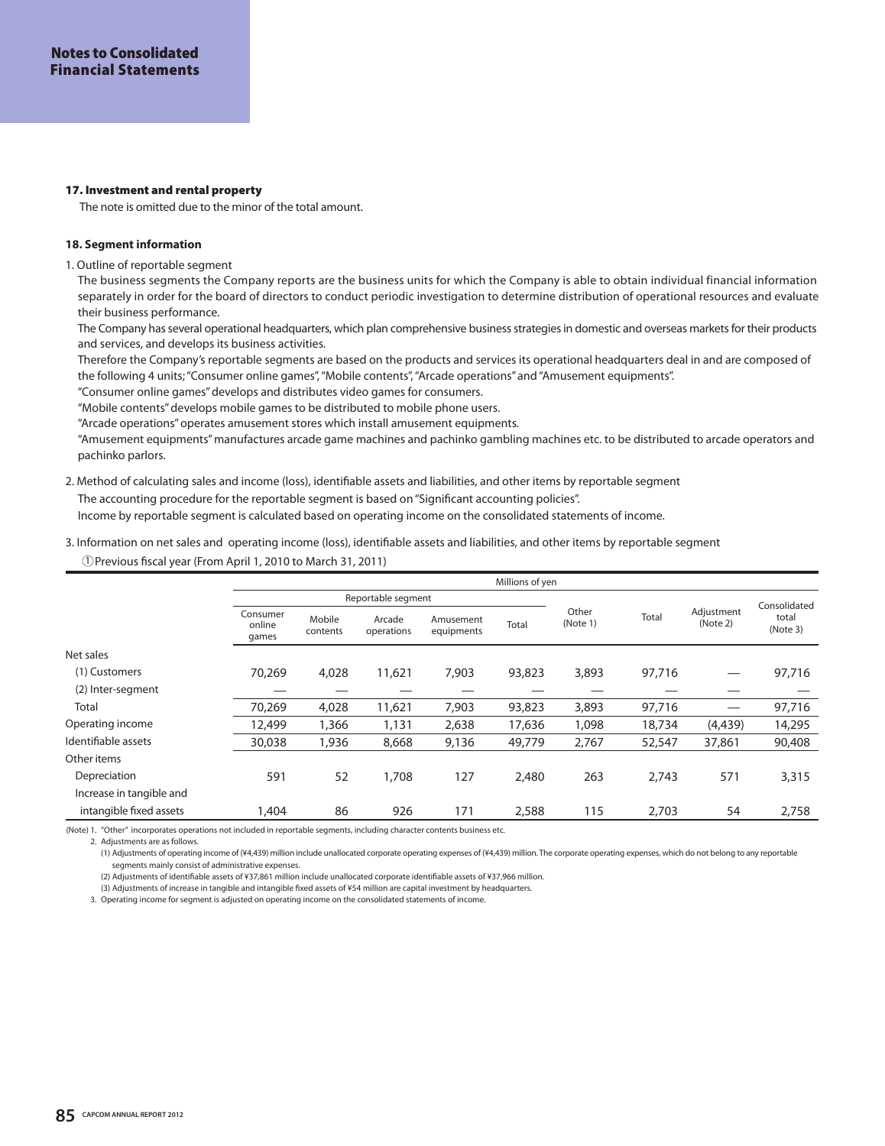### **17. Investment and rental property**

The note is omitted due to the minor of the total amount.

## **18. Segment information**

1. Outline of reportable segment

The business segments the Company reports are the business units for which the Company is able to obtain individual financial information separately in order for the board of directors to conduct periodic investigation to determine distribution of operational resources and evaluate their business performance.

The Company has several operational headquarters, which plan comprehensive business strategies in domestic and overseas markets for their products and services, and develops its business activities.

Therefore the Company's reportable segments are based on the products and services its operational headquarters deal in and are composed of the following 4 units; "Consumer online games", "Mobile contents", "Arcade operations" and "Amusement equipments".

"Consumer online games" develops and distributes video games for consumers.

"Mobile contents" develops mobile games to be distributed to mobile phone users.

"Arcade operations" operates amusement stores which install amusement equipments.

"Amusement equipments" manufactures arcade game machines and pachinko gambling machines etc. to be distributed to arcade operators and pachinko parlors.

## 2. Method of calculating sales and income (loss), identifiable assets and liabilities, and other items by reportable segment

The accounting procedure for the reportable segment is based on "Significant accounting policies".

Income by reportable segment is calculated based on operating income on the consolidated statements of income.

## Previous fiscal year (From April 1, 2010 to March 31, 2011) 1 3. Information on net sales and operating income (loss), identifiable assets and liabilities, and other items by reportable segment

|                          |                             |                    |                      |                         | Millions of yen |                   |        |                        |                   |
|--------------------------|-----------------------------|--------------------|----------------------|-------------------------|-----------------|-------------------|--------|------------------------|-------------------|
|                          |                             |                    | Reportable segment   |                         |                 |                   |        |                        | Consolidated      |
|                          | Consumer<br>online<br>games | Mobile<br>contents | Arcade<br>operations | Amusement<br>equipments | Total           | Other<br>(Note 1) | Total  | Adjustment<br>(Note 2) | total<br>(Note 3) |
| Net sales                |                             |                    |                      |                         |                 |                   |        |                        |                   |
| (1) Customers            | 70,269                      | 4,028              | 11,621               | 7,903                   | 93,823          | 3,893             | 97,716 |                        | 97,716            |
| (2) Inter-segment        |                             |                    |                      |                         |                 |                   |        |                        |                   |
| Total                    | 70,269                      | 4,028              | 11,621               | 7,903                   | 93,823          | 3,893             | 97,716 |                        | 97,716            |
| Operating income         | 12,499                      | 1,366              | 1,131                | 2,638                   | 17,636          | 1,098             | 18,734 | (4,439)                | 14,295            |
| Identifiable assets      | 30,038                      | 1,936              | 8,668                | 9,136                   | 49,779          | 2.767             | 52,547 | 37,861                 | 90,408            |
| Other items              |                             |                    |                      |                         |                 |                   |        |                        |                   |
| Depreciation             | 591                         | 52                 | 1,708                | 127                     | 2,480           | 263               | 2,743  | 571                    | 3,315             |
| Increase in tangible and |                             |                    |                      |                         |                 |                   |        |                        |                   |
| intangible fixed assets  | 1,404                       | 86                 | 926                  | 171                     | 2,588           | 115               | 2,703  | 54                     | 2,758             |

(Note) 1. "Other" incorporates operations not included in reportable segments, including character contents business etc.

2. Adjustments are as follows.

(1) Adjustments of operating income of (¥4,439) million include unallocated corporate operating expenses of (¥4,439) million. The corporate operating expenses, which do not belong to any reportable segments mainly consist of administrative expenses.

(2) Adjustments of identifiable assets of ¥37,861 million include unallocated corporate identifiable assets of ¥37,966 million.

(3) Adjustments of increase in tangible and intangible fixed assets of ¥54 million are capital investment by headquarters.

3. Operating income for segment is adjusted on operating income on the consolidated statements of income.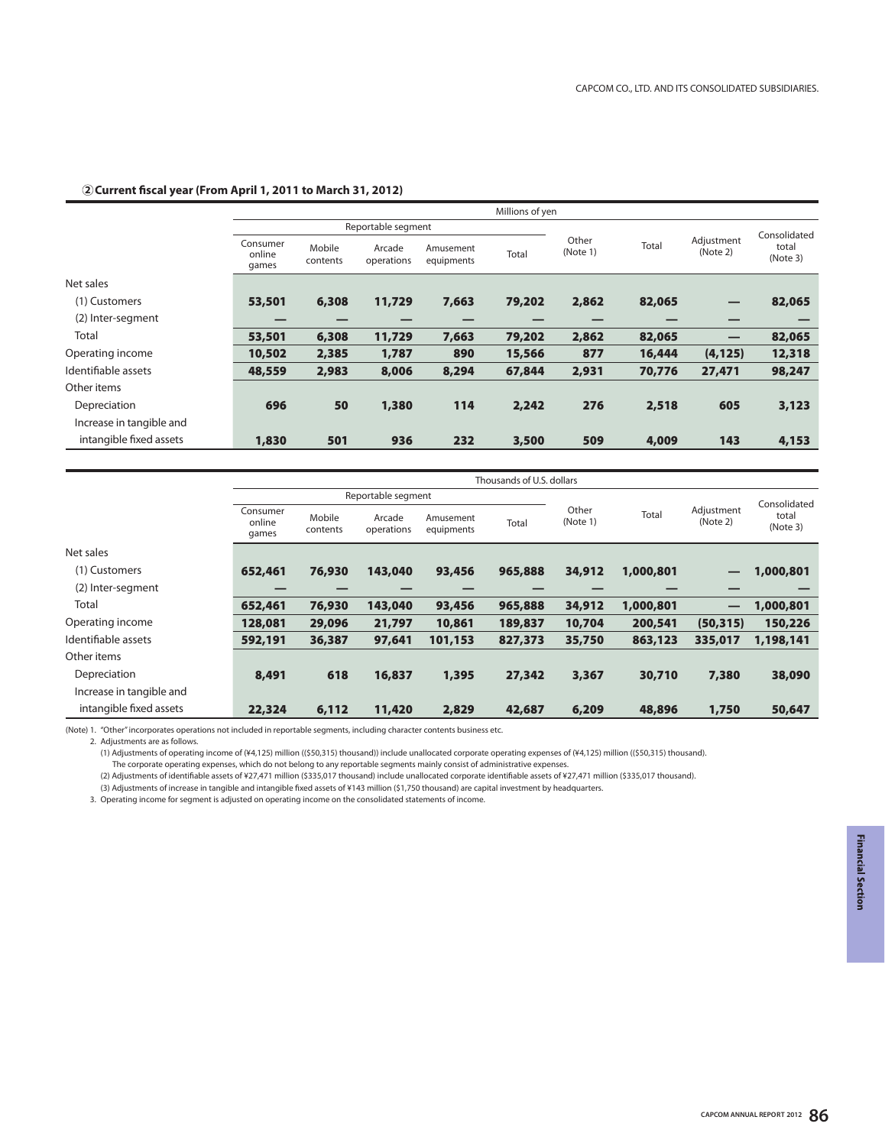## **2 Current fiscal year (From April 1, 2011 to March 31, 2012)**

|                          |                             | Millions of yen    |                      |                         |        |                   |        |                        |                   |
|--------------------------|-----------------------------|--------------------|----------------------|-------------------------|--------|-------------------|--------|------------------------|-------------------|
|                          |                             |                    | Reportable segment   |                         |        |                   |        |                        | Consolidated      |
|                          | Consumer<br>online<br>games | Mobile<br>contents | Arcade<br>operations | Amusement<br>equipments | Total  | Other<br>(Note 1) | Total  | Adjustment<br>(Note 2) | total<br>(Note 3) |
| Net sales                |                             |                    |                      |                         |        |                   |        |                        |                   |
| (1) Customers            | 53,501                      | 6,308              | 11,729               | 7,663                   | 79,202 | 2,862             | 82,065 |                        | 82,065            |
| (2) Inter-segment        |                             |                    |                      |                         |        |                   |        | –                      |                   |
| <b>Total</b>             | 53,501                      | 6,308              | 11,729               | 7,663                   | 79,202 | 2,862             | 82,065 | —                      | 82,065            |
| Operating income         | 10,502                      | 2,385              | 1,787                | 890                     | 15,566 | 877               | 16,444 | (4, 125)               | 12,318            |
| Identifiable assets      | 48,559                      | 2,983              | 8,006                | 8,294                   | 67,844 | 2,931             | 70,776 | 27,471                 | 98,247            |
| Other items              |                             |                    |                      |                         |        |                   |        |                        |                   |
| Depreciation             | 696                         | 50                 | 1,380                | 114                     | 2,242  | 276               | 2,518  | 605                    | 3,123             |
| Increase in tangible and |                             |                    |                      |                         |        |                   |        |                        |                   |
| intangible fixed assets  | 1,830                       | 501                | 936                  | 232                     | 3,500  | 509               | 4,009  | 143                    | 4,153             |

|                          |                             | Thousands of U.S. dollars |                      |                         |         |                            |                        |                   |              |  |
|--------------------------|-----------------------------|---------------------------|----------------------|-------------------------|---------|----------------------------|------------------------|-------------------|--------------|--|
|                          | Reportable segment          |                           |                      |                         |         |                            |                        |                   | Consolidated |  |
|                          | Consumer<br>online<br>games | Mobile<br>contents        | Arcade<br>operations | Amusement<br>equipments | Total   | Other<br>Total<br>(Note 1) | Adjustment<br>(Note 2) | total<br>(Note 3) |              |  |
| Net sales                |                             |                           |                      |                         |         |                            |                        |                   |              |  |
| (1) Customers            | 652,461                     | 76,930                    | 143,040              | 93,456                  | 965,888 | 34,912                     | 1,000,801              | —                 | 1,000,801    |  |
| (2) Inter-segment        |                             |                           |                      |                         |         |                            |                        |                   |              |  |
| Total                    | 652,461                     | 76,930                    | 143,040              | 93,456                  | 965,888 | 34,912                     | 1,000,801              | —                 | 1,000,801    |  |
| Operating income         | 128,081                     | 29,096                    | 21,797               | 10,861                  | 189,837 | 10,704                     | 200,541                | (50, 315)         | 150,226      |  |
| Identifiable assets      | 592,191                     | 36,387                    | 97,641               | 101,153                 | 827,373 | 35,750                     | 863,123                | 335,017           | 1,198,141    |  |
| Other items              |                             |                           |                      |                         |         |                            |                        |                   |              |  |
| Depreciation             | 8,491                       | 618                       | 16,837               | 1,395                   | 27,342  | 3,367                      | 30,710                 | 7,380             | 38,090       |  |
| Increase in tangible and |                             |                           |                      |                         |         |                            |                        |                   |              |  |
| intangible fixed assets  | 22,324                      | 6,112                     | 11,420               | 2,829                   | 42,687  | 6,209                      | 48,896                 | 1,750             | 50,647       |  |

(Note) 1. "Other" incorporates operations not included in reportable segments, including character contents business etc.

2. Adjustments are as follows.

(1) Adjustments of operating income of (¥4,125) million ((\$50,315) thousand)) include unallocated corporate operating expenses of (¥4,125) million ((\$50,315) thousand).

The corporate operating expenses, which do not belong to any reportable segments mainly consist of administrative expenses.

(2) Adjustments of identifiable assets of ¥27,471 million (\$335,017 thousand) include unallocated corporate identifiable assets of ¥27,471 million (\$335,017 thousand).

(3) Adjustments of increase in tangible and intangible fixed assets of ¥143 million (\$1,750 thousand) are capital investment by headquarters.

3. Operating income for segment is adjusted on operating income on the consolidated statements of income.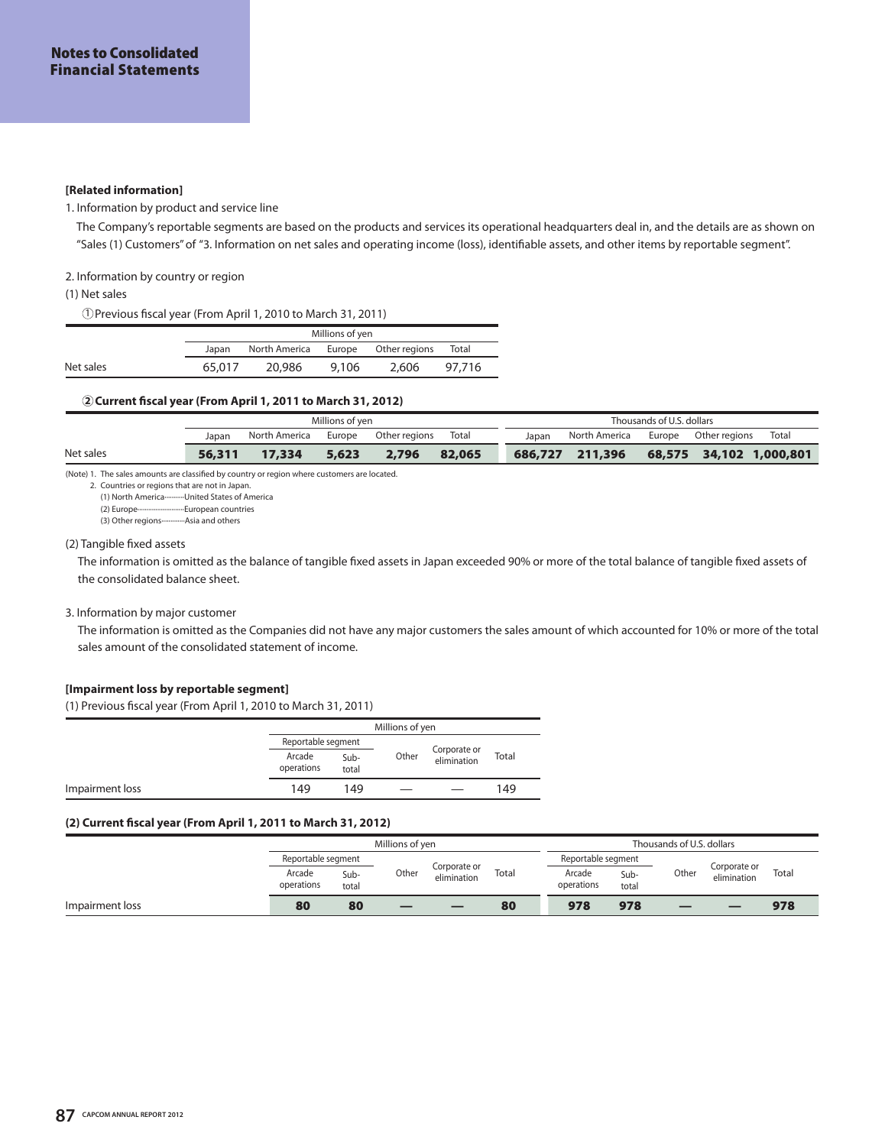#### **[Related information]**

## 1. Information by product and service line

The Company's reportable segments are based on the products and services its operational headquarters deal in, and the details are as shown on "Sales (1) Customers" of "3. Information on net sales and operating income (loss), identifiable assets, and other items by reportable segment".

## 2. Information by country or region

(1) Net sales

Previous fiscal year (From April 1, 2010 to March 31, 2011) 1

|           | Millions of yen |                                          |       |       |        |  |  |  |  |  |
|-----------|-----------------|------------------------------------------|-------|-------|--------|--|--|--|--|--|
|           |                 | Japan North America Europe Other regions |       |       | Total  |  |  |  |  |  |
| Net sales | 65.017          | 20,986                                   | 9,106 | 2,606 | 97.716 |  |  |  |  |  |

#### **2 Current fiscal year (From April 1, 2011 to March 31, 2012)**

|           | Millions of ven |               |        |               |        |       |                 | Thousands of U.S. dollars |                         |       |
|-----------|-----------------|---------------|--------|---------------|--------|-------|-----------------|---------------------------|-------------------------|-------|
|           | Japan           | North America | Europe | Other regions | Total  | Japan | North America   |                           | Europe Other regions    | Total |
| Net sales | 56,311          | 17,334        | 5,623  | 2,796         | 82,065 |       | 686,727 211,396 |                           | 68,575 34,102 1,000,801 |       |

(Note) 1. The sales amounts are classified by country or region where customers are located.

2. Countries or regions that are not in Japan. (1) North America···········United States of America

(2) Europe··························European countries

(3) Other regions-··············Asia and others

#### (2) Tangible fixed assets

The information is omitted as the balance of tangible fixed assets in Japan exceeded 90% or more of the total balance of tangible fixed assets of the consolidated balance sheet.

## 3. Information by major customer

The information is omitted as the Companies did not have any major customers the sales amount of which accounted for 10% or more of the total sales amount of the consolidated statement of income.

## **[Impairment loss by reportable segment]**

(1) Previous fiscal year (From April 1, 2010 to March 31, 2011)

|                 |                      | Millions of yen |       |                             |       |  |  |  |
|-----------------|----------------------|-----------------|-------|-----------------------------|-------|--|--|--|
|                 | Reportable segment   |                 |       |                             |       |  |  |  |
|                 | Arcade<br>operations | Sub-<br>total   | Other | Corporate or<br>elimination | Total |  |  |  |
| Impairment loss | 149                  | 149             |       |                             | 149   |  |  |  |

## **(2) Current fiscal year (From April 1, 2011 to March 31, 2012)**

|                 | Millions of ven      |               |       |                             | Thousands of U.S. dollars |                      |               |       |                             |       |
|-----------------|----------------------|---------------|-------|-----------------------------|---------------------------|----------------------|---------------|-------|-----------------------------|-------|
|                 | Reportable segment   |               |       |                             |                           | Reportable segment   |               |       |                             |       |
|                 | Arcade<br>operations | Sub-<br>total | Other | Corporate or<br>elimination | Total                     | Arcade<br>operations | Sub-<br>total | Other | Corporate or<br>elimination | Total |
| Impairment loss | 80                   | 80            |       | _                           | 80                        | 978                  | 978           | _     |                             | 978   |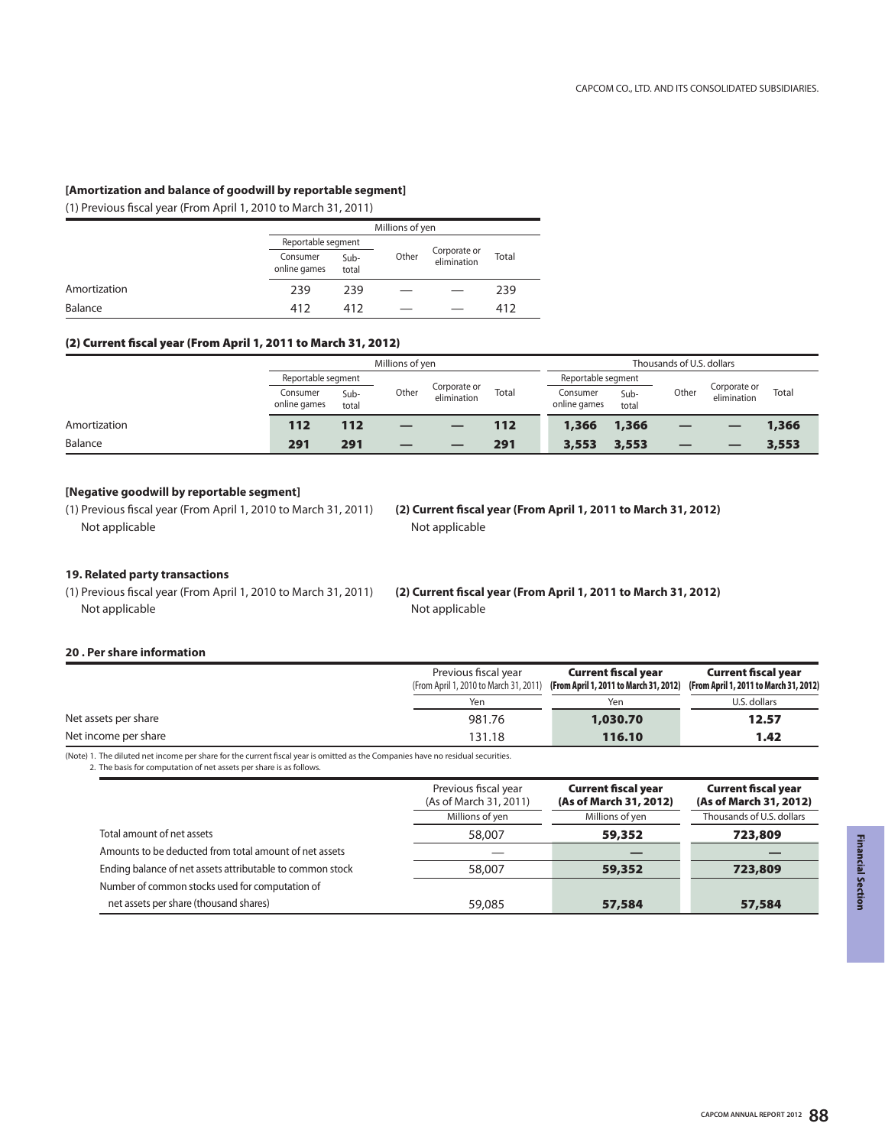## **[Amortization and balance of goodwill by reportable segment]**

(1) Previous fiscal year (From April 1, 2010 to March 31, 2011)

|              | Millions of yen          |                    |       |                             |       |  |  |
|--------------|--------------------------|--------------------|-------|-----------------------------|-------|--|--|
|              |                          | Reportable segment |       |                             |       |  |  |
|              | Consumer<br>online games | Sub-<br>total      | Other | Corporate or<br>elimination | Total |  |  |
| Amortization | 239                      | 239                |       |                             | 239   |  |  |
| Balance      | 412                      | 412                |       |                             | 412   |  |  |

## **(2) Current fiscal year (From April 1, 2011 to March 31, 2012)**

|              | Millions of yen          |               |       |                                      | Thousands of U.S. dollars |                          |               |       |                             |       |
|--------------|--------------------------|---------------|-------|--------------------------------------|---------------------------|--------------------------|---------------|-------|-----------------------------|-------|
|              | Reportable segment       |               |       | Corporate or<br>Total<br>elimination | Reportable segment        |                          |               |       |                             |       |
|              | Consumer<br>online games | Sub-<br>total | Other |                                      |                           | Consumer<br>online games | Sub-<br>total | Other | Corporate or<br>elimination | Total |
| Amortization | 112                      | 112           |       |                                      | 112                       | 1,366                    | 1,366         | _     |                             | 1,366 |
| Balance      | 291                      | 291           |       |                                      | 291                       | 3,553                    | 3,553         | _     |                             | 3,553 |

## **[Negative goodwill by reportable segment]**

(1) Previous fiscal year (From April 1, 2010 to March 31, 2011) Not applicable

**(2) Current fiscal year (From April 1, 2011 to March 31, 2012)** Not applicable

## **19. Related party transactions**

(1) Previous fiscal year (From April 1, 2010 to March 31, 2011) Not applicable

**(2) Current fiscal year (From April 1, 2011 to March 31, 2012)** Not applicable

## **20 . Per share information**

|                      | Previous fiscal year<br>(From April 1, 2010 to March 31, 2011) | <b>Current fiscal year</b><br>(From April 1, 2011 to March 31, 2012) | <b>Current fiscal year</b><br>(From April 1, 2011 to March 31, 2012) |
|----------------------|----------------------------------------------------------------|----------------------------------------------------------------------|----------------------------------------------------------------------|
|                      | Yen                                                            | Yen                                                                  | U.S. dollars                                                         |
| Net assets per share | 981.76                                                         | 1,030.70                                                             | 12.57                                                                |
| Net income per share | 131.18                                                         | 116.10                                                               | 1.42                                                                 |

(Note) 1. The diluted net income per share for the current fiscal year is omitted as the Companies have no residual securities. 2. The basis for computation of net assets per share is as follows.

|                                                           | Previous fiscal year<br>(As of March 31, 2011) | <b>Current fiscal year</b><br>(As of March 31, 2012) | <b>Current fiscal year</b><br>(As of March 31, 2012) |
|-----------------------------------------------------------|------------------------------------------------|------------------------------------------------------|------------------------------------------------------|
|                                                           | Millions of yen                                | Millions of yen                                      | Thousands of U.S. dollars                            |
| Total amount of net assets                                | 58,007                                         | 59,352                                               | 723,809                                              |
| Amounts to be deducted from total amount of net assets    |                                                |                                                      |                                                      |
| Ending balance of net assets attributable to common stock | 58,007                                         | 59,352                                               | 723,809                                              |
| Number of common stocks used for computation of           |                                                |                                                      |                                                      |
| net assets per share (thousand shares)                    | 59,085                                         | 57,584                                               | 57,584                                               |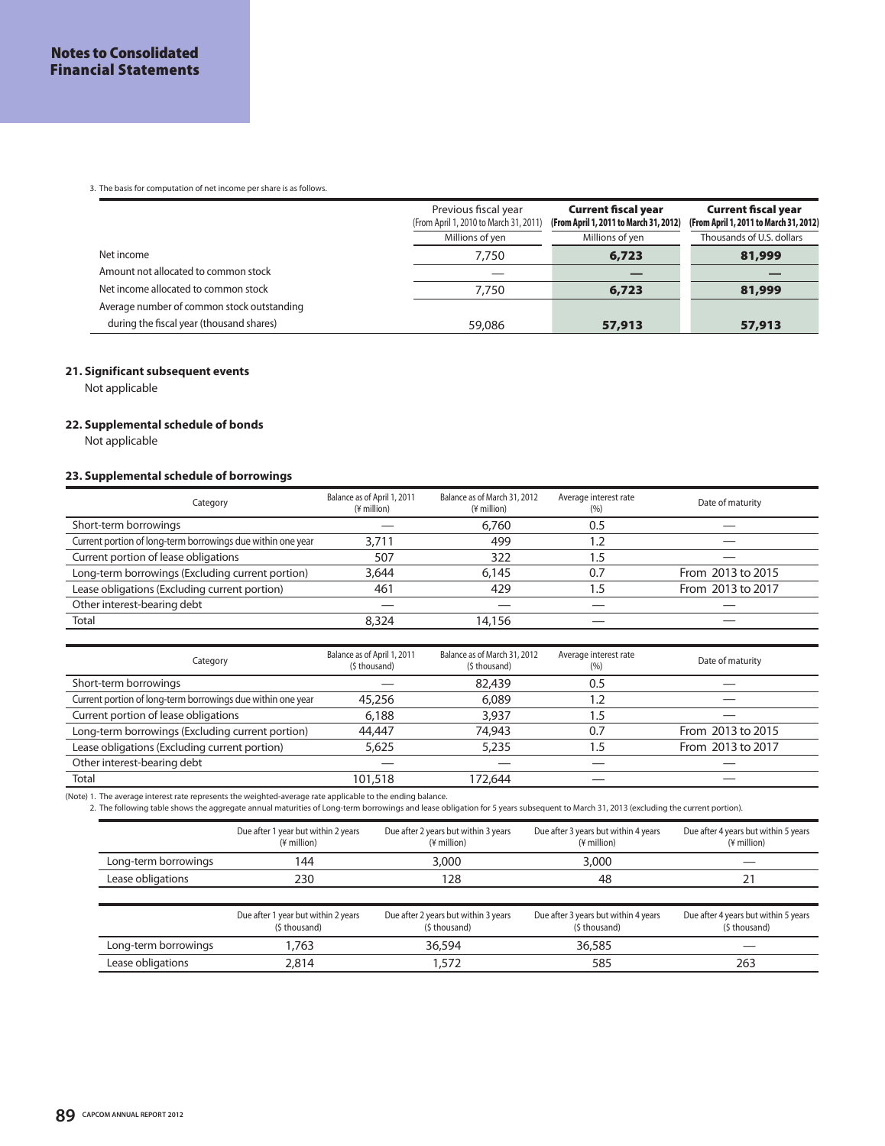3. The basis for computation of net income per share is as follows.

|                                            | Previous fiscal year<br>(From April 1, 2010 to March 31, 2011) | <b>Current fiscal year</b><br>(From April 1, 2011 to March 31, 2012) | <b>Current fiscal year</b><br>(From April 1, 2011 to March 31, 2012) |
|--------------------------------------------|----------------------------------------------------------------|----------------------------------------------------------------------|----------------------------------------------------------------------|
|                                            | Millions of yen                                                | Millions of yen                                                      | Thousands of U.S. dollars                                            |
| Net income                                 | 7.750                                                          | 6,723                                                                | 81,999                                                               |
| Amount not allocated to common stock       |                                                                |                                                                      |                                                                      |
| Net income allocated to common stock       | 7.750                                                          | 6,723                                                                | 81,999                                                               |
| Average number of common stock outstanding |                                                                |                                                                      |                                                                      |
| during the fiscal year (thousand shares)   | 59,086                                                         | 57,913                                                               | 57,913                                                               |

## **21. Significant subsequent events**

Not applicable

## **22. Supplemental schedule of bonds**

Not applicable

## **23. Supplemental schedule of borrowings**

| Category                                                    | Balance as of April 1, 2011<br>(¥ million)   | Balance as of March 31, 2012<br>(¥ million)   | Average interest rate<br>(% ) | Date of maturity  |
|-------------------------------------------------------------|----------------------------------------------|-----------------------------------------------|-------------------------------|-------------------|
| Short-term borrowings                                       |                                              | 6,760                                         | 0.5                           |                   |
| Current portion of long-term borrowings due within one year | 3,711                                        | 499                                           | 1.2                           |                   |
| Current portion of lease obligations                        | 507                                          | 322                                           | 1.5                           |                   |
| Long-term borrowings (Excluding current portion)            | 3,644                                        | 6,145                                         | 0.7                           | From 2013 to 2015 |
| Lease obligations (Excluding current portion)               | 461                                          | 429                                           | 1.5                           | From 2013 to 2017 |
| Other interest-bearing debt                                 |                                              |                                               |                               |                   |
| Total                                                       | 8,324                                        | 14,156                                        |                               |                   |
|                                                             |                                              |                                               |                               |                   |
| Category                                                    | Balance as of April 1, 2011<br>(\$ thousand) | Balance as of March 31, 2012<br>(\$ thousand) | Average interest rate<br>(% ) | Date of maturity  |
| Short-term borrowings                                       |                                              | 82,439                                        | 0.5                           |                   |
|                                                             |                                              |                                               |                               |                   |
| Current portion of long-term borrowings due within one year | 45,256                                       | 6,089                                         | 1.2                           |                   |
| Current portion of lease obligations                        | 6,188                                        | 3,937                                         | 1.5                           |                   |
| Long-term borrowings (Excluding current portion)            | 44,447                                       | 74,943                                        | 0.7                           | From 2013 to 2015 |
| Lease obligations (Excluding current portion)               | 5,625                                        | 5,235                                         | 1.5                           | From 2013 to 2017 |
| Other interest-bearing debt                                 |                                              |                                               |                               |                   |
| Total                                                       | 101,518                                      | 172,644                                       |                               |                   |

|                      | Due after 1 year but within 2 years<br>(¥ million) | Due after 2 years but within 3 years<br>(¥ million) | Due after 3 years but within 4 years<br>(¥ million) | Due after 4 years but within 5 years<br>(¥ million) |
|----------------------|----------------------------------------------------|-----------------------------------------------------|-----------------------------------------------------|-----------------------------------------------------|
| Long-term borrowings | 144                                                | 3.000                                               | 3.000                                               |                                                     |
| Lease obligations    | 230                                                | 28                                                  | 48                                                  |                                                     |

|                      | Due after 1 year but within 2 years<br>(\$ thousand) | Due after 2 years but within 3 years<br>(\$ thousand) | Due after 3 years but within 4 years<br>(\$ thousand) | Due after 4 years but within 5 years<br>(\$ thousand) |
|----------------------|------------------------------------------------------|-------------------------------------------------------|-------------------------------------------------------|-------------------------------------------------------|
| Long-term borrowings | .763                                                 | 36,594                                                | 36,585                                                |                                                       |
| Lease obligations    | 2.814                                                | .572                                                  | 585                                                   | 263                                                   |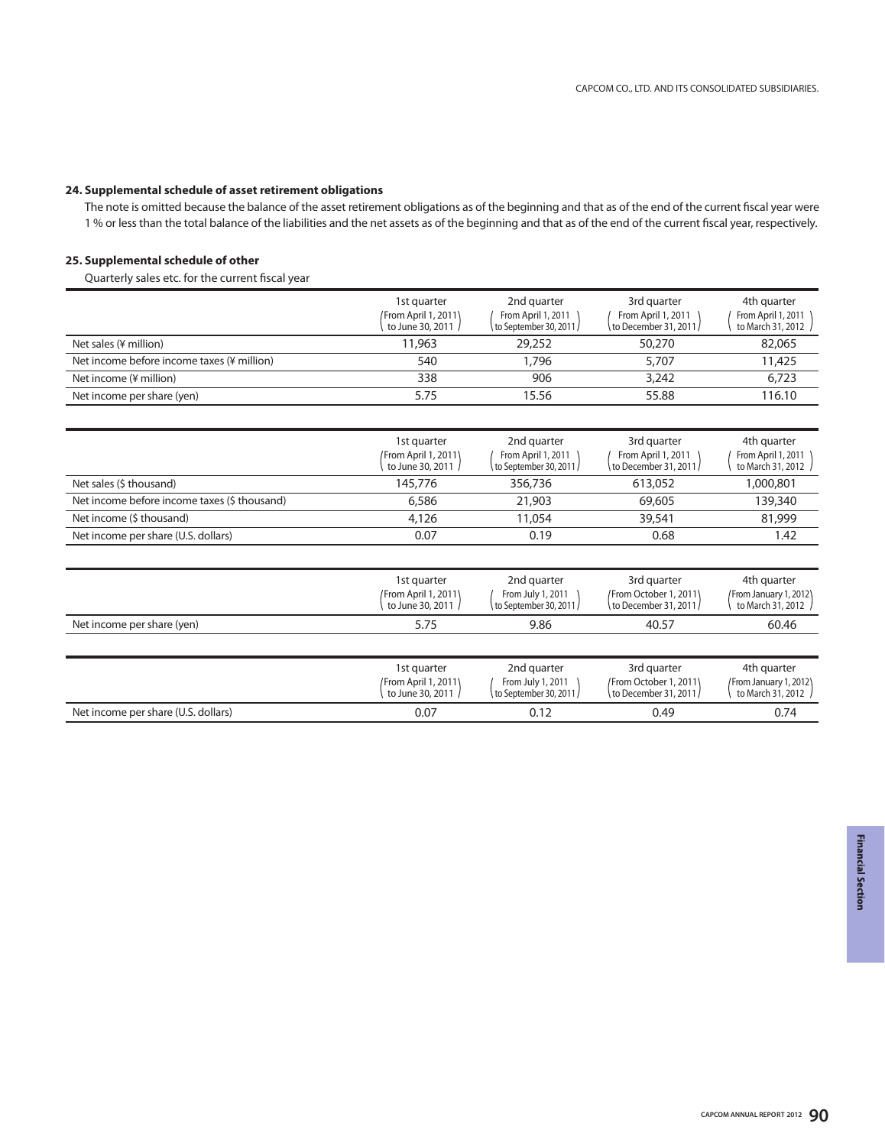## **24. Supplemental schedule of asset retirement obligations**

The note is omitted because the balance of the asset retirement obligations as of the beginning and that as of the end of the current fiscal year were 1 % or less than the total balance of the liabilities and the net assets as of the beginning and that as of the end of the current fiscal year, respectively.

## **25. Supplemental schedule of other**

Quarterly sales etc. for the current fiscal year

|                                              | 1st quarter<br>/From April 1, 2011\<br>to June 30, 2011 | 2nd quarter<br>From April 1, 2011<br>∖ to September 30, 2011 / | 3rd quarter<br>From April 1, 2011<br>to December 31, 2011 / | 4th quarter<br>From April 1, 2011<br>to March 31, 2012 |
|----------------------------------------------|---------------------------------------------------------|----------------------------------------------------------------|-------------------------------------------------------------|--------------------------------------------------------|
| Net sales (¥ million)                        | 11,963                                                  | 29,252                                                         | 50,270                                                      | 82,065                                                 |
| Net income before income taxes (¥ million)   | 540                                                     | 1,796                                                          | 5,707                                                       | 11,425                                                 |
| Net income (¥ million)                       | 338                                                     | 906                                                            | 3,242                                                       | 6,723                                                  |
| Net income per share (yen)                   | 5.75                                                    | 15.56                                                          | 55.88                                                       | 116.10                                                 |
|                                              |                                                         |                                                                |                                                             |                                                        |
|                                              | 1st quarter<br>From April 1, 2011\<br>to June 30, 2011  | 2nd quarter<br>From April 1, 2011<br>to September 30, 2011 /   | 3rd quarter<br>From April 1, 2011<br>to December 31, 2011 / | 4th quarter<br>From April 1, 2011<br>to March 31, 2012 |
| Net sales (\$ thousand)                      | 145,776                                                 | 356,736                                                        | 613,052                                                     | 1,000,801                                              |
| Net income before income taxes (\$ thousand) | 6,586                                                   | 21,903                                                         | 69,605                                                      | 139,340                                                |
| Net income (\$ thousand)                     | 4,126                                                   | 11,054                                                         | 39,541                                                      | 81,999                                                 |
| Net income per share (U.S. dollars)          | 0.07                                                    | 0.19                                                           | 0.68                                                        | 1.42                                                   |

|                                     | 1st quarter<br>From April 1, 2011)<br>to June 30, 2011 | 2nd quarter<br>From July 1, 2011<br>to September 30, 2011 / | 3rd quarter<br>/From October 1, 2011)<br>to December 31, 2011/ | 4th quarter<br>From January 1, 2012\<br>to March 31, 2012  |
|-------------------------------------|--------------------------------------------------------|-------------------------------------------------------------|----------------------------------------------------------------|------------------------------------------------------------|
| Net income per share (yen)          | 5.75                                                   | 9.86                                                        | 40.57                                                          | 60.46                                                      |
|                                     |                                                        |                                                             |                                                                |                                                            |
|                                     | 1st quarter<br>From April 1, 2011\<br>to June 30, 2011 | 2nd quarter<br>From July 1, 2011<br>to September 30, 2011 / | 3rd quarter<br>/From October 1, 2011)<br>to December 31, 2011/ | 4th quarter<br>/From January 1, 2012\<br>to March 31, 2012 |
| Net income per share (U.S. dollars) | 0.07                                                   | 0.12                                                        | 0.49                                                           | 0.74                                                       |